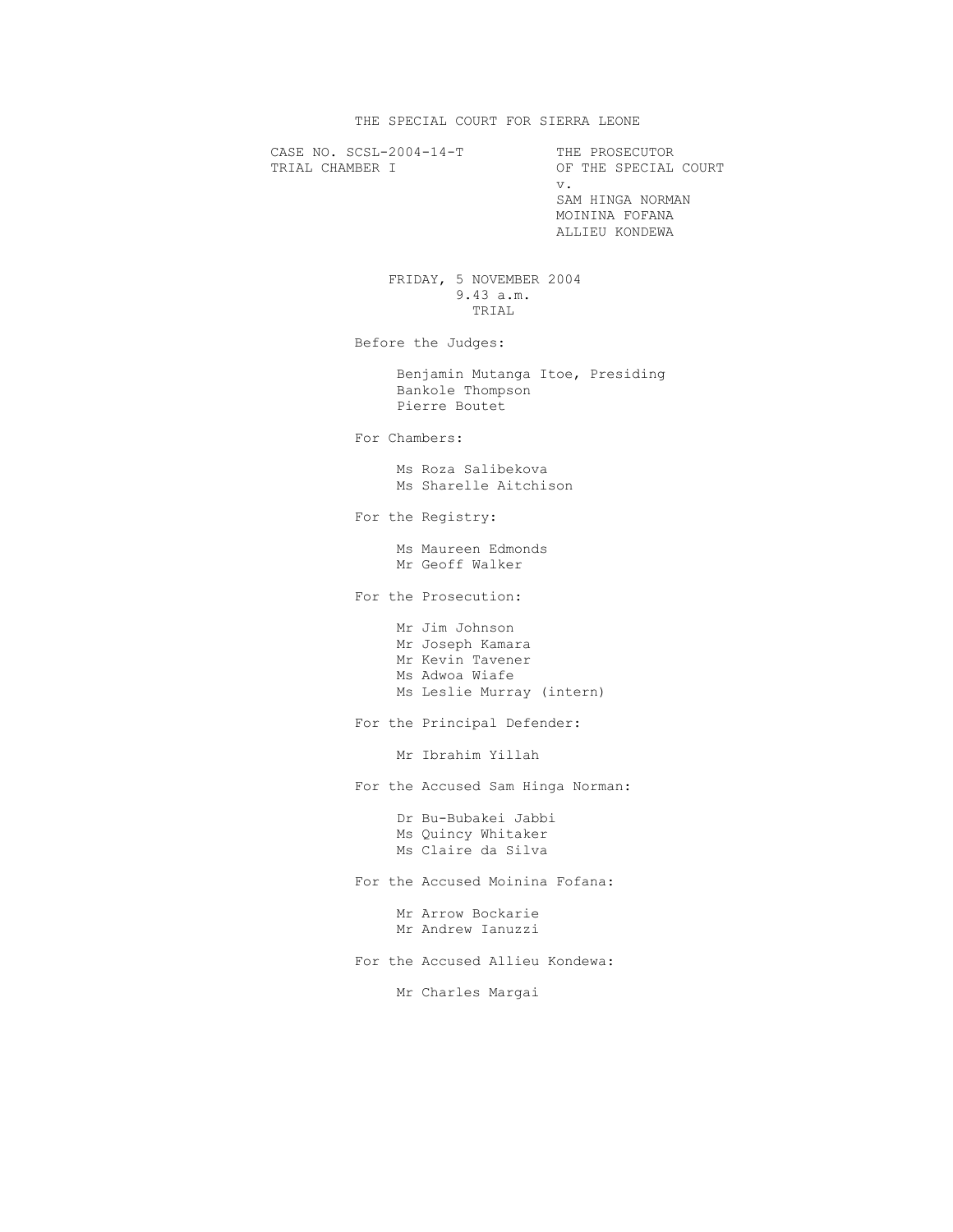THE SPECIAL COURT FOR SIERRA LEONE

CASE NO. SCSL-2004-14-T THE PROSECUTOR TRIAL CHAMBER I OF THE SPECIAL COURT v. SAM HINGA NORMAN MOININA FOFANA ALLIEU KONDEWA FRIDAY, 5 NOVEMBER 2004 9.43 a.m. TRIAL Before the Judges: Benjamin Mutanga Itoe, Presiding Bankole Thompson Pierre Boutet For Chambers: Ms Roza Salibekova Ms Sharelle Aitchison For the Registry: Ms Maureen Edmonds Mr Geoff Walker For the Prosecution: Mr Jim Johnson Mr Joseph Kamara Mr Kevin Tavener Ms Adwoa Wiafe Ms Leslie Murray (intern) For the Principal Defender: Mr Ibrahim Yillah For the Accused Sam Hinga Norman: Dr Bu-Bubakei Jabbi Ms Quincy Whitaker Ms Claire da Silva For the Accused Moinina Fofana: Mr Arrow Bockarie Mr Andrew Ianuzzi For the Accused Allieu Kondewa: Mr Charles Margai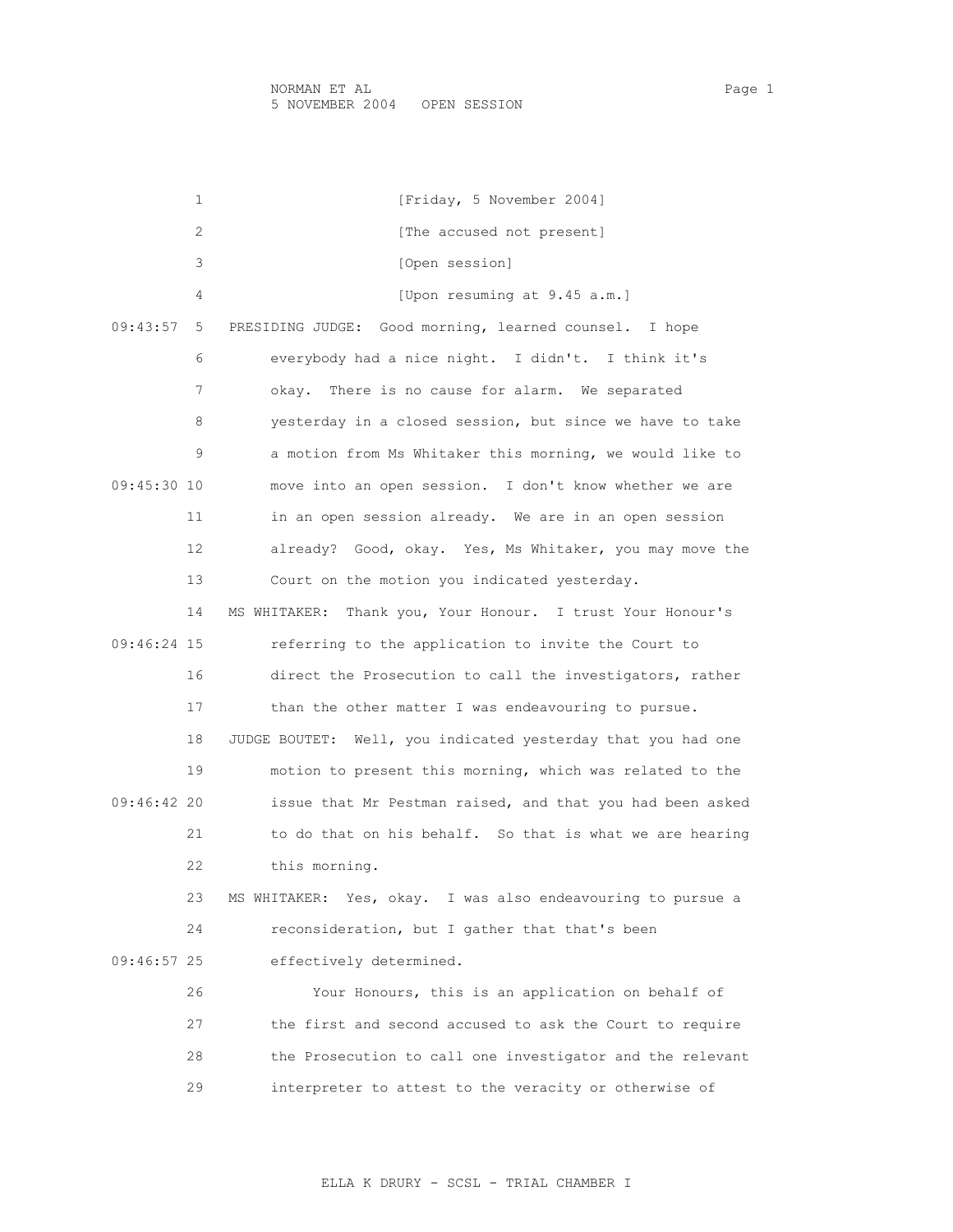1 [Friday, 5 November 2004] 2 [The accused not present] 3 [Open session] 4 [Upon resuming at 9.45 a.m.] 09:43:57 5 PRESIDING JUDGE: Good morning, learned counsel. I hope 6 everybody had a nice night. I didn't. I think it's 7 okay. There is no cause for alarm. We separated 8 yesterday in a closed session, but since we have to take 9 a motion from Ms Whitaker this morning, we would like to 09:45:30 10 move into an open session. I don't know whether we are 11 in an open session already. We are in an open session 12 already? Good, okay. Yes, Ms Whitaker, you may move the 13 Court on the motion you indicated yesterday. 14 MS WHITAKER: Thank you, Your Honour. I trust Your Honour's 09:46:24 15 referring to the application to invite the Court to 16 direct the Prosecution to call the investigators, rather 17 than the other matter I was endeavouring to pursue. 18 JUDGE BOUTET: Well, you indicated yesterday that you had one 19 motion to present this morning, which was related to the 09:46:42 20 issue that Mr Pestman raised, and that you had been asked 21 to do that on his behalf. So that is what we are hearing 22 this morning. 23 MS WHITAKER: Yes, okay. I was also endeavouring to pursue a 24 reconsideration, but I gather that that's been 09:46:57 25 effectively determined. 26 Your Honours, this is an application on behalf of 27 the first and second accused to ask the Court to require 28 the Prosecution to call one investigator and the relevant 29 interpreter to attest to the veracity or otherwise of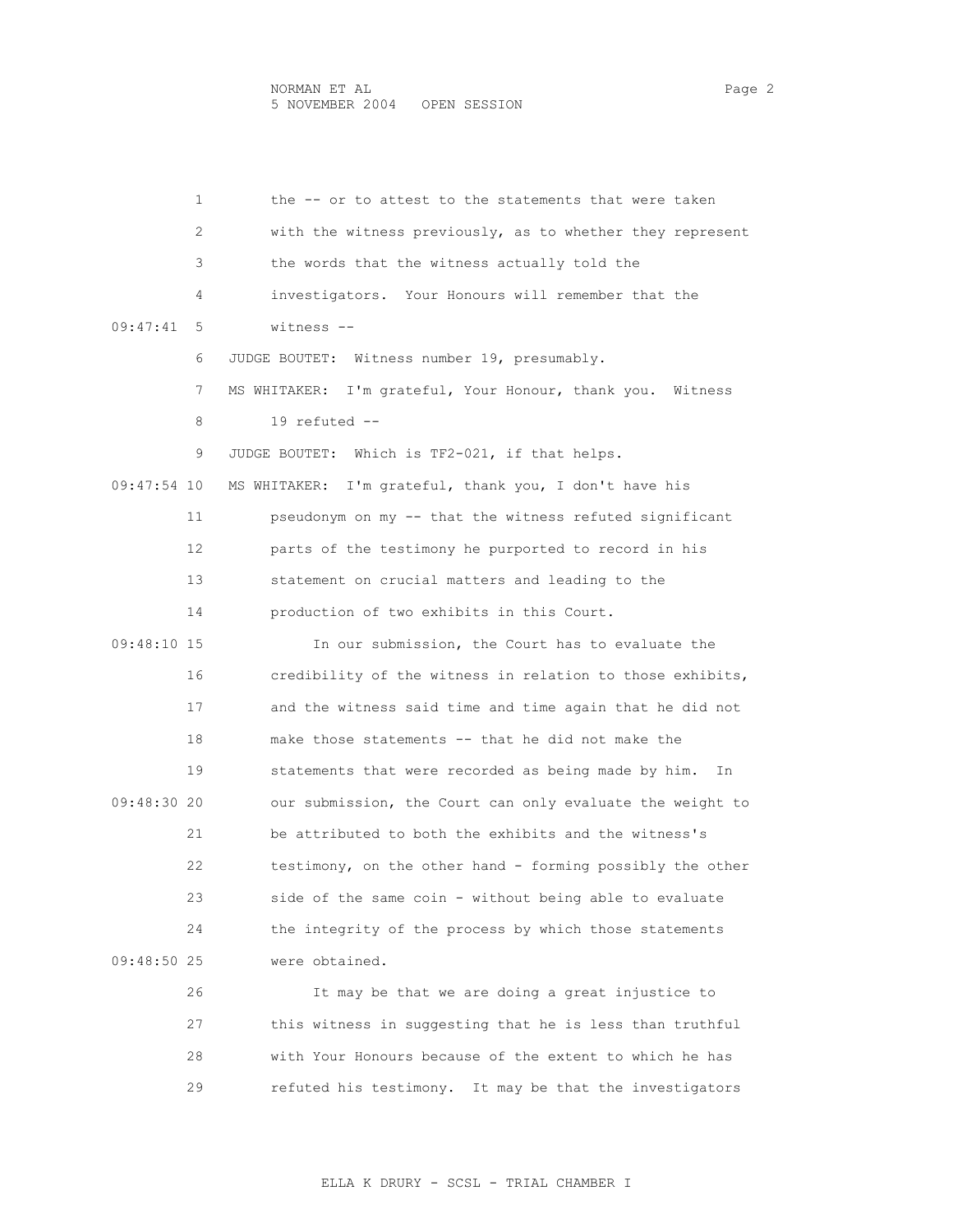1 the -- or to attest to the statements that were taken 2 with the witness previously, as to whether they represent 3 the words that the witness actually told the 4 investigators. Your Honours will remember that the 09:47:41 5 witness -- 6 JUDGE BOUTET: Witness number 19, presumably. 7 MS WHITAKER: I'm grateful, Your Honour, thank you. Witness 8 19 refuted -- 9 JUDGE BOUTET: Which is TF2-021, if that helps. 09:47:54 10 MS WHITAKER: I'm grateful, thank you, I don't have his 11 pseudonym on my -- that the witness refuted significant 12 parts of the testimony he purported to record in his 13 statement on crucial matters and leading to the 14 production of two exhibits in this Court. 09:48:10 15 In our submission, the Court has to evaluate the 16 credibility of the witness in relation to those exhibits, 17 and the witness said time and time again that he did not 18 make those statements -- that he did not make the 19 statements that were recorded as being made by him. In 09:48:30 20 our submission, the Court can only evaluate the weight to 21 be attributed to both the exhibits and the witness's 22 testimony, on the other hand - forming possibly the other 23 side of the same coin - without being able to evaluate 24 the integrity of the process by which those statements 09:48:50 25 were obtained.

 26 It may be that we are doing a great injustice to 27 this witness in suggesting that he is less than truthful 28 with Your Honours because of the extent to which he has 29 refuted his testimony. It may be that the investigators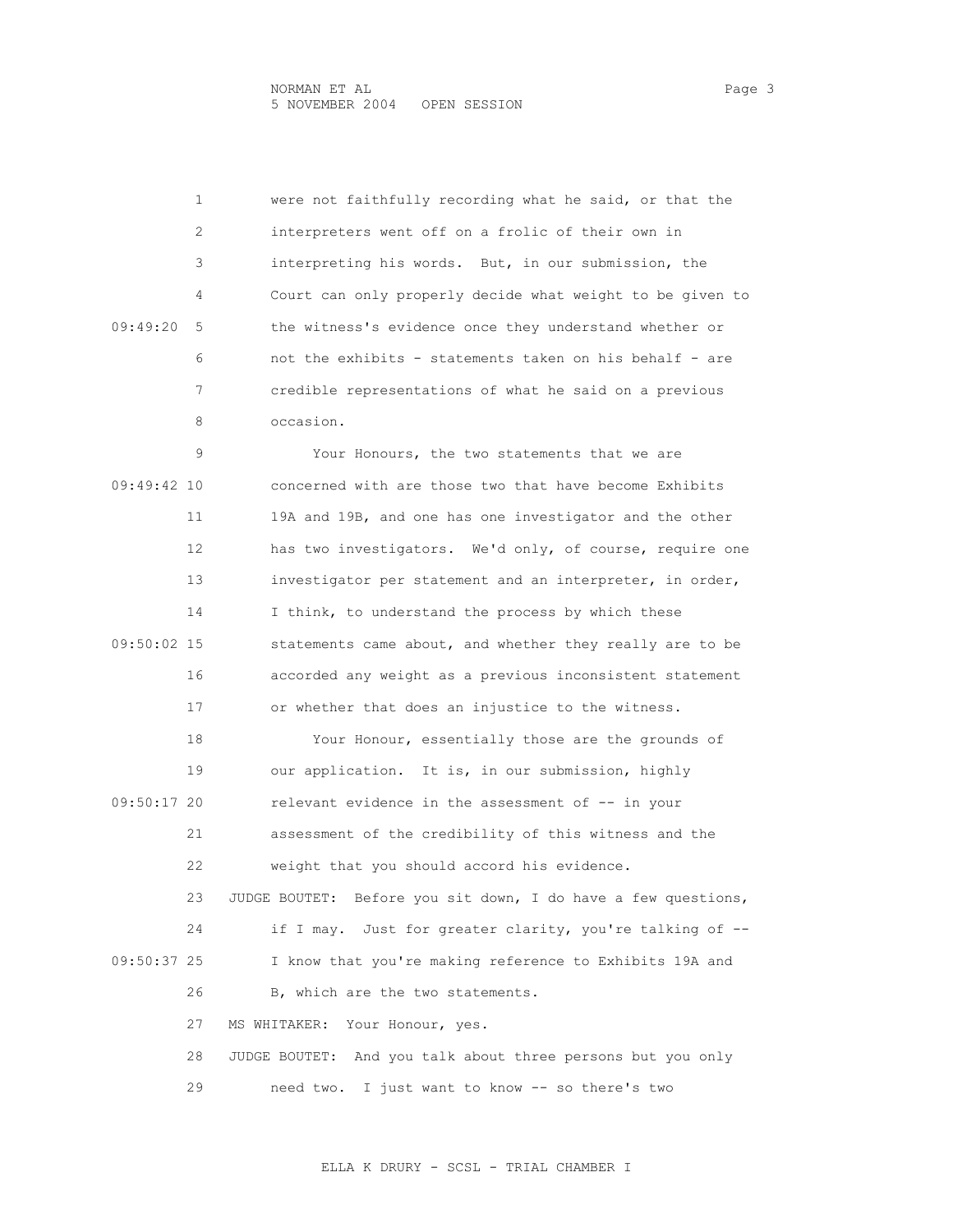1 were not faithfully recording what he said, or that the 2 interpreters went off on a frolic of their own in 3 interpreting his words. But, in our submission, the 4 Court can only properly decide what weight to be given to 09:49:20 5 the witness's evidence once they understand whether or 6 not the exhibits - statements taken on his behalf - are 7 credible representations of what he said on a previous 8 occasion. 9 Your Honours, the two statements that we are 09:49:42 10 concerned with are those two that have become Exhibits 11 19A and 19B, and one has one investigator and the other 12 has two investigators. We'd only, of course, require one 13 investigator per statement and an interpreter, in order, 14 I think, to understand the process by which these 09:50:02 15 statements came about, and whether they really are to be 16 accorded any weight as a previous inconsistent statement 17 or whether that does an injustice to the witness. 18 Your Honour, essentially those are the grounds of 19 our application. It is, in our submission, highly 09:50:17 20 relevant evidence in the assessment of -- in your 21 assessment of the credibility of this witness and the 22 weight that you should accord his evidence. 23 JUDGE BOUTET: Before you sit down, I do have a few questions, 24 if I may. Just for greater clarity, you're talking of -- 09:50:37 25 I know that you're making reference to Exhibits 19A and 26 B, which are the two statements. 27 MS WHITAKER: Your Honour, yes. 28 JUDGE BOUTET: And you talk about three persons but you only 29 need two. I just want to know -- so there's two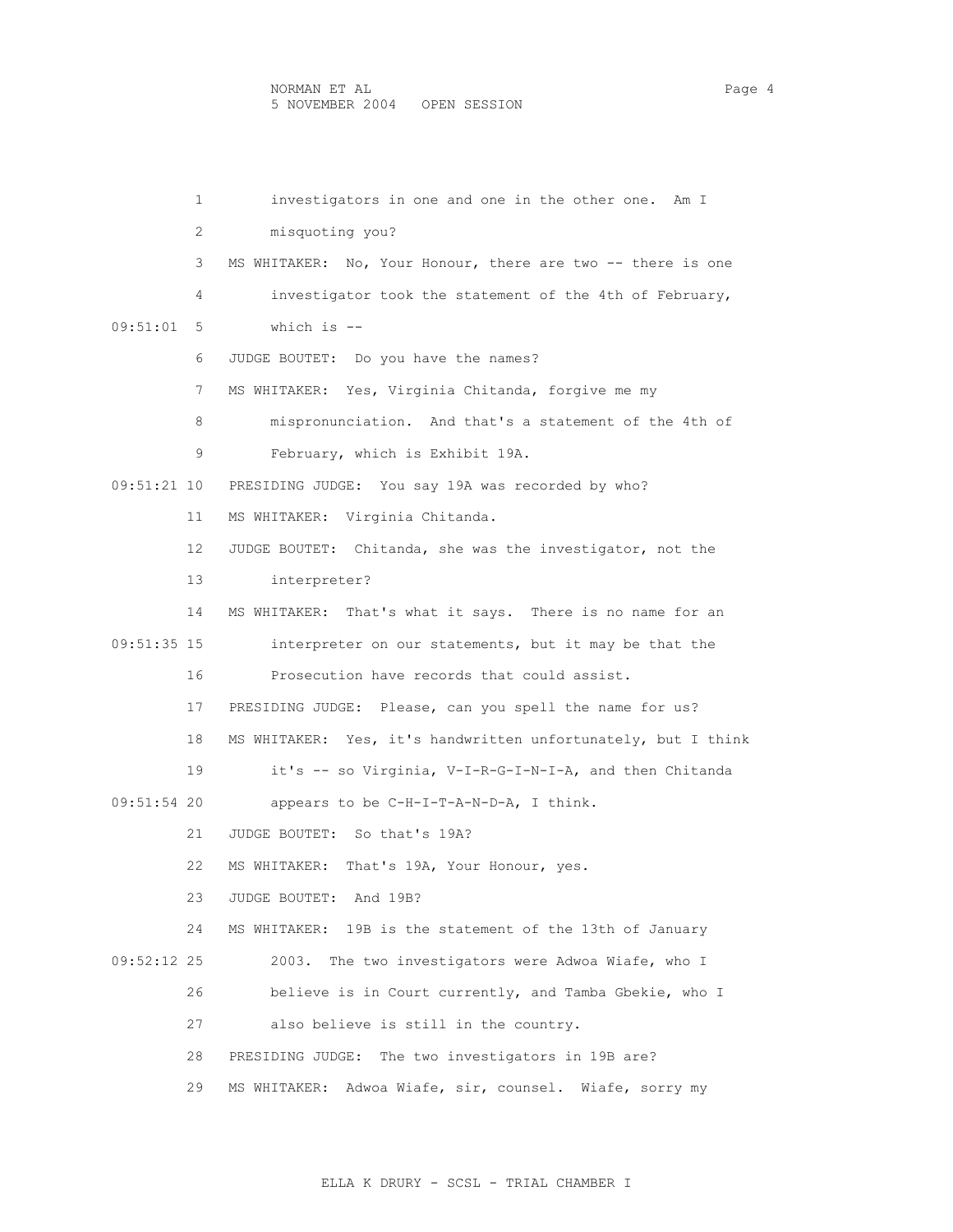1 investigators in one and one in the other one. Am I 2 misquoting you? 3 MS WHITAKER: No, Your Honour, there are two -- there is one 4 investigator took the statement of the 4th of February, 09:51:01 5 which is -- 6 JUDGE BOUTET: Do you have the names? 7 MS WHITAKER: Yes, Virginia Chitanda, forgive me my 8 mispronunciation. And that's a statement of the 4th of 9 February, which is Exhibit 19A. 09:51:21 10 PRESIDING JUDGE: You say 19A was recorded by who? 11 MS WHITAKER: Virginia Chitanda. 12 JUDGE BOUTET: Chitanda, she was the investigator, not the 13 interpreter? 14 MS WHITAKER: That's what it says. There is no name for an 09:51:35 15 interpreter on our statements, but it may be that the 16 Prosecution have records that could assist. 17 PRESIDING JUDGE: Please, can you spell the name for us? 18 MS WHITAKER: Yes, it's handwritten unfortunately, but I think 19 it's -- so Virginia, V-I-R-G-I-N-I-A, and then Chitanda 09:51:54 20 appears to be C-H-I-T-A-N-D-A, I think. 21 JUDGE BOUTET: So that's 19A? 22 MS WHITAKER: That's 19A, Your Honour, yes. 23 JUDGE BOUTET: And 19B? 24 MS WHITAKER: 19B is the statement of the 13th of January 09:52:12 25 2003. The two investigators were Adwoa Wiafe, who I 26 believe is in Court currently, and Tamba Gbekie, who I 27 also believe is still in the country. 28 PRESIDING JUDGE: The two investigators in 19B are? 29 MS WHITAKER: Adwoa Wiafe, sir, counsel. Wiafe, sorry my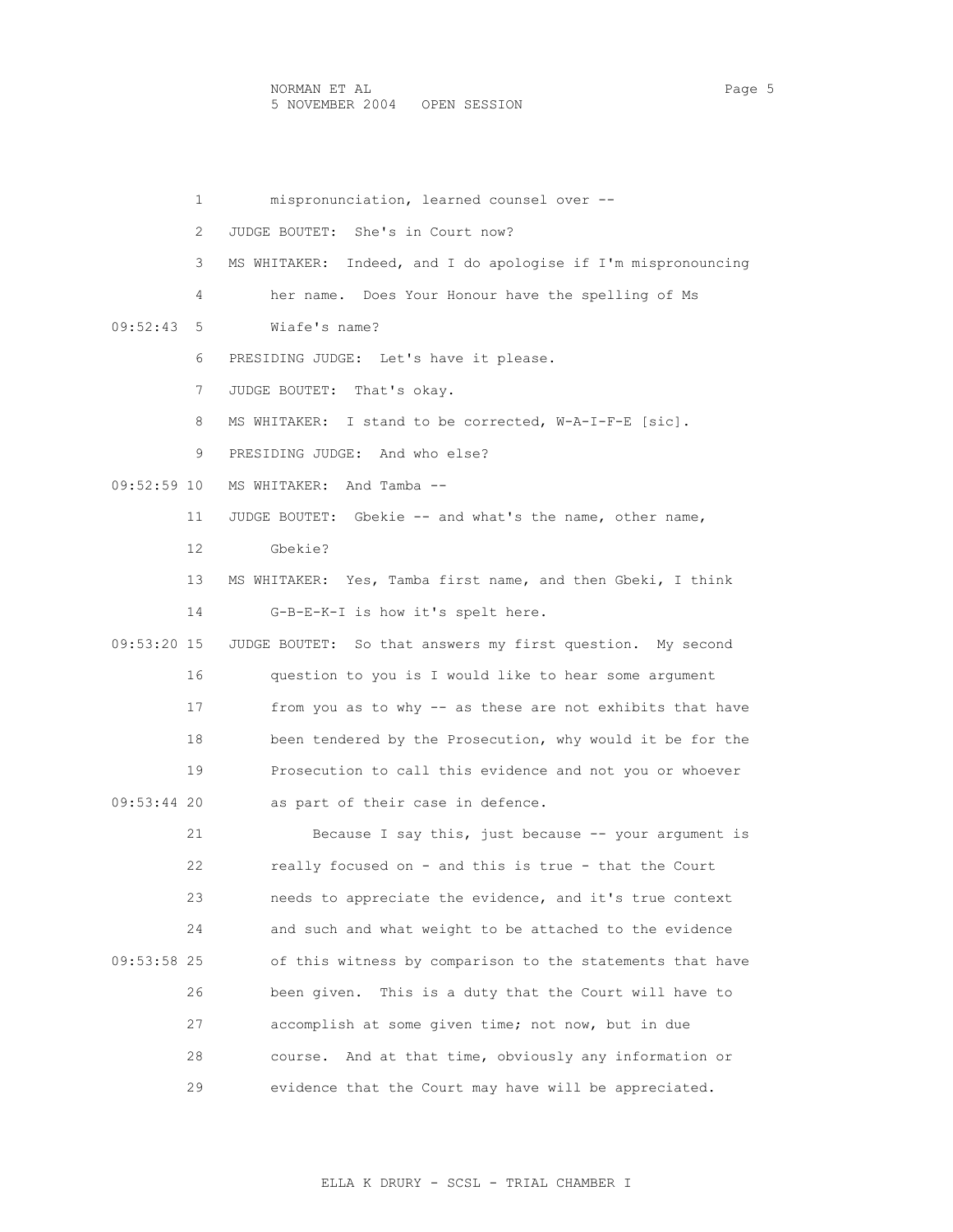1 mispronunciation, learned counsel over -- 2 JUDGE BOUTET: She's in Court now? 3 MS WHITAKER: Indeed, and I do apologise if I'm mispronouncing 4 her name. Does Your Honour have the spelling of Ms 09:52:43 5 Wiafe's name? 6 PRESIDING JUDGE: Let's have it please. 7 JUDGE BOUTET: That's okay. 8 MS WHITAKER: I stand to be corrected, W-A-I-F-E [sic]. 9 PRESIDING JUDGE: And who else? 09:52:59 10 MS WHITAKER: And Tamba -- 11 JUDGE BOUTET: Gbekie -- and what's the name, other name, 12 Gbekie? 13 MS WHITAKER: Yes, Tamba first name, and then Gbeki, I think 14 G-B-E-K-I is how it's spelt here. 09:53:20 15 JUDGE BOUTET: So that answers my first question. My second 16 question to you is I would like to hear some argument 17 from you as to why -- as these are not exhibits that have 18 been tendered by the Prosecution, why would it be for the 19 Prosecution to call this evidence and not you or whoever 09:53:44 20 as part of their case in defence. 21 Because I say this, just because -- your argument is 22 really focused on - and this is true - that the Court 23 needs to appreciate the evidence, and it's true context 24 and such and what weight to be attached to the evidence 09:53:58 25 of this witness by comparison to the statements that have 26 been given. This is a duty that the Court will have to 27 accomplish at some given time; not now, but in due 28 course. And at that time, obviously any information or 29 evidence that the Court may have will be appreciated.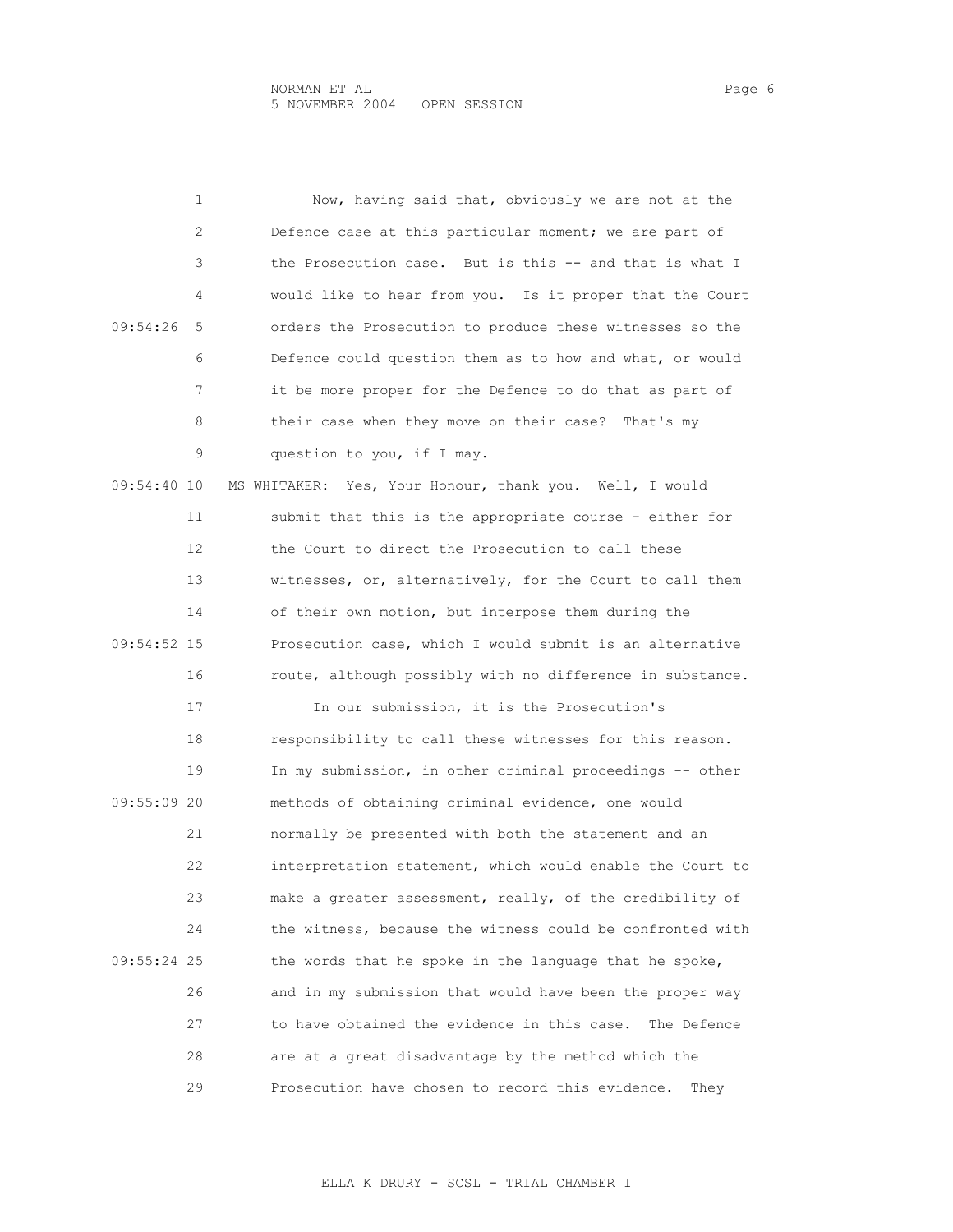|             | 1  | Now, having said that, obviously we are not at the         |
|-------------|----|------------------------------------------------------------|
|             | 2  | Defence case at this particular moment; we are part of     |
|             | 3  | the Prosecution case. But is this -- and that is what I    |
|             | 4  | would like to hear from you. Is it proper that the Court   |
| 09:54:26    | 5  | orders the Prosecution to produce these witnesses so the   |
|             | 6  | Defence could question them as to how and what, or would   |
|             | 7  | it be more proper for the Defence to do that as part of    |
|             | 8  | their case when they move on their case? That's my         |
|             | 9  | question to you, if I may.                                 |
| 09:54:40 10 |    | MS WHITAKER: Yes, Your Honour, thank you. Well, I would    |
|             | 11 | submit that this is the appropriate course - either for    |
|             | 12 | the Court to direct the Prosecution to call these          |
|             | 13 | witnesses, or, alternatively, for the Court to call them   |
|             | 14 | of their own motion, but interpose them during the         |
| 09:54:52 15 |    | Prosecution case, which I would submit is an alternative   |
|             | 16 | route, although possibly with no difference in substance.  |
|             | 17 | In our submission, it is the Prosecution's                 |
|             | 18 | responsibility to call these witnesses for this reason.    |
|             | 19 | In my submission, in other criminal proceedings -- other   |
| 09:55:09 20 |    | methods of obtaining criminal evidence, one would          |
|             | 21 | normally be presented with both the statement and an       |
|             | 22 | interpretation statement, which would enable the Court to  |
|             | 23 | make a greater assessment, really, of the credibility of   |
|             | 24 | the witness, because the witness could be confronted with  |
| 09:55:24 25 |    | the words that he spoke in the language that he spoke,     |
|             | 26 | and in my submission that would have been the proper way   |
|             | 27 | to have obtained the evidence in this case.<br>The Defence |
|             | 28 | are at a great disadvantage by the method which the        |
|             | 29 | Prosecution have chosen to record this evidence.<br>They   |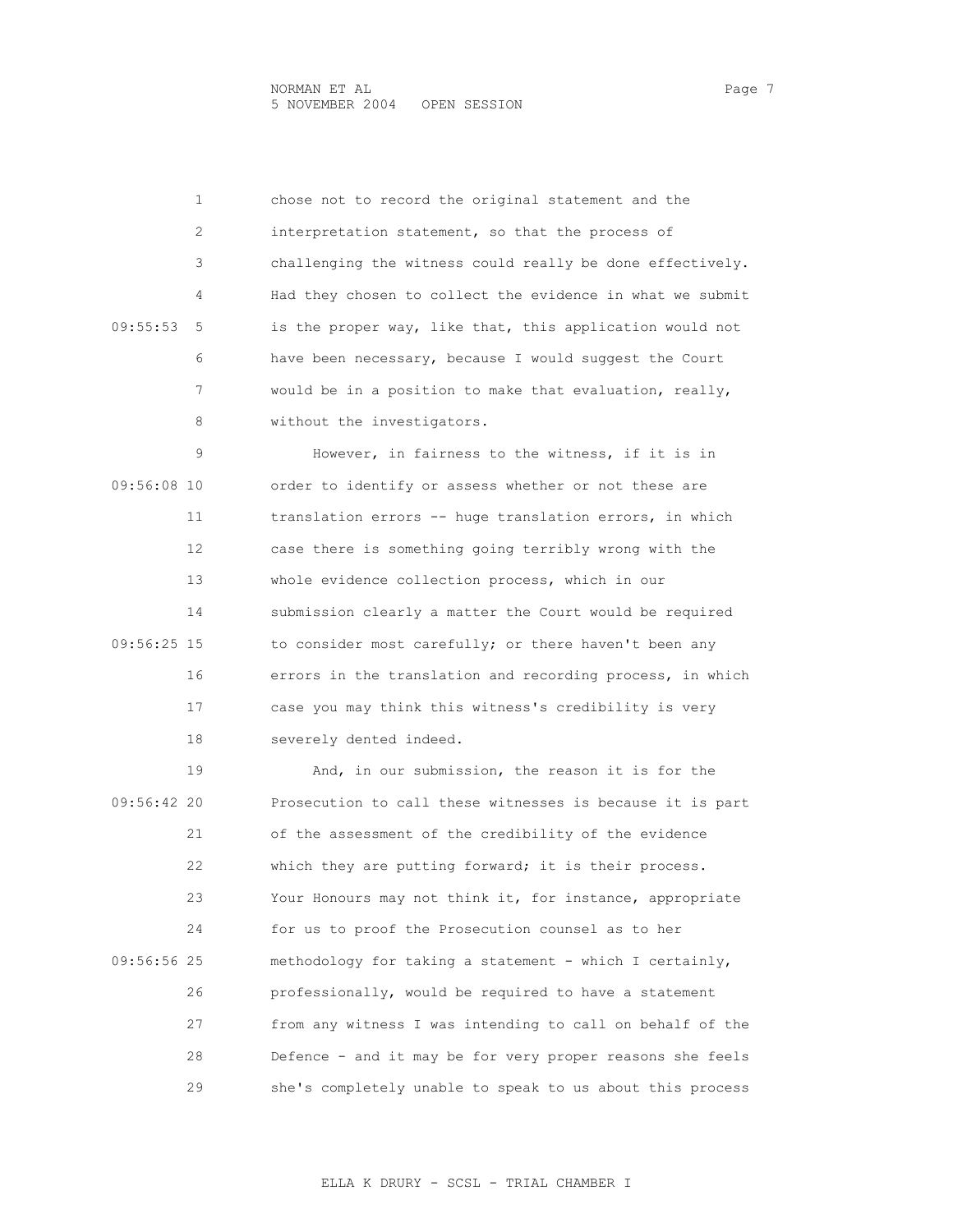1 chose not to record the original statement and the 2 interpretation statement, so that the process of 3 challenging the witness could really be done effectively. 4 Had they chosen to collect the evidence in what we submit 09:55:53 5 is the proper way, like that, this application would not 6 have been necessary, because I would suggest the Court 7 would be in a position to make that evaluation, really, 8 without the investigators.

 9 However, in fairness to the witness, if it is in 09:56:08 10 order to identify or assess whether or not these are 11 translation errors -- huge translation errors, in which 12 case there is something going terribly wrong with the 13 whole evidence collection process, which in our 14 submission clearly a matter the Court would be required 09:56:25 15 to consider most carefully; or there haven't been any 16 errors in the translation and recording process, in which 17 case you may think this witness's credibility is very 18 severely dented indeed.

 19 And, in our submission, the reason it is for the 09:56:42 20 Prosecution to call these witnesses is because it is part 21 of the assessment of the credibility of the evidence 22 which they are putting forward; it is their process. 23 Your Honours may not think it, for instance, appropriate 24 for us to proof the Prosecution counsel as to her 09:56:56 25 methodology for taking a statement - which I certainly, 26 professionally, would be required to have a statement 27 from any witness I was intending to call on behalf of the 28 Defence - and it may be for very proper reasons she feels 29 she's completely unable to speak to us about this process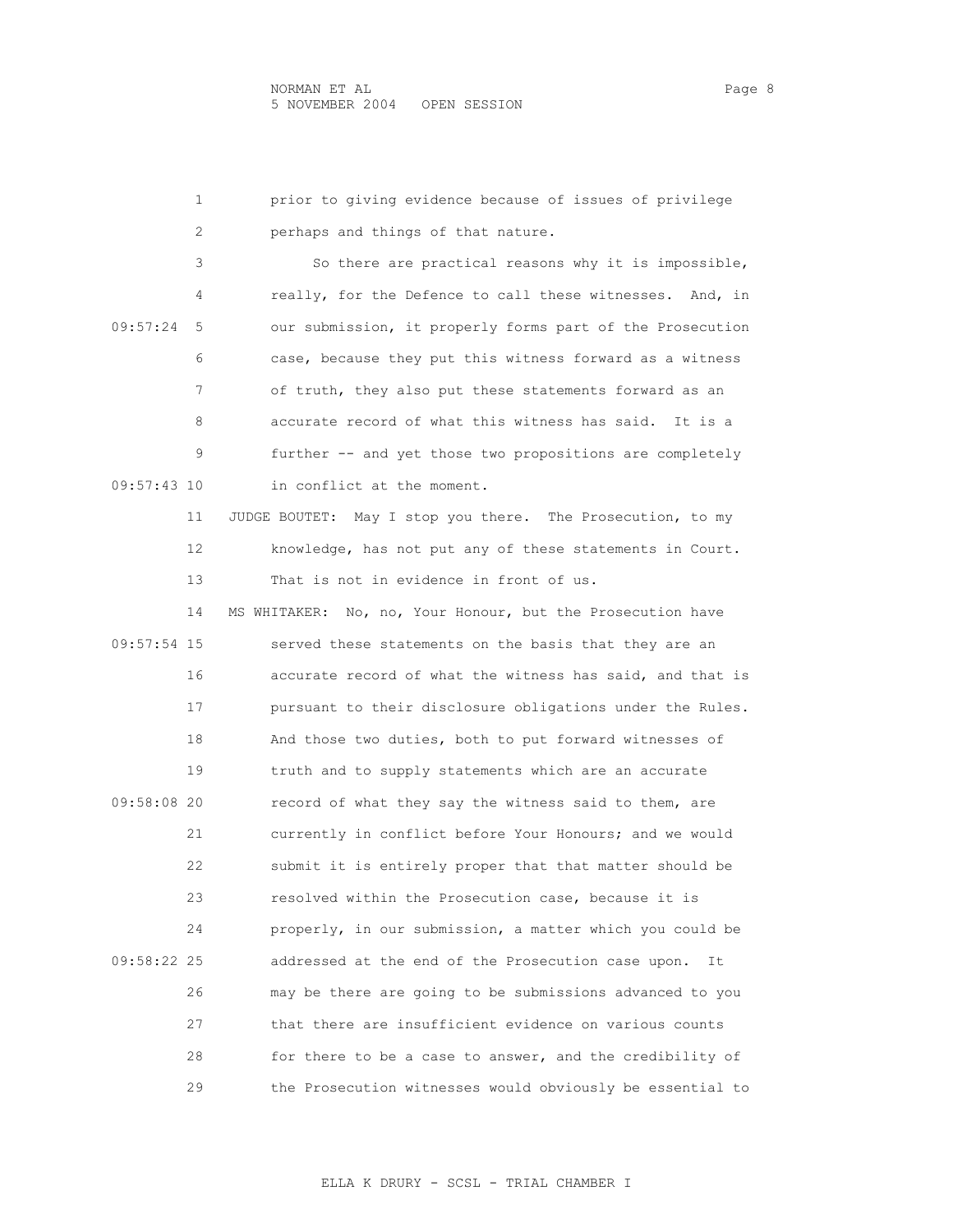|             | prior to giving evidence because of issues of privilege<br>1   |
|-------------|----------------------------------------------------------------|
|             | perhaps and things of that nature.<br>2                        |
|             | 3<br>So there are practical reasons why it is impossible,      |
|             | really, for the Defence to call these witnesses. And, in<br>4  |
| 09:57:24    | our submission, it properly forms part of the Prosecution<br>5 |
|             | 6<br>case, because they put this witness forward as a witness  |
|             | 7<br>of truth, they also put these statements forward as an    |
|             | accurate record of what this witness has said. It is a<br>8    |
|             | 9<br>further -- and yet those two propositions are completely  |
| 09:57:43 10 | in conflict at the moment.                                     |
| 11          | JUDGE BOUTET: May I stop you there. The Prosecution, to my     |
| 12          | knowledge, has not put any of these statements in Court.       |
| 13          | That is not in evidence in front of us.                        |
| 14          | MS WHITAKER: No, no, Your Honour, but the Prosecution have     |
| 09:57:54 15 | served these statements on the basis that they are an          |
| 16          | accurate record of what the witness has said, and that is      |
| 17          | pursuant to their disclosure obligations under the Rules.      |
| 18          | And those two duties, both to put forward witnesses of         |
| 19          | truth and to supply statements which are an accurate           |
| 09:58:08 20 | record of what they say the witness said to them, are          |
| 21          | currently in conflict before Your Honours; and we would        |
| 22          | submit it is entirely proper that that matter should be        |
| 23          | resolved within the Prosecution case, because it is            |
| 24          | properly, in our submission, a matter which you could be       |
| 09:58:22 25 | addressed at the end of the Prosecution case upon.<br>It       |
| 26          | may be there are going to be submissions advanced to you       |
| 27          | that there are insufficient evidence on various counts         |
| 28          | for there to be a case to answer, and the credibility of       |
| 29          | the Prosecution witnesses would obviously be essential to      |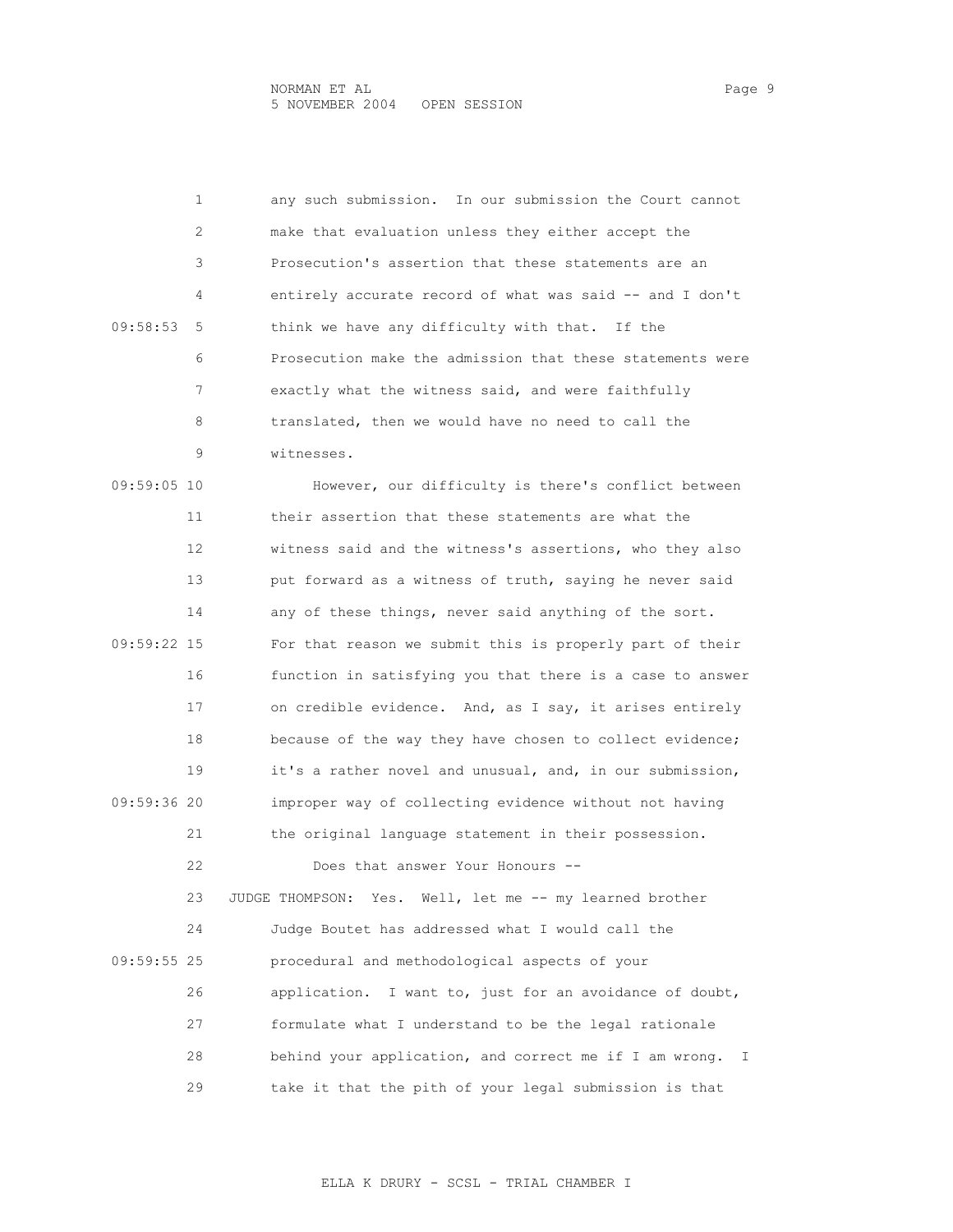1 any such submission. In our submission the Court cannot 2 make that evaluation unless they either accept the 3 Prosecution's assertion that these statements are an 4 entirely accurate record of what was said -- and I don't 09:58:53 5 think we have any difficulty with that. If the 6 Prosecution make the admission that these statements were 7 exactly what the witness said, and were faithfully 8 translated, then we would have no need to call the 9 witnesses. 09:59:05 10 However, our difficulty is there's conflict between 11 their assertion that these statements are what the 12 witness said and the witness's assertions, who they also 13 put forward as a witness of truth, saying he never said 14 any of these things, never said anything of the sort. 09:59:22 15 For that reason we submit this is properly part of their 16 function in satisfying you that there is a case to answer 17 on credible evidence. And, as I say, it arises entirely 18 because of the way they have chosen to collect evidence; 19 it's a rather novel and unusual, and, in our submission, 09:59:36 20 improper way of collecting evidence without not having 21 the original language statement in their possession. 22 Does that answer Your Honours -- 23 JUDGE THOMPSON: Yes. Well, let me -- my learned brother 24 Judge Boutet has addressed what I would call the 09:59:55 25 procedural and methodological aspects of your 26 application. I want to, just for an avoidance of doubt, 27 formulate what I understand to be the legal rationale 28 behind your application, and correct me if I am wrong. I 29 take it that the pith of your legal submission is that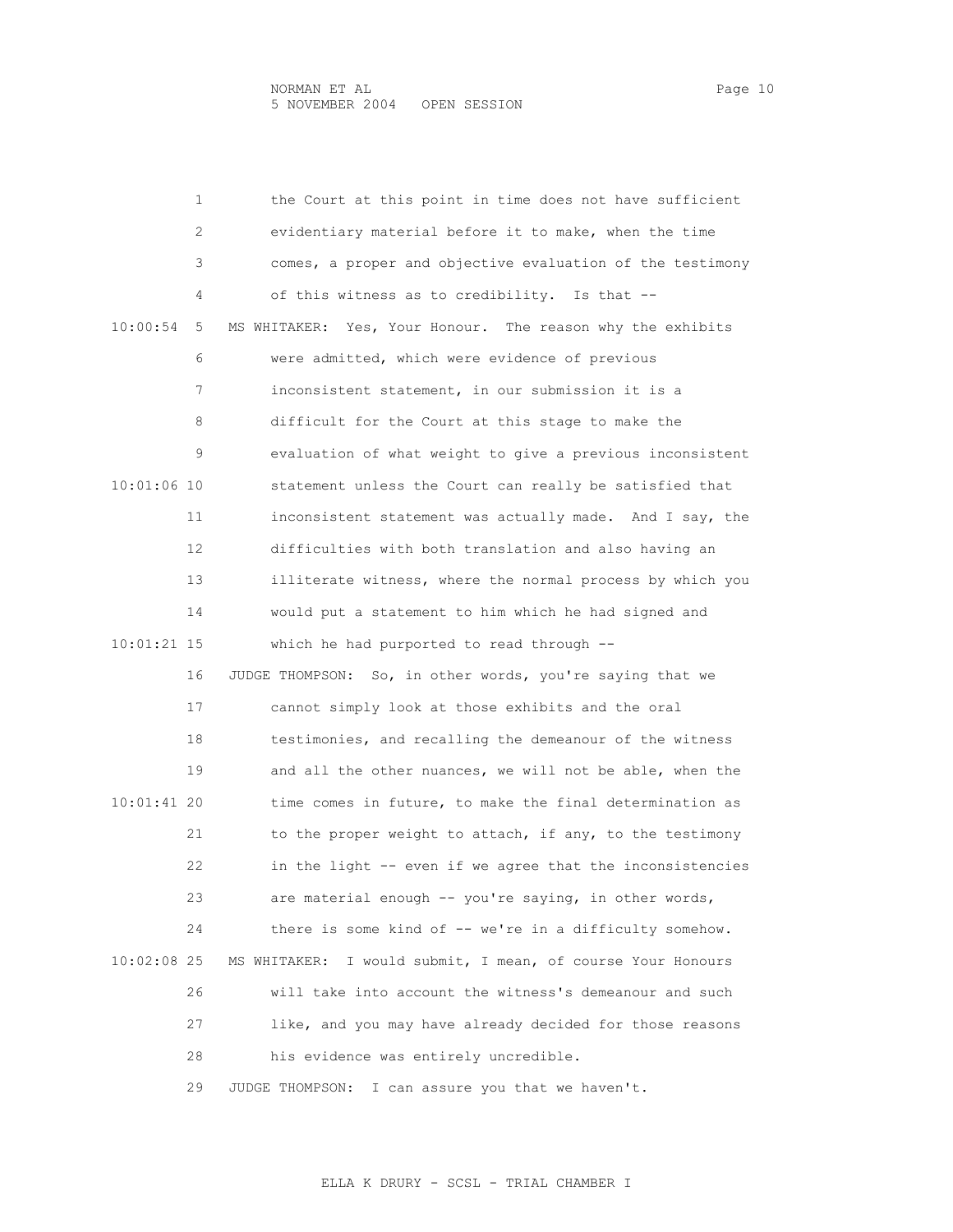|               | 1  | the Court at this point in time does not have sufficient       |
|---------------|----|----------------------------------------------------------------|
|               | 2  | evidentiary material before it to make, when the time          |
|               | 3  | comes, a proper and objective evaluation of the testimony      |
|               | 4  | of this witness as to credibility. Is that --                  |
| 10:00:54      | 5  | Yes, Your Honour. The reason why the exhibits<br>MS WHITAKER:  |
|               | 6  | were admitted, which were evidence of previous                 |
|               | 7  | inconsistent statement, in our submission it is a              |
|               | 8  | difficult for the Court at this stage to make the              |
|               | 9  | evaluation of what weight to give a previous inconsistent      |
| 10:01:06 10   |    | statement unless the Court can really be satisfied that        |
|               | 11 | inconsistent statement was actually made. And I say, the       |
|               | 12 | difficulties with both translation and also having an          |
|               | 13 | illiterate witness, where the normal process by which you      |
|               | 14 | would put a statement to him which he had signed and           |
| 10:01:21 15   |    | which he had purported to read through --                      |
|               | 16 | JUDGE THOMPSON: So, in other words, you're saying that we      |
|               | 17 | cannot simply look at those exhibits and the oral              |
|               | 18 | testimonies, and recalling the demeanour of the witness        |
|               | 19 | and all the other nuances, we will not be able, when the       |
| $10:01:41$ 20 |    | time comes in future, to make the final determination as       |
|               | 21 | to the proper weight to attach, if any, to the testimony       |
|               | 22 | in the light -- even if we agree that the inconsistencies      |
|               | 23 | are material enough -- you're saying, in other words,          |
|               | 24 | there is some kind of -- we're in a difficulty somehow.        |
| $10:02:08$ 25 |    | I would submit, I mean, of course Your Honours<br>MS WHITAKER: |
|               | 26 | will take into account the witness's demeanour and such        |
|               | 27 | like, and you may have already decided for those reasons       |
|               | 28 | his evidence was entirely uncredible.                          |
|               | 29 | I can assure you that we haven't.<br>JUDGE THOMPSON:           |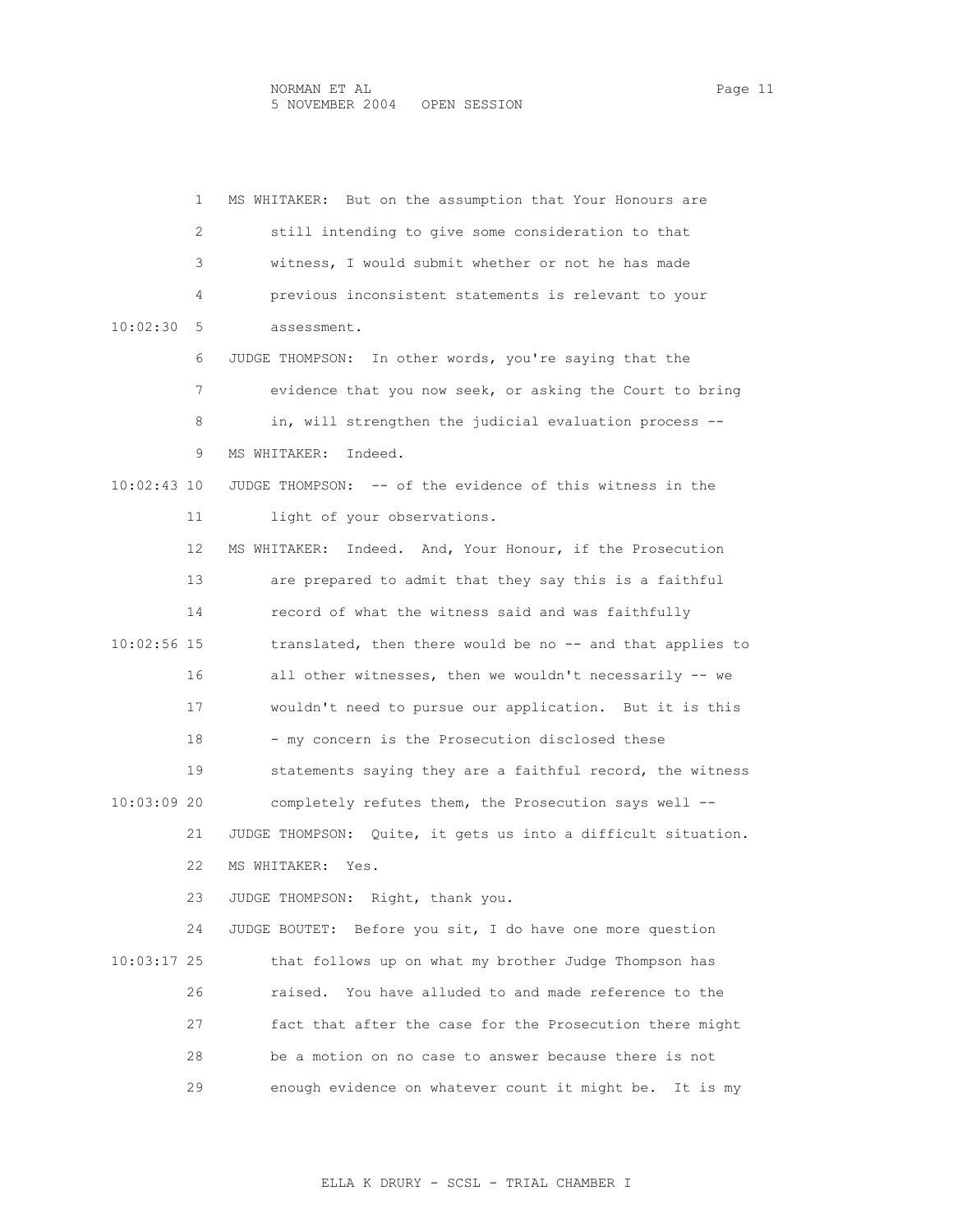1 MS WHITAKER: But on the assumption that Your Honours are 2 still intending to give some consideration to that 3 witness, I would submit whether or not he has made 4 previous inconsistent statements is relevant to your 10:02:30 5 assessment. 6 JUDGE THOMPSON: In other words, you're saying that the 7 evidence that you now seek, or asking the Court to bring 8 in, will strengthen the judicial evaluation process -- 9 MS WHITAKER: Indeed. 10:02:43 10 JUDGE THOMPSON: -- of the evidence of this witness in the 11 light of your observations. 12 MS WHITAKER: Indeed. And, Your Honour, if the Prosecution 13 are prepared to admit that they say this is a faithful 14 record of what the witness said and was faithfully 10:02:56 15 translated, then there would be no -- and that applies to 16 all other witnesses, then we wouldn't necessarily -- we 17 wouldn't need to pursue our application. But it is this 18 - my concern is the Prosecution disclosed these 19 statements saying they are a faithful record, the witness 10:03:09 20 completely refutes them, the Prosecution says well -- 21 JUDGE THOMPSON: Quite, it gets us into a difficult situation. 22 MS WHITAKER: Yes. 23 JUDGE THOMPSON: Right, thank you. 24 JUDGE BOUTET: Before you sit, I do have one more question 10:03:17 25 that follows up on what my brother Judge Thompson has 26 raised. You have alluded to and made reference to the 27 fact that after the case for the Prosecution there might 28 be a motion on no case to answer because there is not 29 enough evidence on whatever count it might be. It is my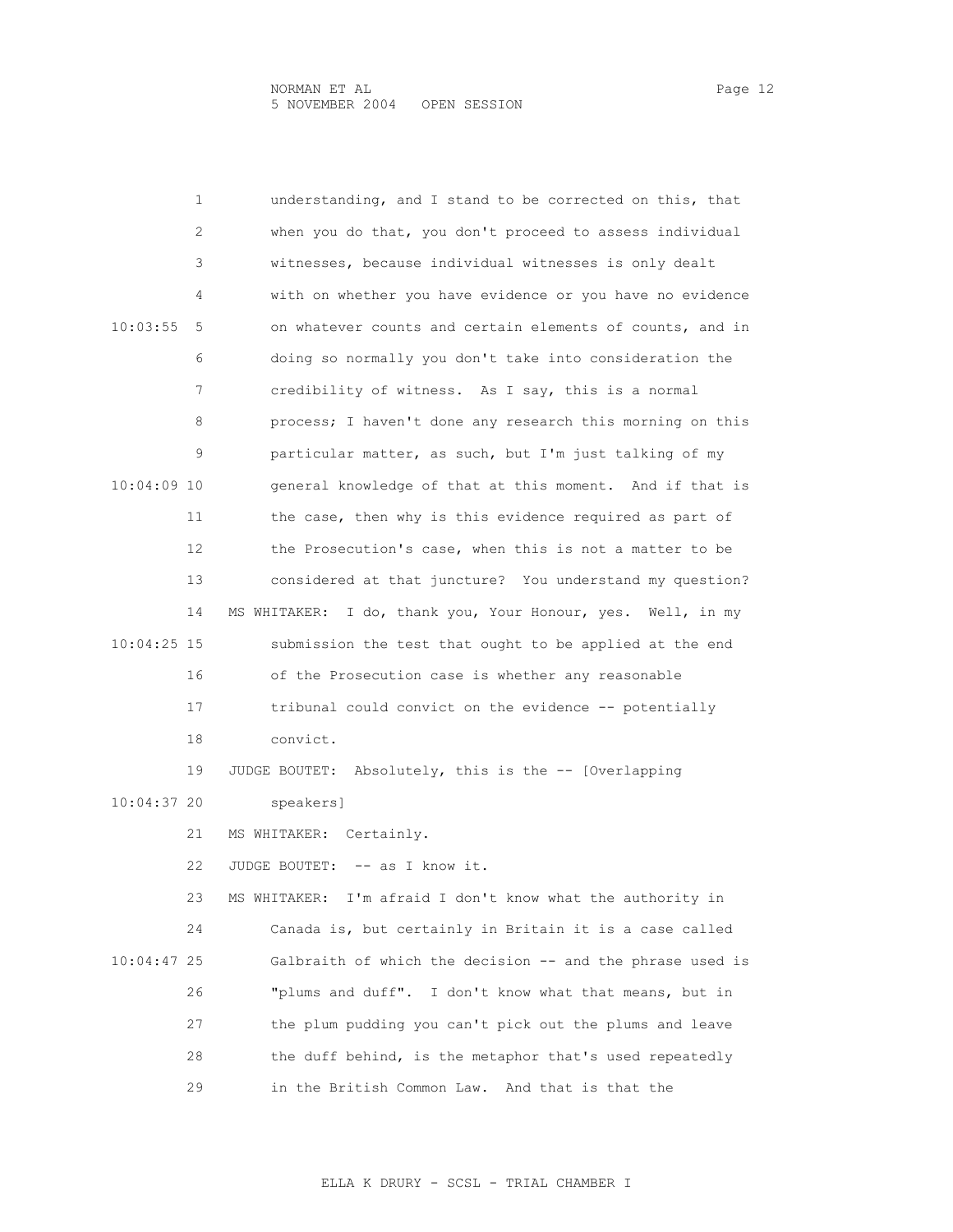1 understanding, and I stand to be corrected on this, that 2 when you do that, you don't proceed to assess individual 3 witnesses, because individual witnesses is only dealt 4 with on whether you have evidence or you have no evidence 10:03:55 5 on whatever counts and certain elements of counts, and in 6 doing so normally you don't take into consideration the 7 credibility of witness. As I say, this is a normal 8 process; I haven't done any research this morning on this 9 particular matter, as such, but I'm just talking of my 10:04:09 10 general knowledge of that at this moment. And if that is 11 the case, then why is this evidence required as part of 12 the Prosecution's case, when this is not a matter to be 13 considered at that juncture? You understand my question? 14 MS WHITAKER: I do, thank you, Your Honour, yes. Well, in my 10:04:25 15 submission the test that ought to be applied at the end 16 of the Prosecution case is whether any reasonable 17 tribunal could convict on the evidence -- potentially 18 convict. 19 JUDGE BOUTET: Absolutely, this is the -- [Overlapping 10:04:37 20 speakers] 21 MS WHITAKER: Certainly. 22 JUDGE BOUTET: -- as I know it. 23 MS WHITAKER: I'm afraid I don't know what the authority in 24 Canada is, but certainly in Britain it is a case called 10:04:47 25 Galbraith of which the decision -- and the phrase used is 26 "plums and duff". I don't know what that means, but in 27 the plum pudding you can't pick out the plums and leave 28 the duff behind, is the metaphor that's used repeatedly 29 in the British Common Law. And that is that the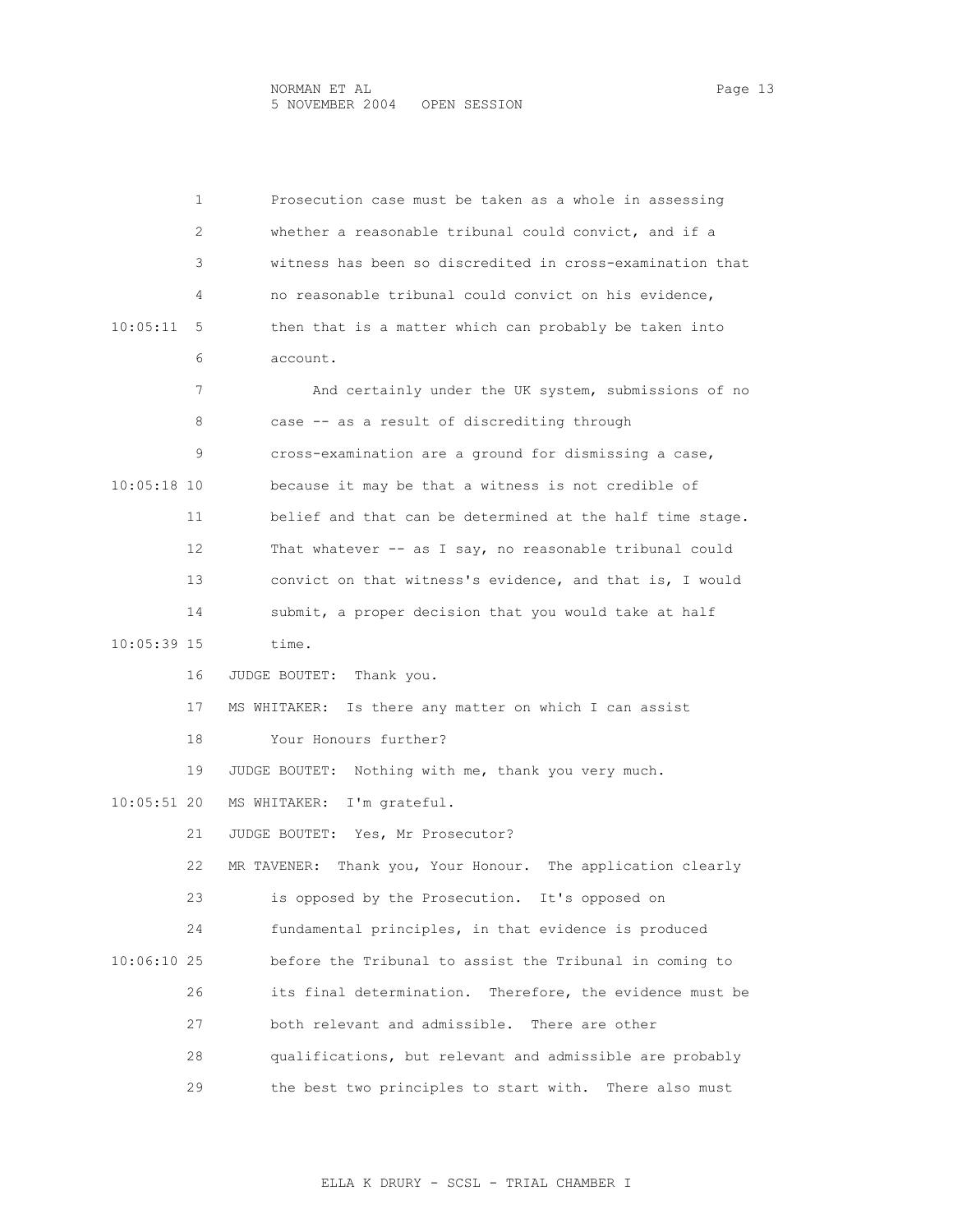|             | 1  | Prosecution case must be taken as a whole in assessing         |
|-------------|----|----------------------------------------------------------------|
|             | 2  | whether a reasonable tribunal could convict, and if a          |
|             | 3  | witness has been so discredited in cross-examination that      |
|             | 4  | no reasonable tribunal could convict on his evidence,          |
| 10:05:11    | 5  | then that is a matter which can probably be taken into         |
|             | 6  | account.                                                       |
|             | 7  | And certainly under the UK system, submissions of no           |
|             | 8  | case -- as a result of discrediting through                    |
|             | 9  | cross-examination are a ground for dismissing a case,          |
| 10:05:18 10 |    | because it may be that a witness is not credible of            |
|             | 11 | belief and that can be determined at the half time stage.      |
|             | 12 | That whatever -- as I say, no reasonable tribunal could        |
|             | 13 | convict on that witness's evidence, and that is, I would       |
|             | 14 | submit, a proper decision that you would take at half          |
| 10:05:39 15 |    | time.                                                          |
|             | 16 | JUDGE BOUTET:<br>Thank you.                                    |
|             | 17 | MS WHITAKER: Is there any matter on which I can assist         |
|             | 18 | Your Honours further?                                          |
|             | 19 | JUDGE BOUTET: Nothing with me, thank you very much.            |
| 10:05:51 20 |    | I'm grateful.<br>MS WHITAKER:                                  |
|             | 21 | JUDGE BOUTET: Yes, Mr Prosecutor?                              |
|             | 22 | Thank you, Your Honour. The application clearly<br>MR TAVENER: |
|             | 23 | is opposed by the Prosecution. It's opposed on                 |
|             | 24 | fundamental principles, in that evidence is produced           |
| 10:06:10 25 |    | before the Tribunal to assist the Tribunal in coming to        |
|             | 26 | Therefore, the evidence must be<br>its final determination.    |
|             | 27 | both relevant and admissible. There are other                  |
|             | 28 | qualifications, but relevant and admissible are probably       |
|             | 29 | the best two principles to start with. There also must         |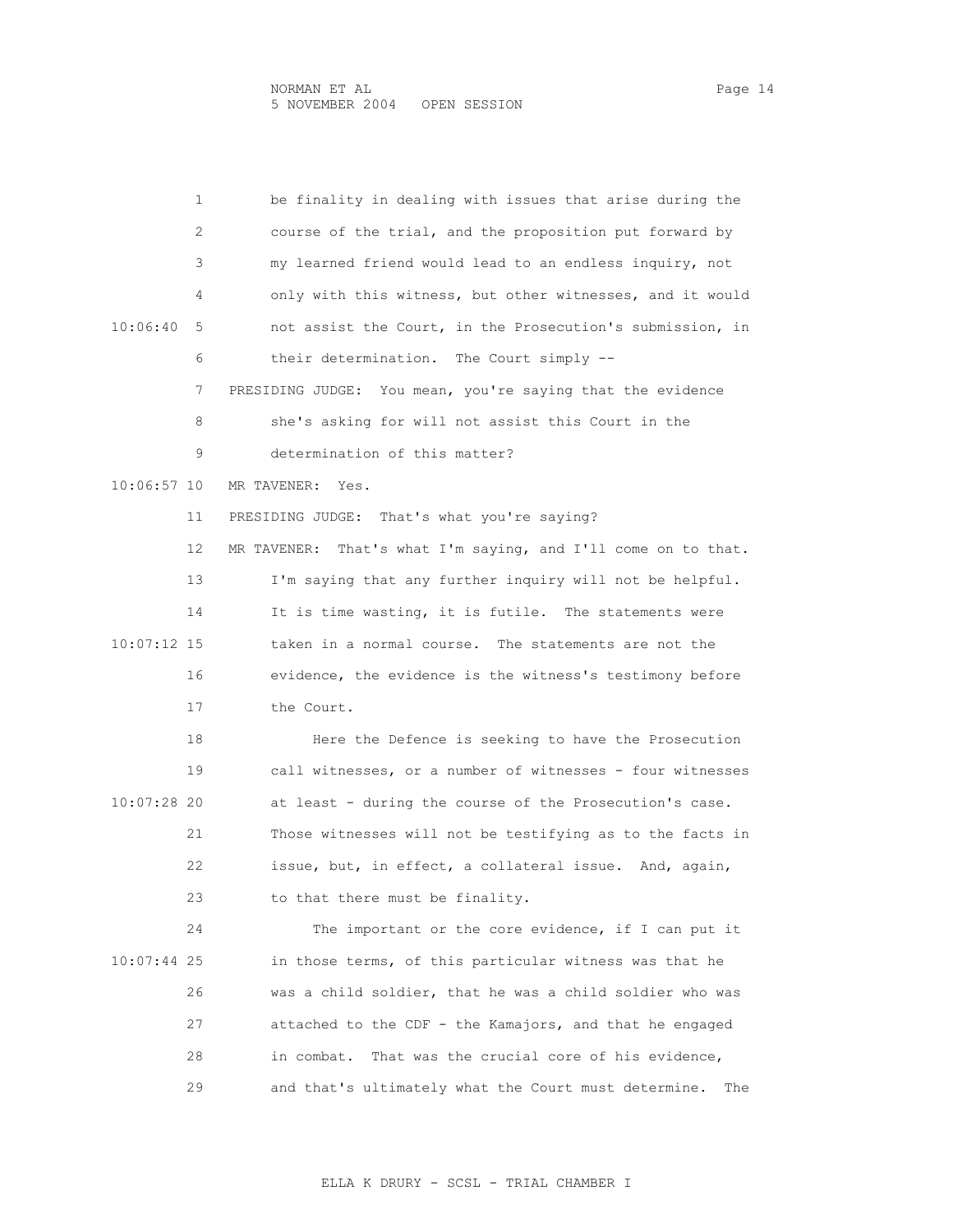| 1             | be finality in dealing with issues that arise during the         |
|---------------|------------------------------------------------------------------|
| 2             | course of the trial, and the proposition put forward by          |
| З             | my learned friend would lead to an endless inquiry, not          |
| 4             | only with this witness, but other witnesses, and it would        |
| 10:06:40<br>5 | not assist the Court, in the Prosecution's submission, in        |
| 6             | their determination. The Court simply --                         |
| 7             | PRESIDING JUDGE: You mean, you're saying that the evidence       |
| 8             | she's asking for will not assist this Court in the               |
| 9             | determination of this matter?                                    |
| 10:06:57 10   | MR TAVENER:<br>Yes.                                              |
| 11            | PRESIDING JUDGE: That's what you're saying?                      |
| 12            | That's what I'm saying, and I'll come on to that.<br>MR TAVENER: |
| 13            | I'm saying that any further inquiry will not be helpful.         |
| 14            | It is time wasting, it is futile. The statements were            |
| 10:07:12 15   | taken in a normal course. The statements are not the             |
| 16            | evidence, the evidence is the witness's testimony before         |
| 17            | the Court.                                                       |
| 18            | Here the Defence is seeking to have the Prosecution              |
| 19            | call witnesses, or a number of witnesses - four witnesses        |
| 10:07:28 20   | at least - during the course of the Prosecution's case.          |
| 21            | Those witnesses will not be testifying as to the facts in        |
| 22            | issue, but, in effect, a collateral issue. And, again,           |
| 23            | to that there must be finality.                                  |
| 24            | The important or the core evidence, if I can put it              |
| $10:07:44$ 25 | in those terms, of this particular witness was that he           |
| 26            | was a child soldier, that he was a child soldier who was         |
| 27            | attached to the CDF - the Kamajors, and that he engaged          |
| 28            | That was the crucial core of his evidence,<br>in combat.         |

29 and that's ultimately what the Court must determine. The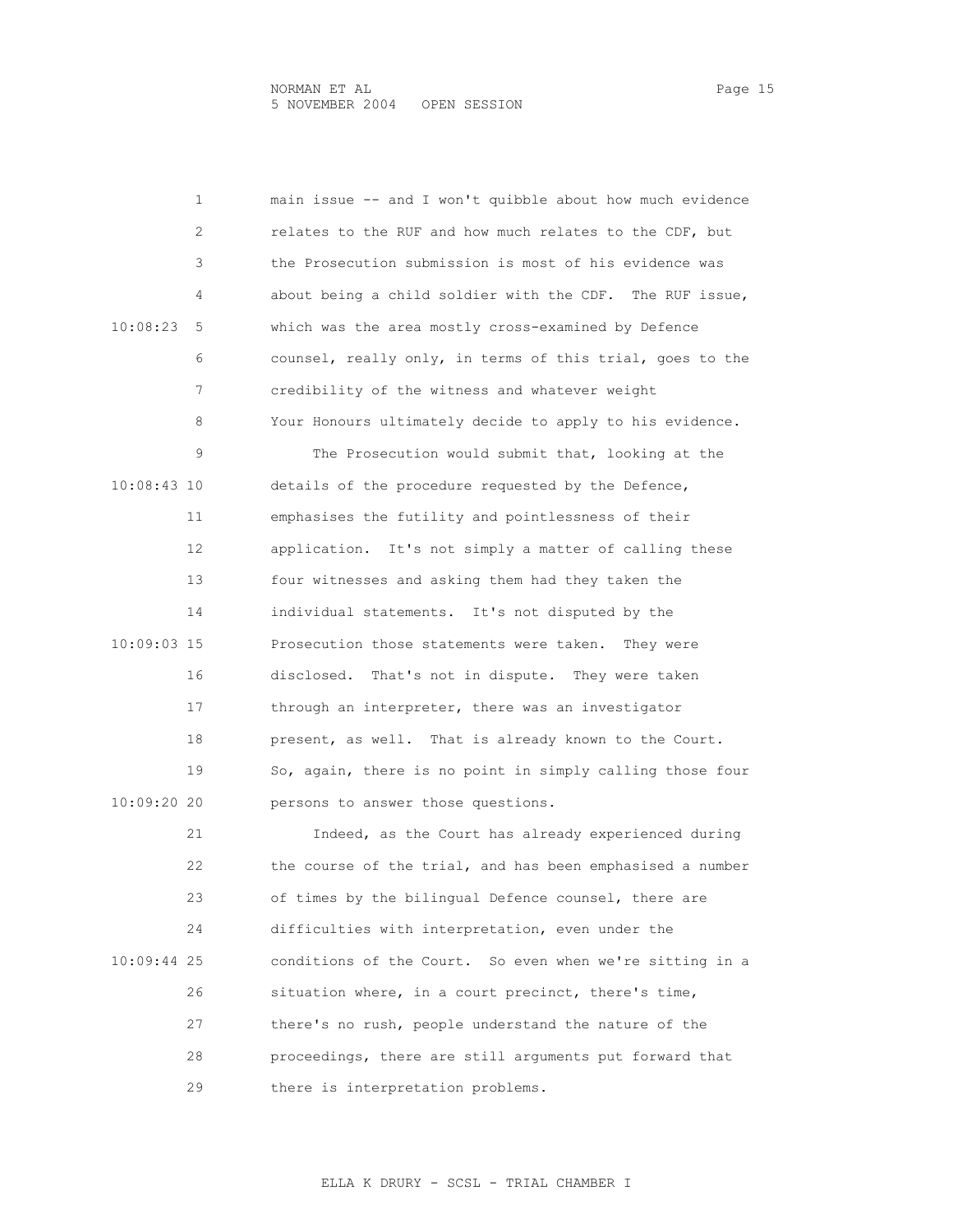| 1             | main issue -- and I won't quibble about how much evidence |
|---------------|-----------------------------------------------------------|
| 2             | relates to the RUF and how much relates to the CDF, but   |
| 3             | the Prosecution submission is most of his evidence was    |
| 4             | about being a child soldier with the CDF. The RUF issue,  |
| 10:08:23<br>5 | which was the area mostly cross-examined by Defence       |
| 6             | counsel, really only, in terms of this trial, goes to the |
| 7             | credibility of the witness and whatever weight            |
| 8             | Your Honours ultimately decide to apply to his evidence.  |
| 9             | The Prosecution would submit that, looking at the         |
| 10:08:43 10   | details of the procedure requested by the Defence,        |
| 11            | emphasises the futility and pointlessness of their        |
| 12            | application. It's not simply a matter of calling these    |
| 13            | four witnesses and asking them had they taken the         |
| 14            | individual statements. It's not disputed by the           |
| 10:09:03 15   | Prosecution those statements were taken.<br>They were     |
| 16            | disclosed.<br>That's not in dispute. They were taken      |
| 17            | through an interpreter, there was an investigator         |
| 18            | present, as well. That is already known to the Court.     |
| 19            | So, again, there is no point in simply calling those four |
| 10:09:20 20   | persons to answer those questions.                        |
| 21            | Indeed, as the Court has already experienced during       |
| 22            | the course of the trial, and has been emphasised a number |
| 23            | of times by the bilingual Defence counsel, there are      |
| 24            | difficulties with interpretation, even under the          |
| 10:09:44 25   | conditions of the Court. So even when we're sitting in a  |
| 26            | situation where, in a court precinct, there's time,       |
| 27            | there's no rush, people understand the nature of the      |
| 28            | proceedings, there are still arguments put forward that   |
| 29            | there is interpretation problems.                         |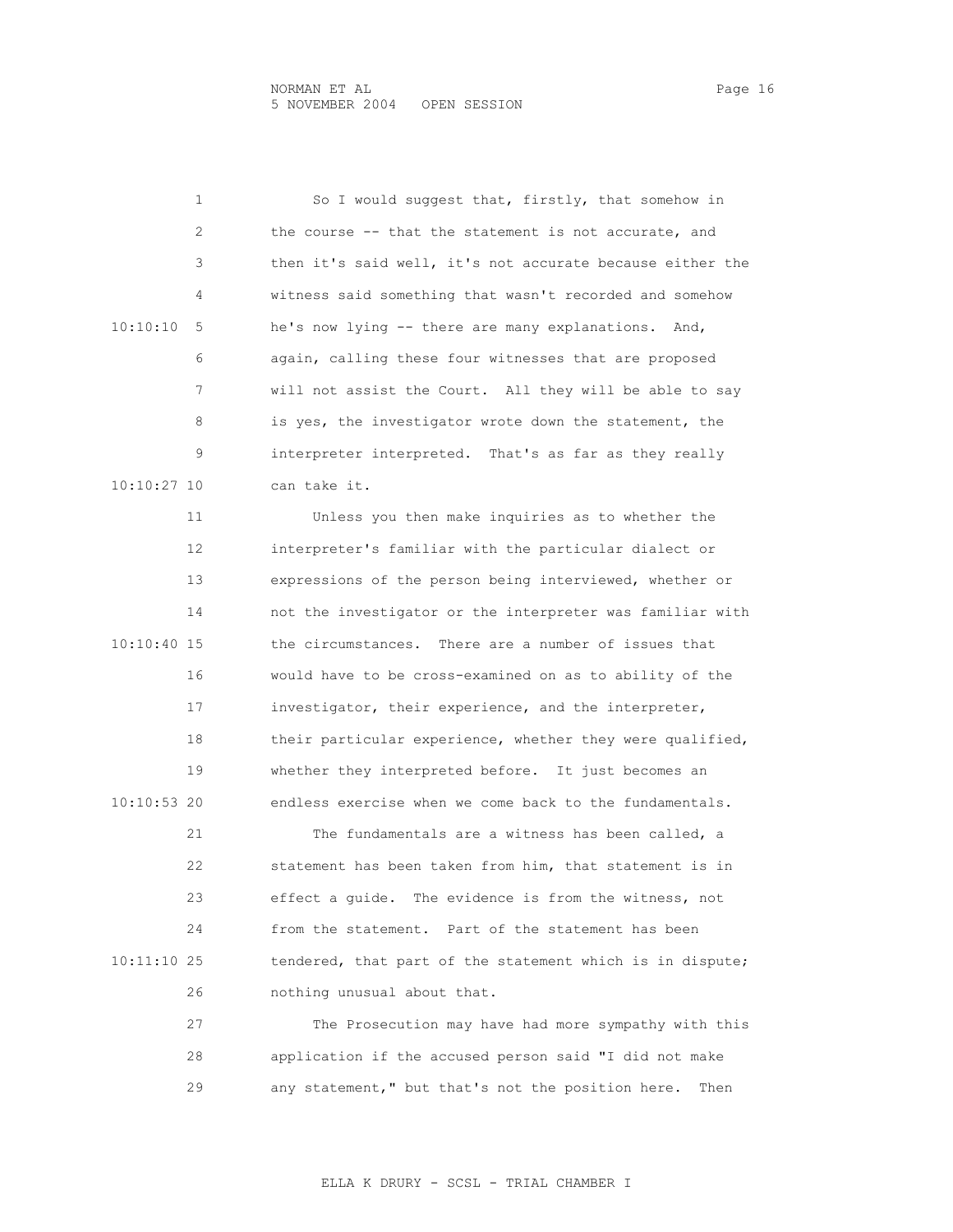| 1             | So I would suggest that, firstly, that somehow in         |
|---------------|-----------------------------------------------------------|
| 2             | the course -- that the statement is not accurate, and     |
| 3             | then it's said well, it's not accurate because either the |
| 4             | witness said something that wasn't recorded and somehow   |
| 10:10:10<br>5 | he's now lying -- there are many explanations. And,       |
| 6             | again, calling these four witnesses that are proposed     |
| 7             | will not assist the Court. All they will be able to say   |
| 8             | is yes, the investigator wrote down the statement, the    |
| 9             | interpreter interpreted. That's as far as they really     |
| 10:10:27 10   | can take it.                                              |
| 11            | Unless you then make inquiries as to whether the          |
| 12            | interpreter's familiar with the particular dialect or     |
| 13            | expressions of the person being interviewed, whether or   |
| 14            | not the investigator or the interpreter was familiar with |
| 10:10:40 15   | the circumstances. There are a number of issues that      |
| 16            | would have to be cross-examined on as to ability of the   |
| 17            | investigator, their experience, and the interpreter,      |
| 18            | their particular experience, whether they were qualified, |
| 19            | whether they interpreted before. It just becomes an       |
| 10:10:53 20   | endless exercise when we come back to the fundamentals.   |
| 21            | The fundamentals are a witness has been called, a         |
| 22            | statement has been taken from him, that statement is in   |
| 23            | effect a quide. The evidence is from the witness, not     |
| 24            | Part of the statement has been<br>from the statement.     |
| 10:11:10 25   | tendered, that part of the statement which is in dispute; |
| 26            | nothing unusual about that.                               |
| 27            | The Prosecution may have had more sympathy with this      |
| 28            | application if the accused person said "I did not make    |

29 any statement," but that's not the position here. Then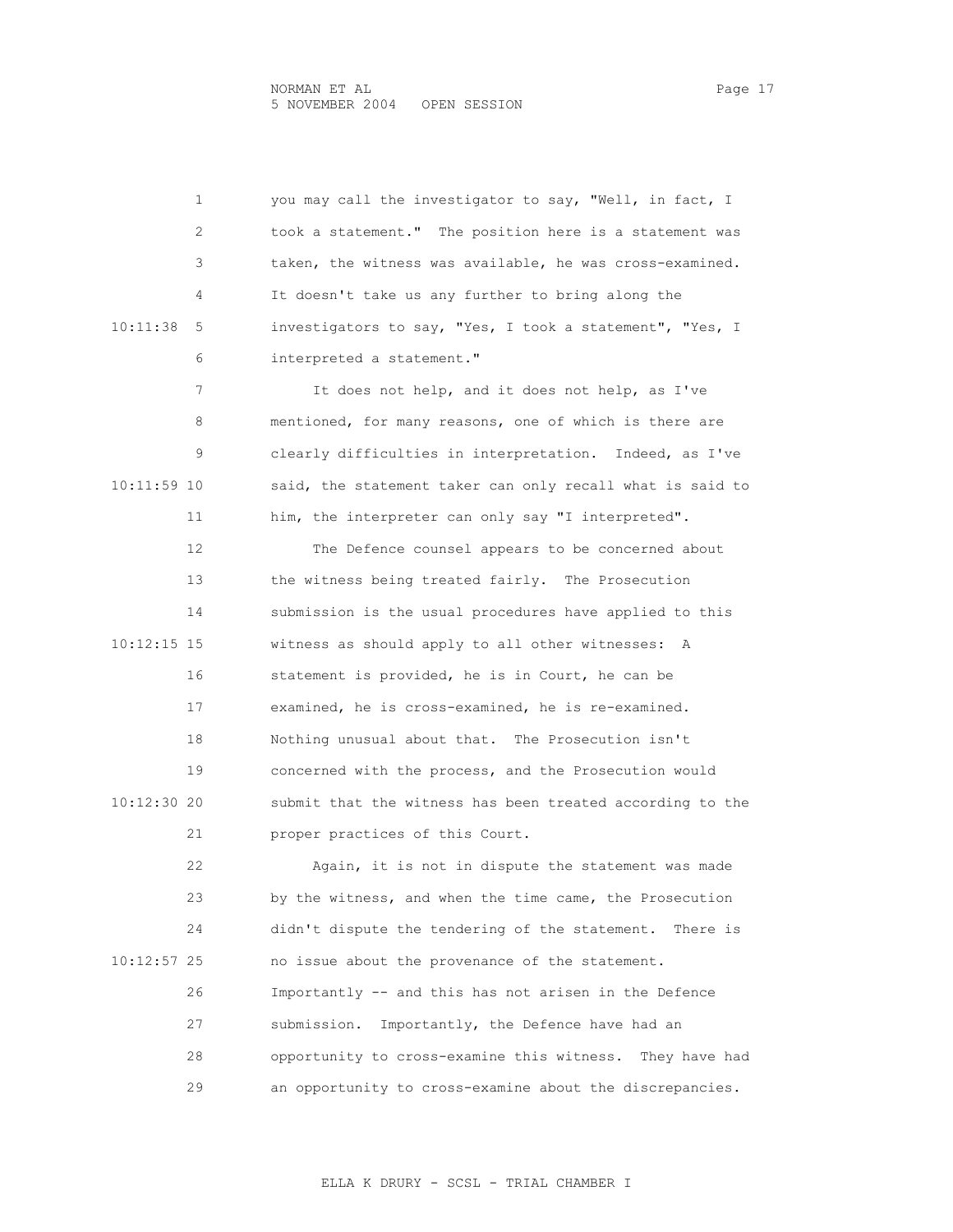1 you may call the investigator to say, "Well, in fact, I 2 took a statement." The position here is a statement was 3 taken, the witness was available, he was cross-examined. 4 It doesn't take us any further to bring along the 10:11:38 5 investigators to say, "Yes, I took a statement", "Yes, I 6 interpreted a statement." 7 It does not help, and it does not help, as I've 8 mentioned, for many reasons, one of which is there are 9 clearly difficulties in interpretation. Indeed, as I've 10:11:59 10 said, the statement taker can only recall what is said to 11 him, the interpreter can only say "I interpreted". 12 The Defence counsel appears to be concerned about 13 the witness being treated fairly. The Prosecution 14 submission is the usual procedures have applied to this 10:12:15 15 witness as should apply to all other witnesses: A 16 statement is provided, he is in Court, he can be 17 examined, he is cross-examined, he is re-examined. 18 Nothing unusual about that. The Prosecution isn't 19 concerned with the process, and the Prosecution would 10:12:30 20 submit that the witness has been treated according to the 21 proper practices of this Court. 22 Again, it is not in dispute the statement was made 23 by the witness, and when the time came, the Prosecution 24 didn't dispute the tendering of the statement. There is 10:12:57 25 no issue about the provenance of the statement. 26 Importantly -- and this has not arisen in the Defence 27 submission. Importantly, the Defence have had an 28 opportunity to cross-examine this witness. They have had 29 an opportunity to cross-examine about the discrepancies.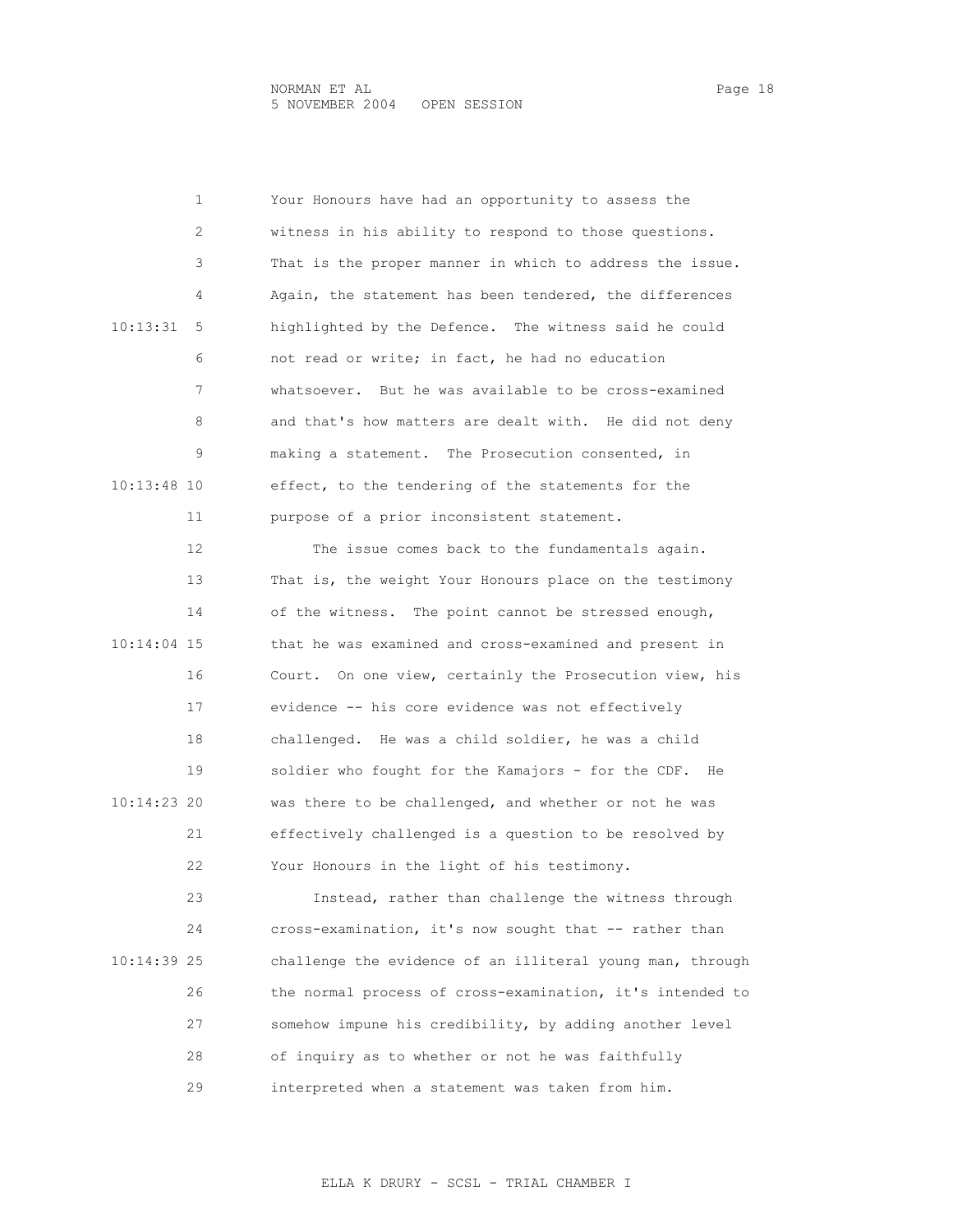1 Your Honours have had an opportunity to assess the 2 witness in his ability to respond to those questions. 3 That is the proper manner in which to address the issue. 4 Again, the statement has been tendered, the differences 10:13:31 5 highlighted by the Defence. The witness said he could 6 not read or write; in fact, he had no education 7 whatsoever. But he was available to be cross-examined 8 and that's how matters are dealt with. He did not deny 9 making a statement. The Prosecution consented, in 10:13:48 10 effect, to the tendering of the statements for the 11 purpose of a prior inconsistent statement. 12 The issue comes back to the fundamentals again. 13 That is, the weight Your Honours place on the testimony 14 of the witness. The point cannot be stressed enough, 10:14:04 15 that he was examined and cross-examined and present in 16 Court. On one view, certainly the Prosecution view, his 17 evidence -- his core evidence was not effectively 18 challenged. He was a child soldier, he was a child 19 soldier who fought for the Kamajors - for the CDF. He 10:14:23 20 was there to be challenged, and whether or not he was 21 effectively challenged is a question to be resolved by 22 Your Honours in the light of his testimony. 23 Instead, rather than challenge the witness through 24 cross-examination, it's now sought that -- rather than 10:14:39 25 challenge the evidence of an illiteral young man, through

 27 somehow impune his credibility, by adding another level 28 of inquiry as to whether or not he was faithfully 29 interpreted when a statement was taken from him.

26 the normal process of cross-examination, it's intended to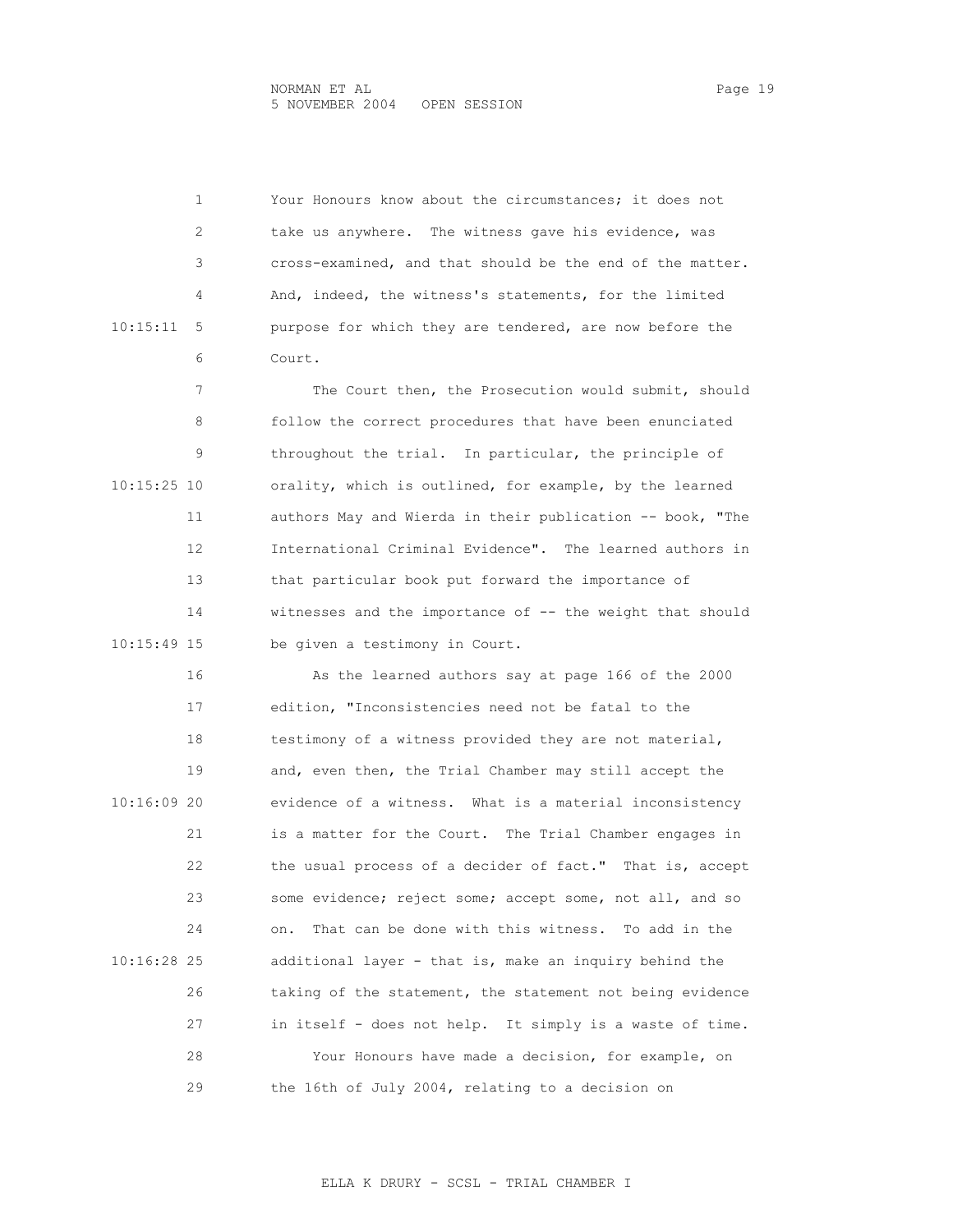1 Your Honours know about the circumstances; it does not 2 take us anywhere. The witness gave his evidence, was 3 cross-examined, and that should be the end of the matter. 4 And, indeed, the witness's statements, for the limited 10:15:11 5 purpose for which they are tendered, are now before the 6 Court. 7 The Court then, the Prosecution would submit, should 8 **6** follow the correct procedures that have been enunciated 9 throughout the trial. In particular, the principle of 10:15:25 10 orality, which is outlined, for example, by the learned 11 authors May and Wierda in their publication -- book, "The 12 International Criminal Evidence". The learned authors in 13 that particular book put forward the importance of 14 witnesses and the importance of -- the weight that should 10:15:49 15 be given a testimony in Court. 16 As the learned authors say at page 166 of the 2000 17 edition, "Inconsistencies need not be fatal to the 18 testimony of a witness provided they are not material, 19 and, even then, the Trial Chamber may still accept the 10:16:09 20 evidence of a witness. What is a material inconsistency 21 is a matter for the Court. The Trial Chamber engages in 22 the usual process of a decider of fact." That is, accept 23 some evidence; reject some; accept some, not all, and so 24 on. That can be done with this witness. To add in the 10:16:28 25 additional layer - that is, make an inquiry behind the 26 taking of the statement, the statement not being evidence 27 in itself - does not help. It simply is a waste of time. 28 Your Honours have made a decision, for example, on 29 the 16th of July 2004, relating to a decision on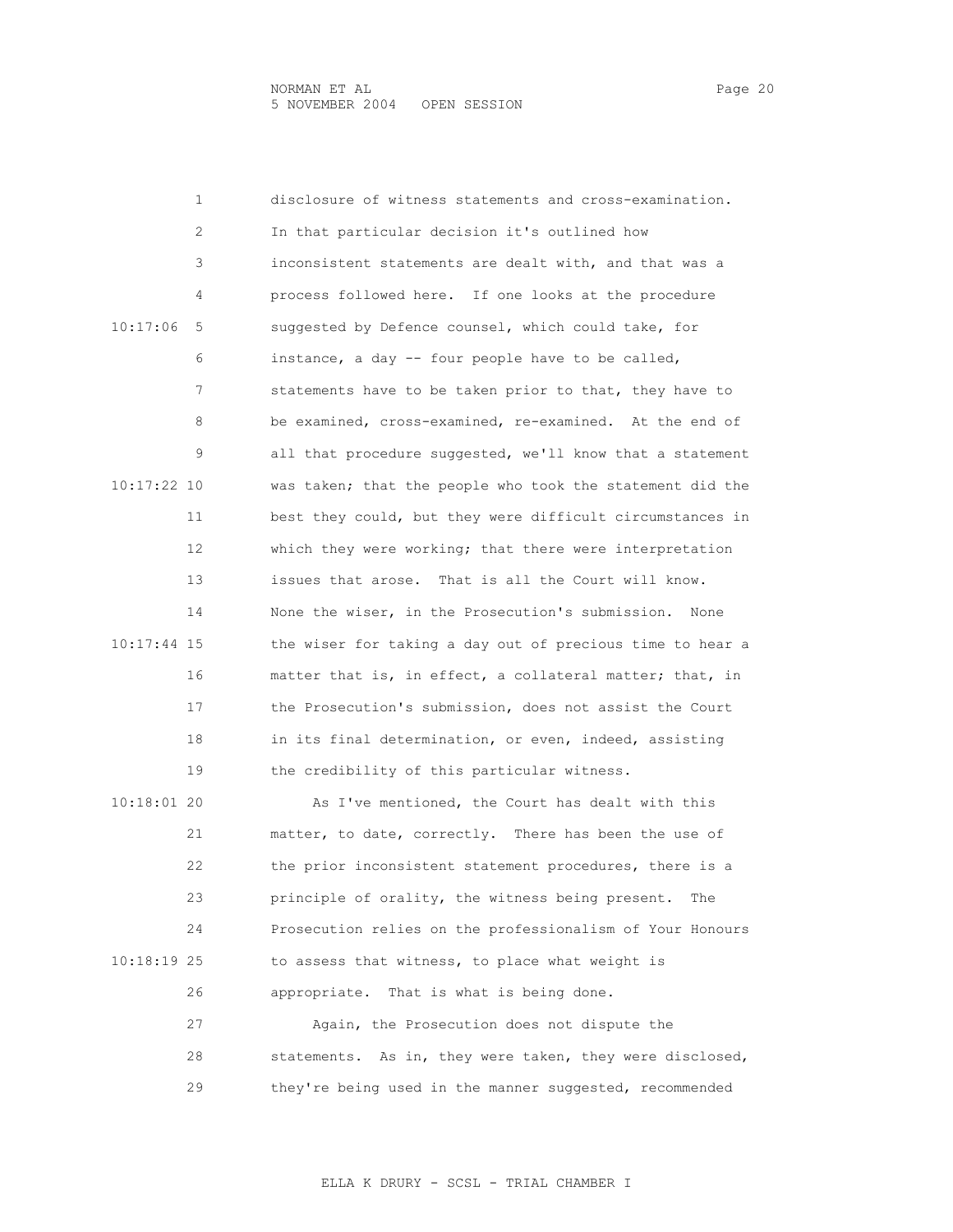1 disclosure of witness statements and cross-examination. 2 In that particular decision it's outlined how 3 inconsistent statements are dealt with, and that was a 4 process followed here. If one looks at the procedure 10:17:06 5 suggested by Defence counsel, which could take, for 6 instance, a day -- four people have to be called, 7 statements have to be taken prior to that, they have to 8 be examined, cross-examined, re-examined. At the end of 9 all that procedure suggested, we'll know that a statement 10:17:22 10 was taken; that the people who took the statement did the 11 best they could, but they were difficult circumstances in 12 which they were working; that there were interpretation 13 issues that arose. That is all the Court will know. 14 None the wiser, in the Prosecution's submission. None 10:17:44 15 the wiser for taking a day out of precious time to hear a 16 matter that is, in effect, a collateral matter; that, in 17 the Prosecution's submission, does not assist the Court 18 in its final determination, or even, indeed, assisting 19 the credibility of this particular witness. 10:18:01 20 As I've mentioned, the Court has dealt with this 21 matter, to date, correctly. There has been the use of 22 the prior inconsistent statement procedures, there is a 23 principle of orality, the witness being present. The 24 Prosecution relies on the professionalism of Your Honours 10:18:19 25 to assess that witness, to place what weight is 26 appropriate. That is what is being done. 27 Again, the Prosecution does not dispute the

28 statements. As in, they were taken, they were disclosed,

29 they're being used in the manner suggested, recommended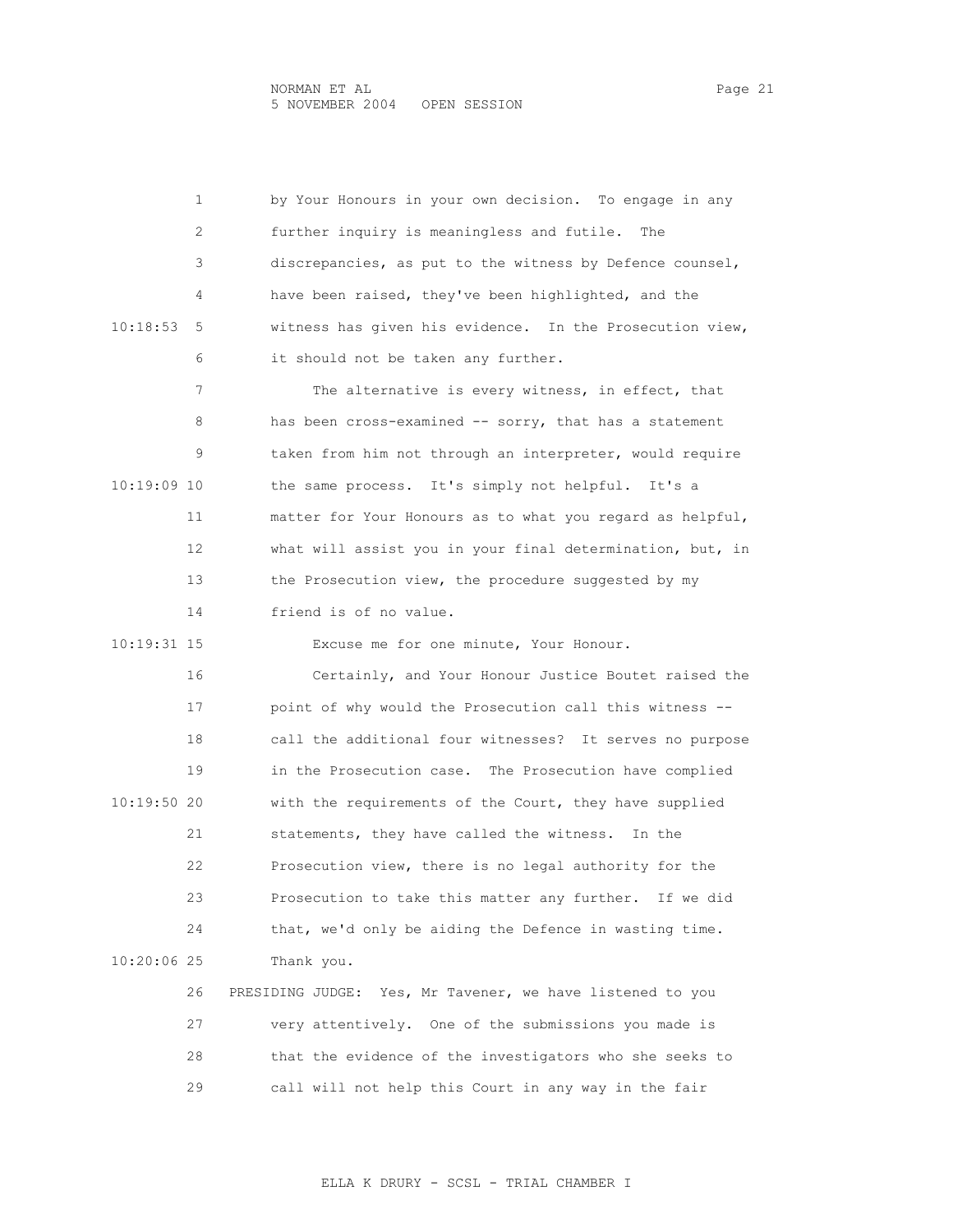|               | 1  | by Your Honours in your own decision. To engage in any    |
|---------------|----|-----------------------------------------------------------|
|               | 2  | further inquiry is meaningless and futile.<br>The         |
|               | 3  | discrepancies, as put to the witness by Defence counsel,  |
|               | 4  | have been raised, they've been highlighted, and the       |
| 10:18:53      | 5  | witness has given his evidence. In the Prosecution view,  |
|               | 6  | it should not be taken any further.                       |
|               | 7  | The alternative is every witness, in effect, that         |
|               | 8  | has been cross-examined -- sorry, that has a statement    |
|               | 9  | taken from him not through an interpreter, would require  |
| 10:19:09 10   |    | the same process. It's simply not helpful. It's a         |
|               | 11 | matter for Your Honours as to what you regard as helpful, |
|               | 12 | what will assist you in your final determination, but, in |
|               | 13 | the Prosecution view, the procedure suggested by my       |
|               | 14 | friend is of no value.                                    |
| 10:19:31 15   |    | Excuse me for one minute, Your Honour.                    |
|               | 16 | Certainly, and Your Honour Justice Boutet raised the      |
|               | 17 | point of why would the Prosecution call this witness --   |
|               | 18 | call the additional four witnesses? It serves no purpose  |
|               | 19 | in the Prosecution case. The Prosecution have complied    |
| 10:19:50 20   |    | with the requirements of the Court, they have supplied    |
|               | 21 | statements, they have called the witness. In the          |
|               | 22 | Prosecution view, there is no legal authority for the     |
|               | 23 | Prosecution to take this matter any further. If we did    |
|               | 24 | that, we'd only be aiding the Defence in wasting time.    |
| $10:20:06$ 25 |    | Thank you.                                                |
|               | 26 | PRESIDING JUDGE: Yes, Mr Tavener, we have listened to you |
|               | 27 | very attentively. One of the submissions you made is      |
|               | 28 | that the evidence of the investigators who she seeks to   |
|               | 29 | call will not help this Court in any way in the fair      |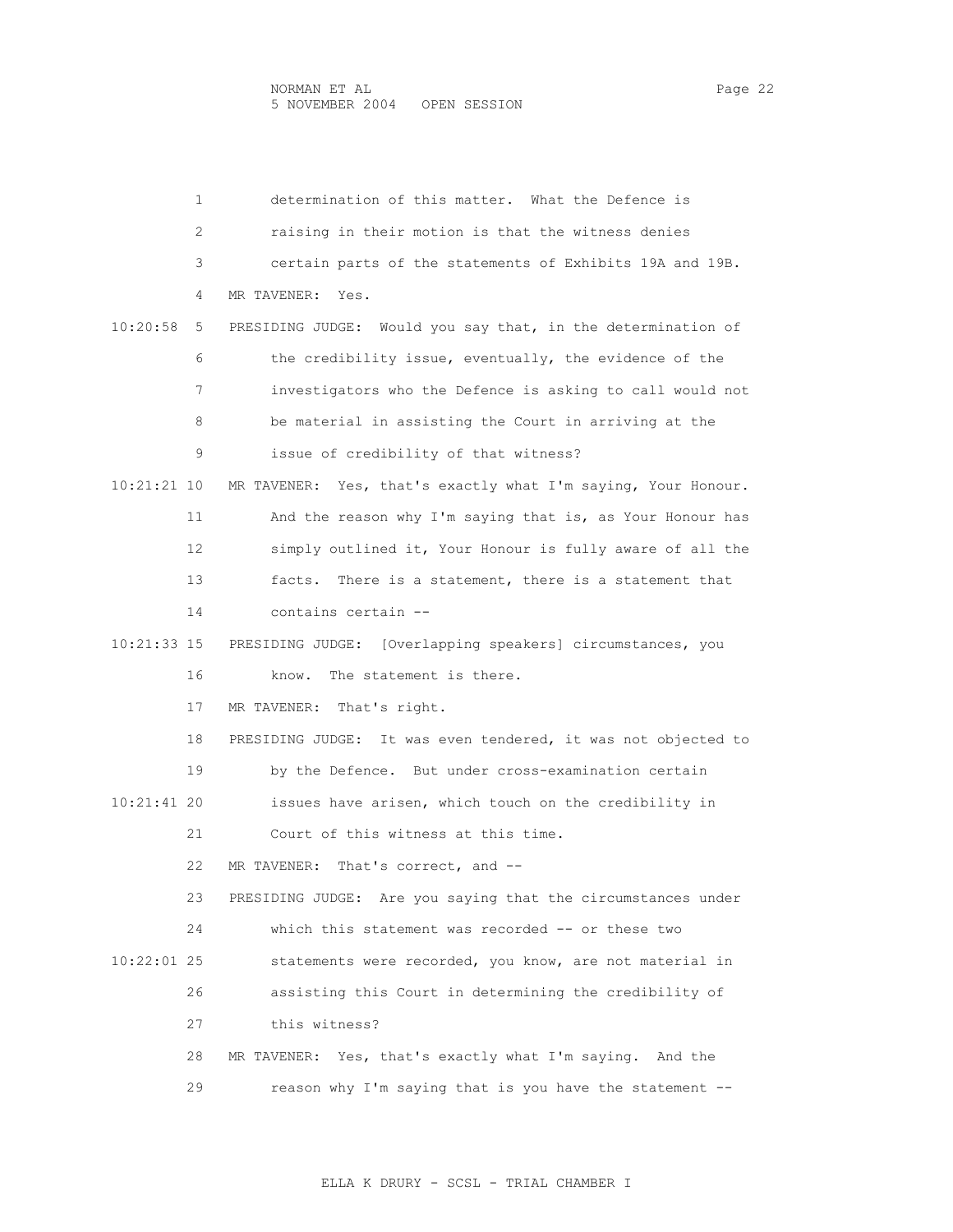|               | 1  | determination of this matter. What the Defence is             |
|---------------|----|---------------------------------------------------------------|
|               | 2  | raising in their motion is that the witness denies            |
|               | 3  | certain parts of the statements of Exhibits 19A and 19B.      |
|               | 4  | MR TAVENER:<br>Yes.                                           |
| 10:20:58      | 5  | PRESIDING JUDGE: Would you say that, in the determination of  |
|               | 6  | the credibility issue, eventually, the evidence of the        |
|               | 7  | investigators who the Defence is asking to call would not     |
|               | 8  | be material in assisting the Court in arriving at the         |
|               | 9  | issue of credibility of that witness?                         |
| 10:21:21 10   |    | MR TAVENER: Yes, that's exactly what I'm saying, Your Honour. |
|               | 11 | And the reason why I'm saying that is, as Your Honour has     |
|               | 12 | simply outlined it, Your Honour is fully aware of all the     |
|               | 13 | facts. There is a statement, there is a statement that        |
|               | 14 | contains certain --                                           |
| 10:21:33 15   |    | PRESIDING JUDGE: [Overlapping speakers] circumstances, you    |
|               | 16 | The statement is there.<br>know.                              |
|               | 17 | MR TAVENER:<br>That's right.                                  |
|               | 18 | PRESIDING JUDGE: It was even tendered, it was not objected to |
|               | 19 | by the Defence. But under cross-examination certain           |
| $10:21:41$ 20 |    | issues have arisen, which touch on the credibility in         |
|               | 21 | Court of this witness at this time.                           |
|               | 22 | That's correct, and --<br>MR TAVENER:                         |
|               | 23 | PRESIDING JUDGE: Are you saying that the circumstances under  |
|               | 24 | which this statement was recorded -- or these two             |
| 10:22:01 25   |    | statements were recorded, you know, are not material in       |
|               | 26 | assisting this Court in determining the credibility of        |
|               | 27 | this witness?                                                 |
|               | 28 | Yes, that's exactly what I'm saying. And the<br>MR TAVENER:   |
|               | 29 | reason why I'm saying that is you have the statement --       |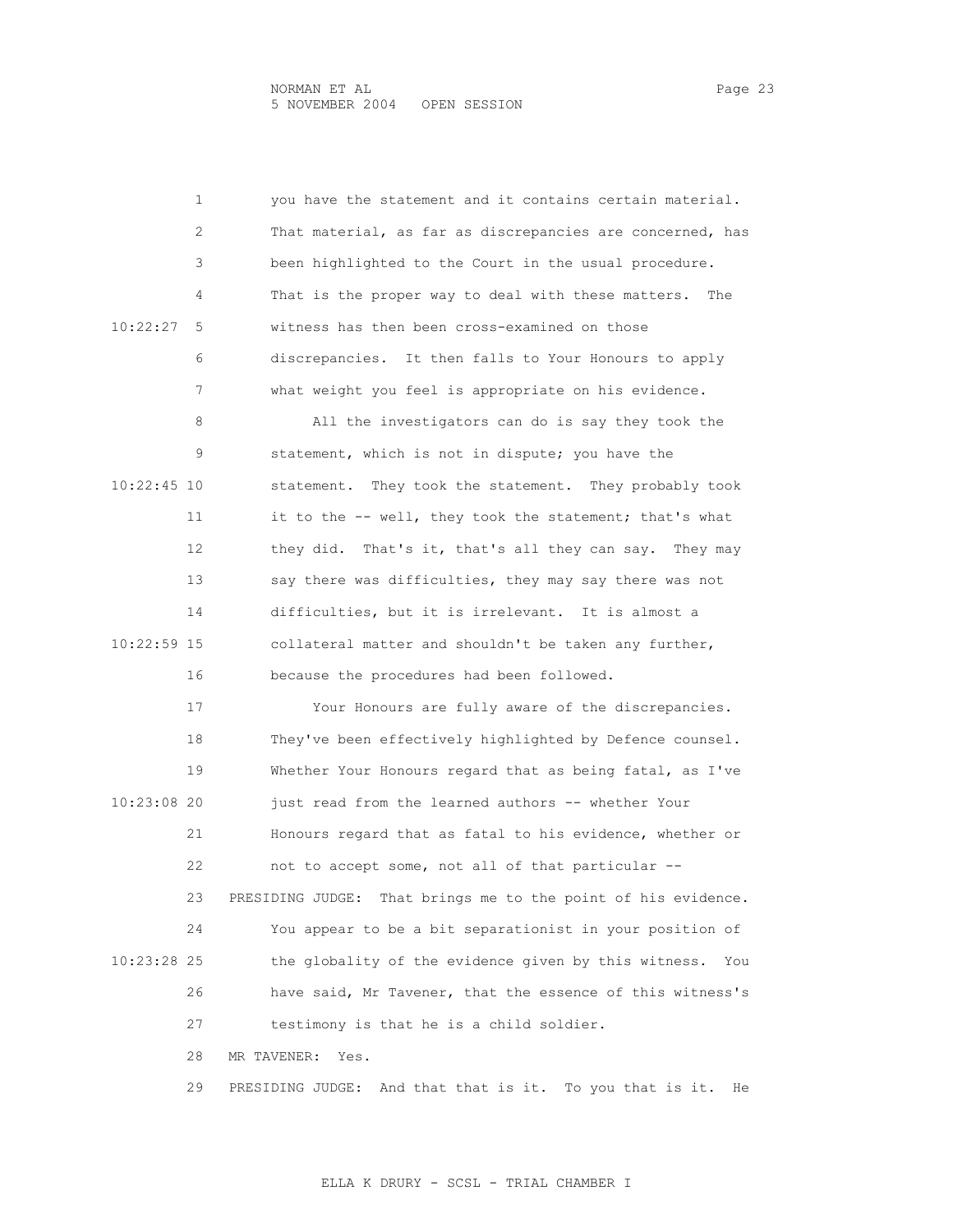1 you have the statement and it contains certain material. 2 That material, as far as discrepancies are concerned, has 3 been highlighted to the Court in the usual procedure. 4 That is the proper way to deal with these matters. The 10:22:27 5 witness has then been cross-examined on those 6 discrepancies. It then falls to Your Honours to apply 7 what weight you feel is appropriate on his evidence. 8 All the investigators can do is say they took the 9 statement, which is not in dispute; you have the 10:22:45 10 statement. They took the statement. They probably took 11 it to the -- well, they took the statement; that's what 12 they did. That's it, that's all they can say. They may 13 say there was difficulties, they may say there was not 14 difficulties, but it is irrelevant. It is almost a 10:22:59 15 collateral matter and shouldn't be taken any further, 16 because the procedures had been followed. 17 Your Honours are fully aware of the discrepancies. 18 They've been effectively highlighted by Defence counsel. 19 Whether Your Honours regard that as being fatal, as I've 10:23:08 20 just read from the learned authors -- whether Your 21 Honours regard that as fatal to his evidence, whether or 22 not to accept some, not all of that particular -- 23 PRESIDING JUDGE: That brings me to the point of his evidence. 24 You appear to be a bit separationist in your position of 10:23:28 25 the globality of the evidence given by this witness. You 26 have said, Mr Tavener, that the essence of this witness's 27 testimony is that he is a child soldier. 28 MR TAVENER: Yes. 29 PRESIDING JUDGE: And that that is it. To you that is it. He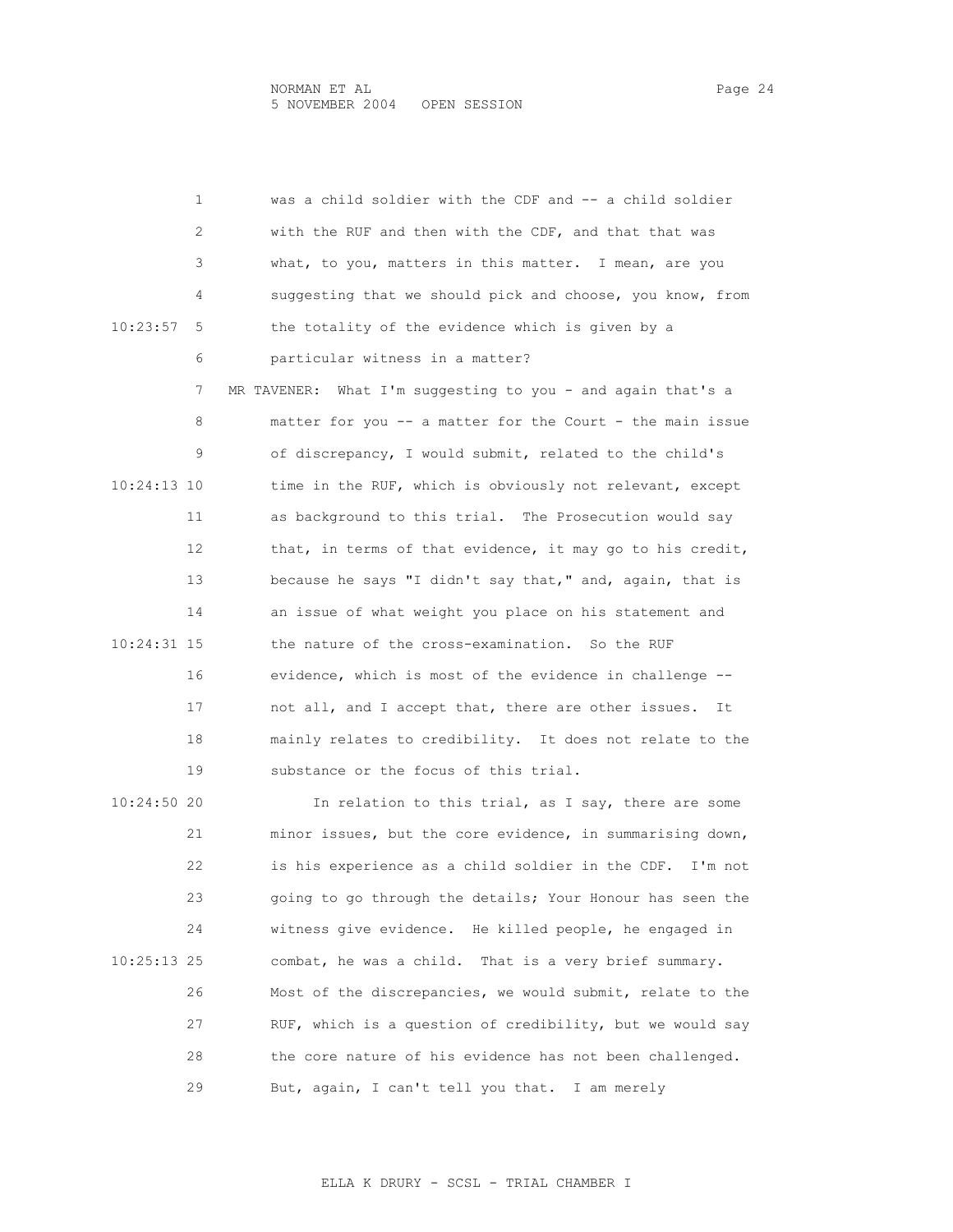|               | 1  | was a child soldier with the CDF and -- a child soldier        |
|---------------|----|----------------------------------------------------------------|
|               | 2  | with the RUF and then with the CDF, and that that was          |
|               | 3  | what, to you, matters in this matter. I mean, are you          |
|               | 4  | suggesting that we should pick and choose, you know, from      |
| 10:23:57      | 5  | the totality of the evidence which is given by a               |
|               | 6  | particular witness in a matter?                                |
|               | 7  | What I'm suggesting to you - and again that's a<br>MR TAVENER: |
|               | 8  | matter for you -- a matter for the Court - the main issue      |
|               | 9  | of discrepancy, I would submit, related to the child's         |
| 10:24:13 10   |    | time in the RUF, which is obviously not relevant, except       |
|               | 11 | as background to this trial. The Prosecution would say         |
|               | 12 | that, in terms of that evidence, it may go to his credit,      |
|               | 13 | because he says "I didn't say that," and, again, that is       |
|               | 14 | an issue of what weight you place on his statement and         |
| 10:24:31 15   |    | the nature of the cross-examination. So the RUF                |
|               | 16 | evidence, which is most of the evidence in challenge --        |
|               | 17 | not all, and I accept that, there are other issues.<br>It      |
|               | 18 | mainly relates to credibility. It does not relate to the       |
|               | 19 | substance or the focus of this trial.                          |
| 10:24:50 20   |    | In relation to this trial, as I say, there are some            |
|               | 21 | minor issues, but the core evidence, in summarising down,      |
|               | 22 | is his experience as a child soldier in the CDF. I'm not       |
|               | 23 | going to go through the details; Your Honour has seen the      |
|               | 24 | witness give evidence. He killed people, he engaged in         |
| $10:25:13$ 25 |    | combat, he was a child. That is a very brief summary.          |
|               | 26 | Most of the discrepancies, we would submit, relate to the      |
|               | 27 | RUF, which is a question of credibility, but we would say      |

28 the core nature of his evidence has not been challenged.

29 But, again, I can't tell you that. I am merely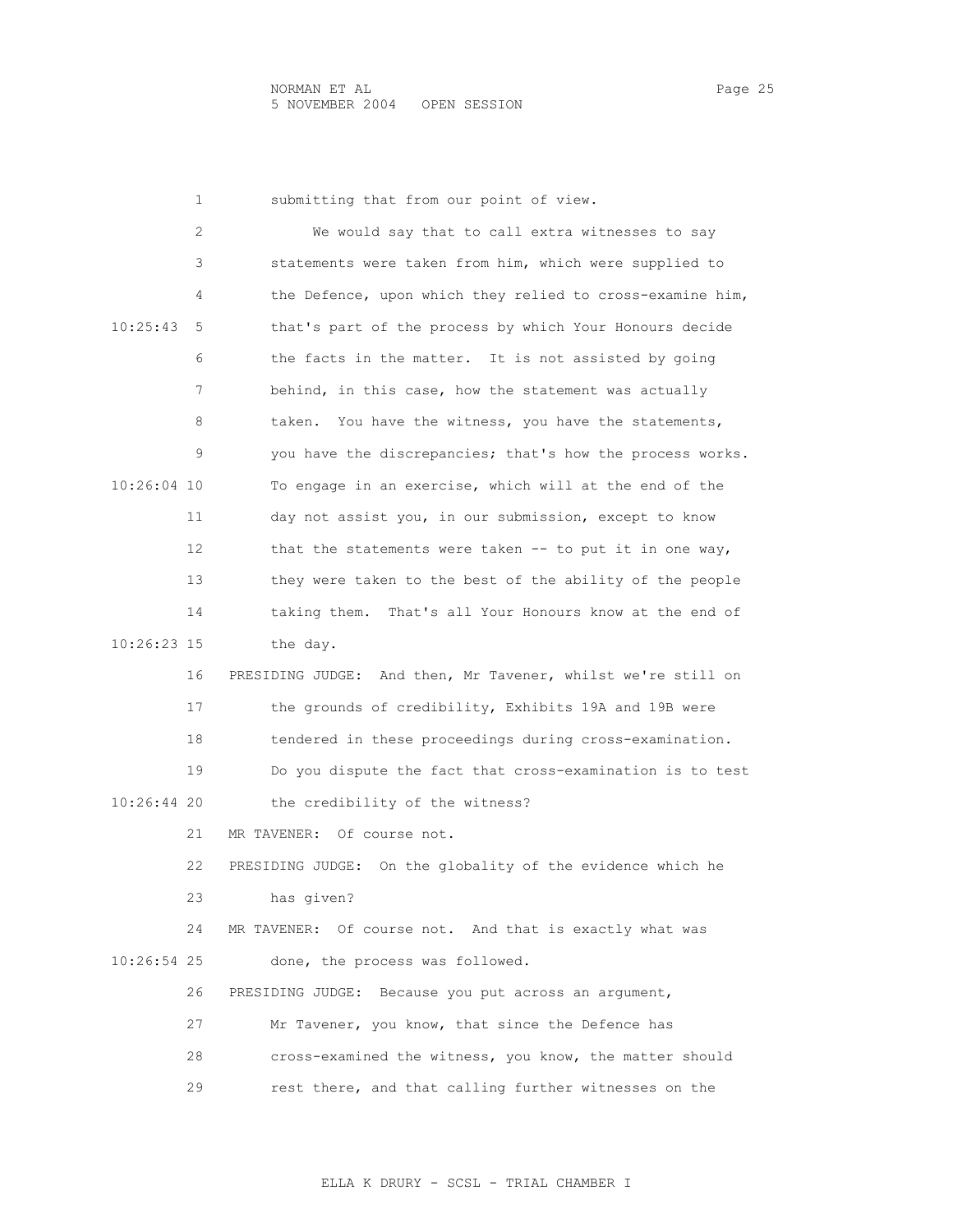| 1             | submitting that from our point of view.                       |
|---------------|---------------------------------------------------------------|
| 2             | We would say that to call extra witnesses to say              |
| 3             | statements were taken from him, which were supplied to        |
| 4             | the Defence, upon which they relied to cross-examine him,     |
| 10:25:43<br>5 | that's part of the process by which Your Honours decide       |
| 6             | the facts in the matter. It is not assisted by going          |
| 7             | behind, in this case, how the statement was actually          |
| 8             | You have the witness, you have the statements,<br>taken.      |
| 9             | you have the discrepancies; that's how the process works.     |
| 10:26:04 10   | To engage in an exercise, which will at the end of the        |
| 11            | day not assist you, in our submission, except to know         |
| 12            | that the statements were taken $--$ to put it in one way,     |
| 13            | they were taken to the best of the ability of the people      |
| 14            | taking them. That's all Your Honours know at the end of       |
| 10:26:23 15   | the day.                                                      |
| 16            | PRESIDING JUDGE: And then, Mr Tavener, whilst we're still on  |
| 17            | the grounds of credibility, Exhibits 19A and 19B were         |
| 18            | tendered in these proceedings during cross-examination.       |
| 19            | Do you dispute the fact that cross-examination is to test     |
| 10:26:44 20   | the credibility of the witness?                               |
| 21            | MR TAVENER: Of course not.                                    |
| 22            | On the globality of the evidence which he<br>PRESIDING JUDGE: |
| 23            | has given?                                                    |
| 24            | MR TAVENER: Of course not. And that is exactly what was       |
| 10:26:54 25   | done, the process was followed.                               |
| 26            | PRESIDING JUDGE: Because you put across an argument,          |
| 27            | Mr Tavener, you know, that since the Defence has              |
| 28            | cross-examined the witness, you know, the matter should       |
| 29            | rest there, and that calling further witnesses on the         |
|               |                                                               |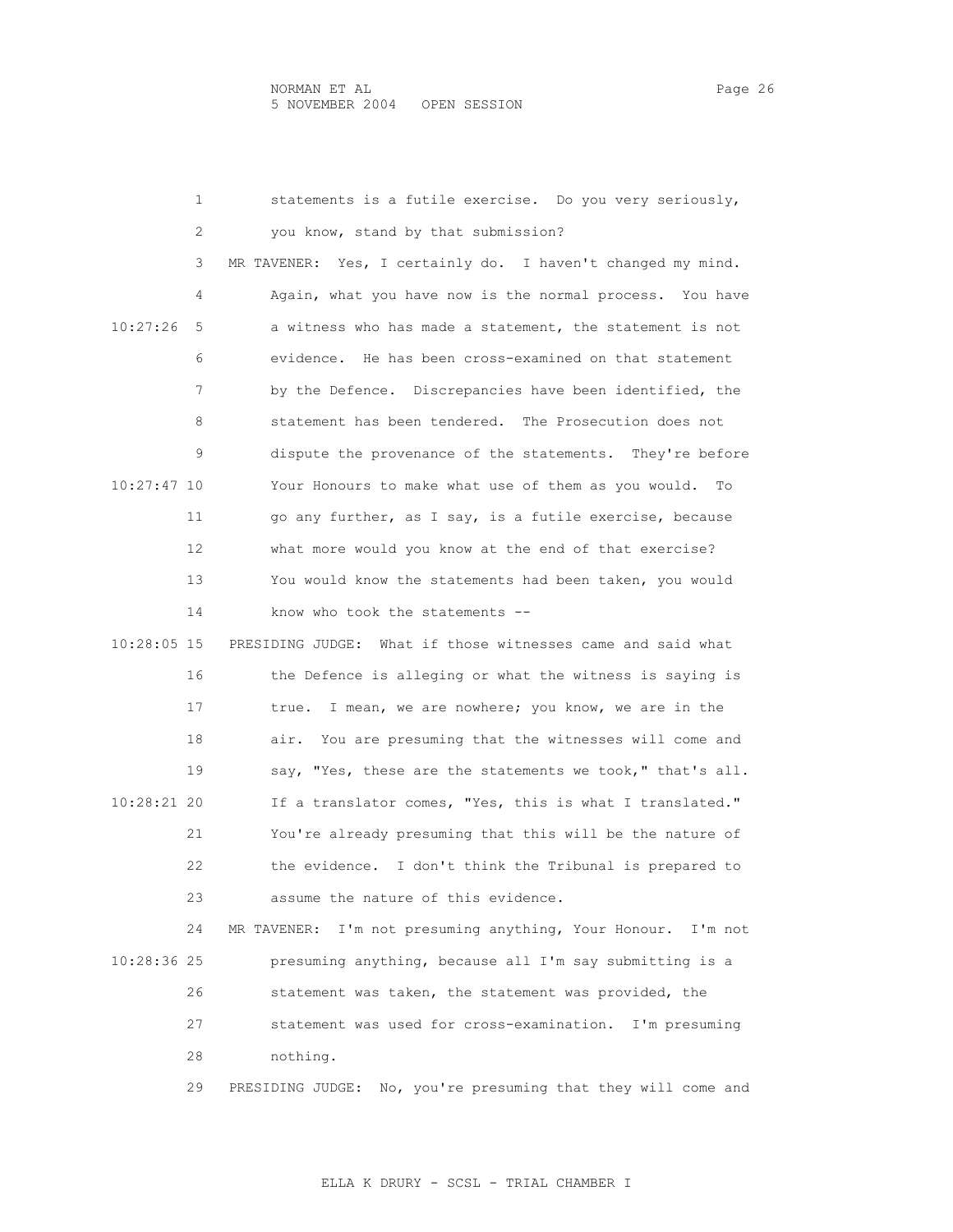| 1             | statements is a futile exercise. Do you very seriously,         |
|---------------|-----------------------------------------------------------------|
| 2             | you know, stand by that submission?                             |
| 3             | MR TAVENER: Yes, I certainly do. I haven't changed my mind.     |
| 4             | Again, what you have now is the normal process. You have        |
| 10:27:26<br>5 | a witness who has made a statement, the statement is not        |
| 6             | evidence. He has been cross-examined on that statement          |
| 7             | by the Defence. Discrepancies have been identified, the         |
| 8             | statement has been tendered. The Prosecution does not           |
| 9             | dispute the provenance of the statements. They're before        |
| 10:27:47 10   | Your Honours to make what use of them as you would.<br>To       |
| 11            | go any further, as I say, is a futile exercise, because         |
| 12            | what more would you know at the end of that exercise?           |
| 13            | You would know the statements had been taken, you would         |
| 14            | know who took the statements --                                 |
| 10:28:05 15   | PRESIDING JUDGE: What if those witnesses came and said what     |
| 16            | the Defence is alleging or what the witness is saying is        |
| 17            | I mean, we are nowhere; you know, we are in the<br>true.        |
| 18            | air. You are presuming that the witnesses will come and         |
| 19            | say, "Yes, these are the statements we took," that's all.       |
| 10:28:21 20   | If a translator comes, "Yes, this is what I translated."        |
| 21            | You're already presuming that this will be the nature of        |
| 22            | the evidence. I don't think the Tribunal is prepared to         |
| 23            | assume the nature of this evidence.                             |
| 24            | I'm not presuming anything, Your Honour. I'm not<br>MR TAVENER: |
| 10:28:36 25   | presuming anything, because all I'm say submitting is a         |
| 26            | statement was taken, the statement was provided, the            |
| 27            | statement was used for cross-examination. I'm presuming         |
| 28            | nothing.                                                        |

29 PRESIDING JUDGE: No, you're presuming that they will come and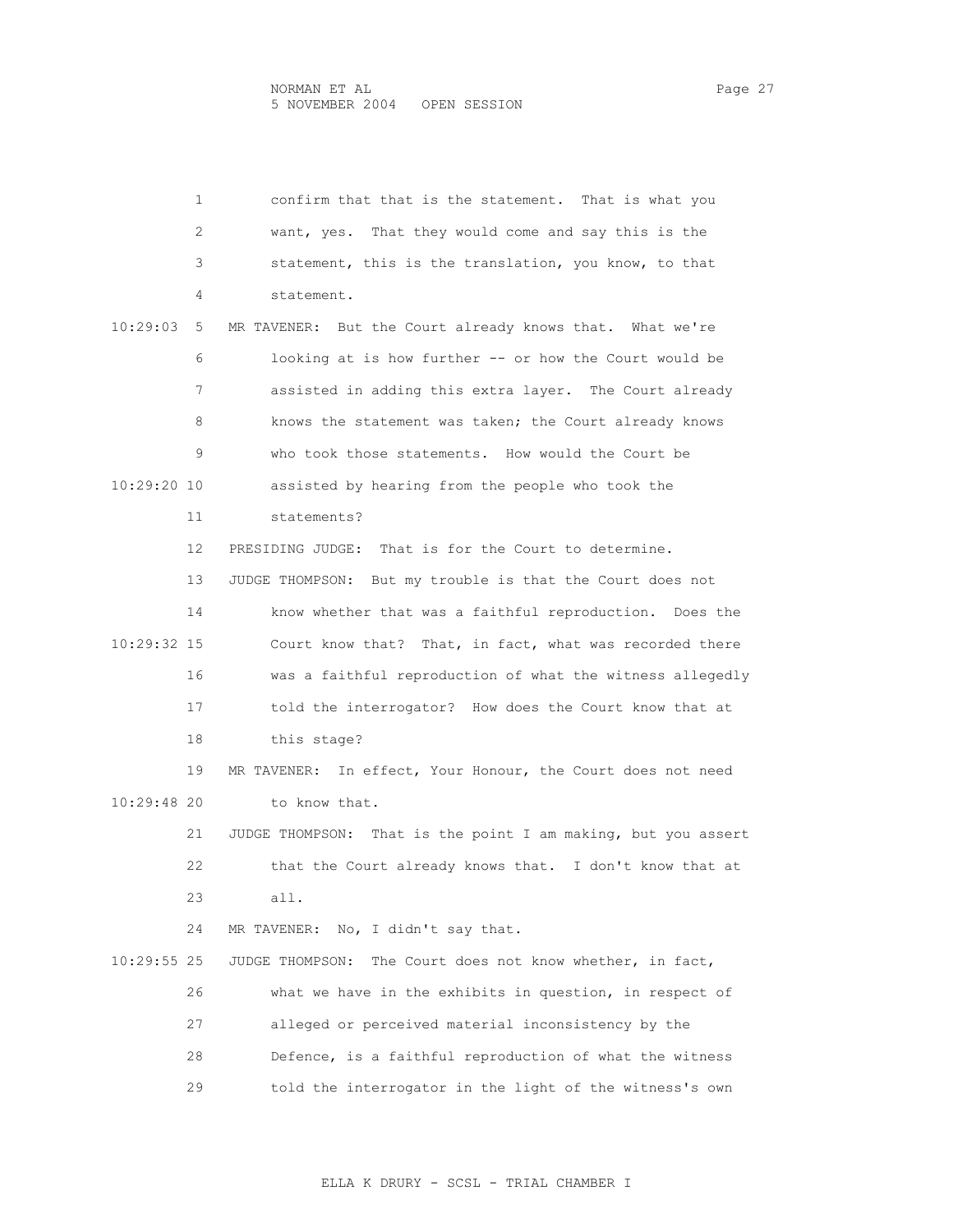|               | 1  | confirm that that is the statement. That is what you          |
|---------------|----|---------------------------------------------------------------|
|               | 2  | want, yes. That they would come and say this is the           |
|               | 3  | statement, this is the translation, you know, to that         |
|               | 4  | statement.                                                    |
| 10:29:03      | 5  | MR TAVENER: But the Court already knows that. What we're      |
|               | 6  | looking at is how further -- or how the Court would be        |
|               | 7  | assisted in adding this extra layer. The Court already        |
|               | 8  | knows the statement was taken; the Court already knows        |
|               | 9  | who took those statements. How would the Court be             |
| 10:29:20 10   |    | assisted by hearing from the people who took the              |
|               | 11 | statements?                                                   |
|               | 12 | PRESIDING JUDGE: That is for the Court to determine.          |
|               | 13 | JUDGE THOMPSON: But my trouble is that the Court does not     |
|               | 14 | know whether that was a faithful reproduction. Does the       |
| 10:29:32 15   |    | Court know that? That, in fact, what was recorded there       |
|               | 16 | was a faithful reproduction of what the witness allegedly     |
|               | 17 | told the interrogator? How does the Court know that at        |
|               | 18 | this stage?                                                   |
|               | 19 | MR TAVENER: In effect, Your Honour, the Court does not need   |
| $10:29:48$ 20 |    | to know that.                                                 |
|               | 21 | JUDGE THOMPSON: That is the point I am making, but you assert |
|               | 22 | that the Court already knows that. I don't know that at       |
|               | 23 | all.                                                          |
|               | 24 | No, I didn't say that.<br>MR TAVENER:                         |
| $10:29:55$ 25 |    | The Court does not know whether, in fact,<br>JUDGE THOMPSON:  |
|               | 26 | what we have in the exhibits in question, in respect of       |
|               | 27 | alleged or perceived material inconsistency by the            |
|               | 28 | Defence, is a faithful reproduction of what the witness       |
|               | 29 | told the interrogator in the light of the witness's own       |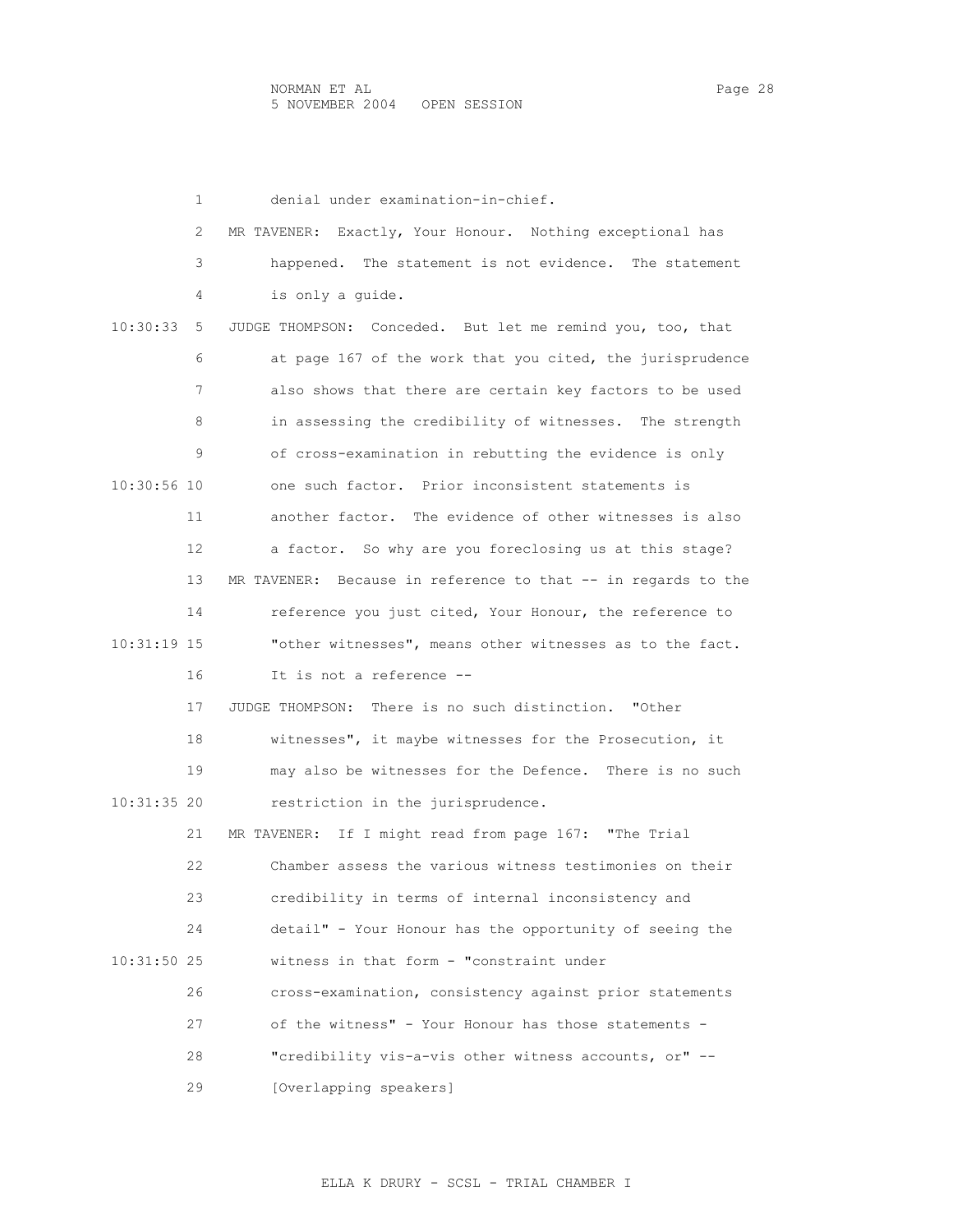|               | 1  | denial under examination-in-chief.                            |
|---------------|----|---------------------------------------------------------------|
|               | 2  | MR TAVENER: Exactly, Your Honour. Nothing exceptional has     |
|               | 3  | happened. The statement is not evidence. The statement        |
|               | 4  | is only a guide.                                              |
| 10:30:33      | 5  | JUDGE THOMPSON: Conceded. But let me remind you, too, that    |
|               | 6  | at page 167 of the work that you cited, the jurisprudence     |
|               | 7  | also shows that there are certain key factors to be used      |
|               | 8  | in assessing the credibility of witnesses. The strength       |
|               | 9  | of cross-examination in rebutting the evidence is only        |
| 10:30:56 10   |    | one such factor. Prior inconsistent statements is             |
|               | 11 | another factor. The evidence of other witnesses is also       |
|               | 12 | a factor. So why are you foreclosing us at this stage?        |
|               | 13 | MR TAVENER: Because in reference to that -- in regards to the |
|               | 14 | reference you just cited, Your Honour, the reference to       |
| 10:31:19 15   |    | "other witnesses", means other witnesses as to the fact.      |
|               | 16 | It is not a reference --                                      |
|               | 17 | JUDGE THOMPSON: There is no such distinction. "Other          |
|               | 18 | witnesses", it maybe witnesses for the Prosecution, it        |
|               | 19 | may also be witnesses for the Defence. There is no such       |
| 10:31:35 20   |    | restriction in the jurisprudence.                             |
|               | 21 | MR TAVENER: If I might read from page 167: "The Trial         |
|               | 22 | Chamber assess the various witness testimonies on their       |
|               | 23 | credibility in terms of internal inconsistency and            |
|               | 24 | detail" - Your Honour has the opportunity of seeing the       |
| $10:31:50$ 25 |    | witness in that form - "constraint under                      |
|               | 26 | cross-examination, consistency against prior statements       |
|               | 27 | of the witness" - Your Honour has those statements -          |
|               | 28 | "credibility vis-a-vis other witness accounts, or" --         |
|               | 29 | [Overlapping speakers]                                        |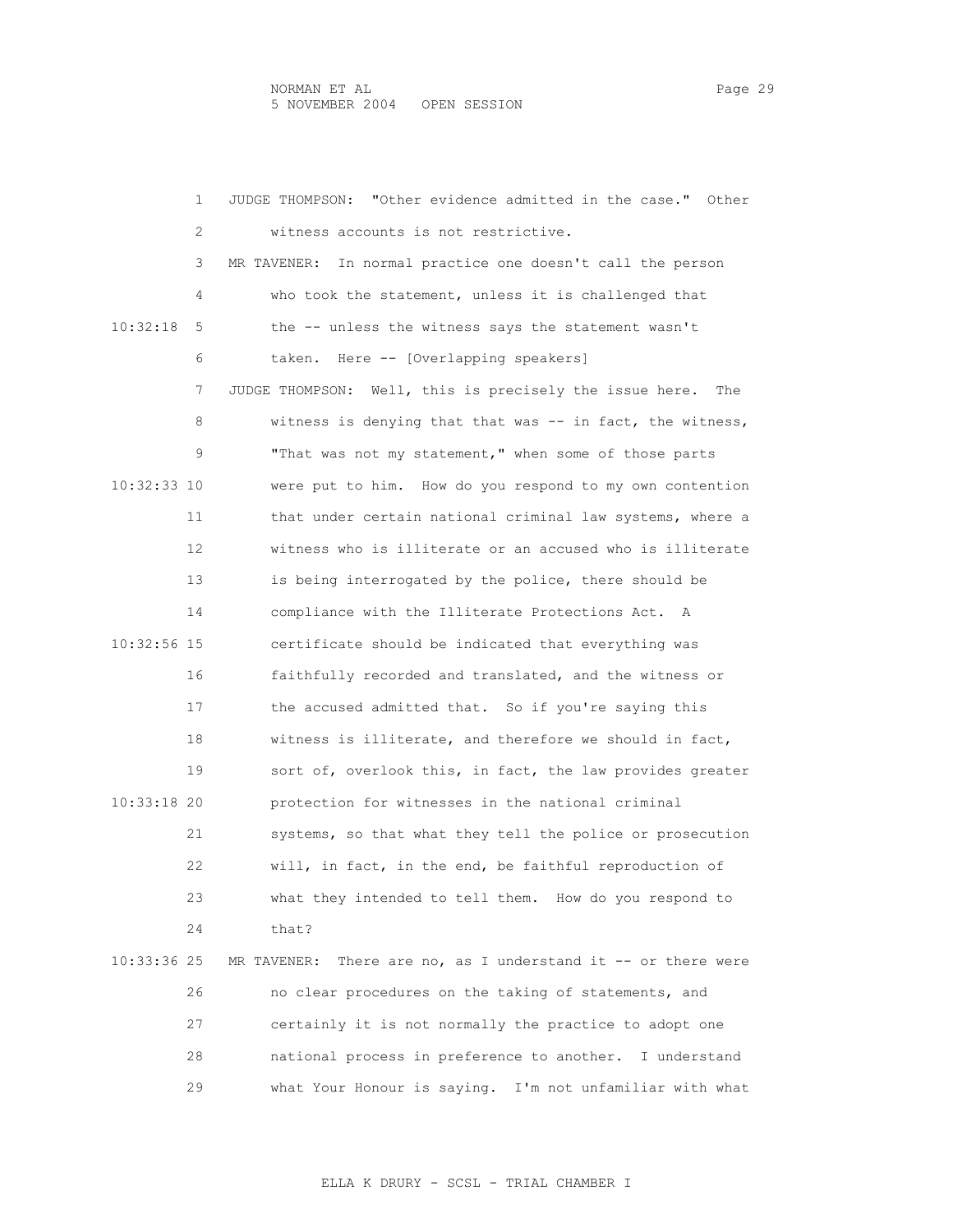1 JUDGE THOMPSON: "Other evidence admitted in the case." Other 2 witness accounts is not restrictive. 3 MR TAVENER: In normal practice one doesn't call the person 4 who took the statement, unless it is challenged that 10:32:18 5 the -- unless the witness says the statement wasn't 6 taken. Here -- [Overlapping speakers] 7 JUDGE THOMPSON: Well, this is precisely the issue here. The 8 witness is denying that that was -- in fact, the witness, 9 "That was not my statement," when some of those parts 10:32:33 10 were put to him. How do you respond to my own contention 11 that under certain national criminal law systems, where a 12 witness who is illiterate or an accused who is illiterate 13 is being interrogated by the police, there should be 14 compliance with the Illiterate Protections Act. A 10:32:56 15 certificate should be indicated that everything was 16 faithfully recorded and translated, and the witness or 17 the accused admitted that. So if you're saying this 18 witness is illiterate, and therefore we should in fact, 19 sort of, overlook this, in fact, the law provides greater 10:33:18 20 protection for witnesses in the national criminal 21 systems, so that what they tell the police or prosecution 22 will, in fact, in the end, be faithful reproduction of 23 what they intended to tell them. How do you respond to 24 that? 10:33:36 25 MR TAVENER: There are no, as I understand it -- or there were 26 no clear procedures on the taking of statements, and 27 certainly it is not normally the practice to adopt one 28 national process in preference to another. I understand 29 what Your Honour is saying. I'm not unfamiliar with what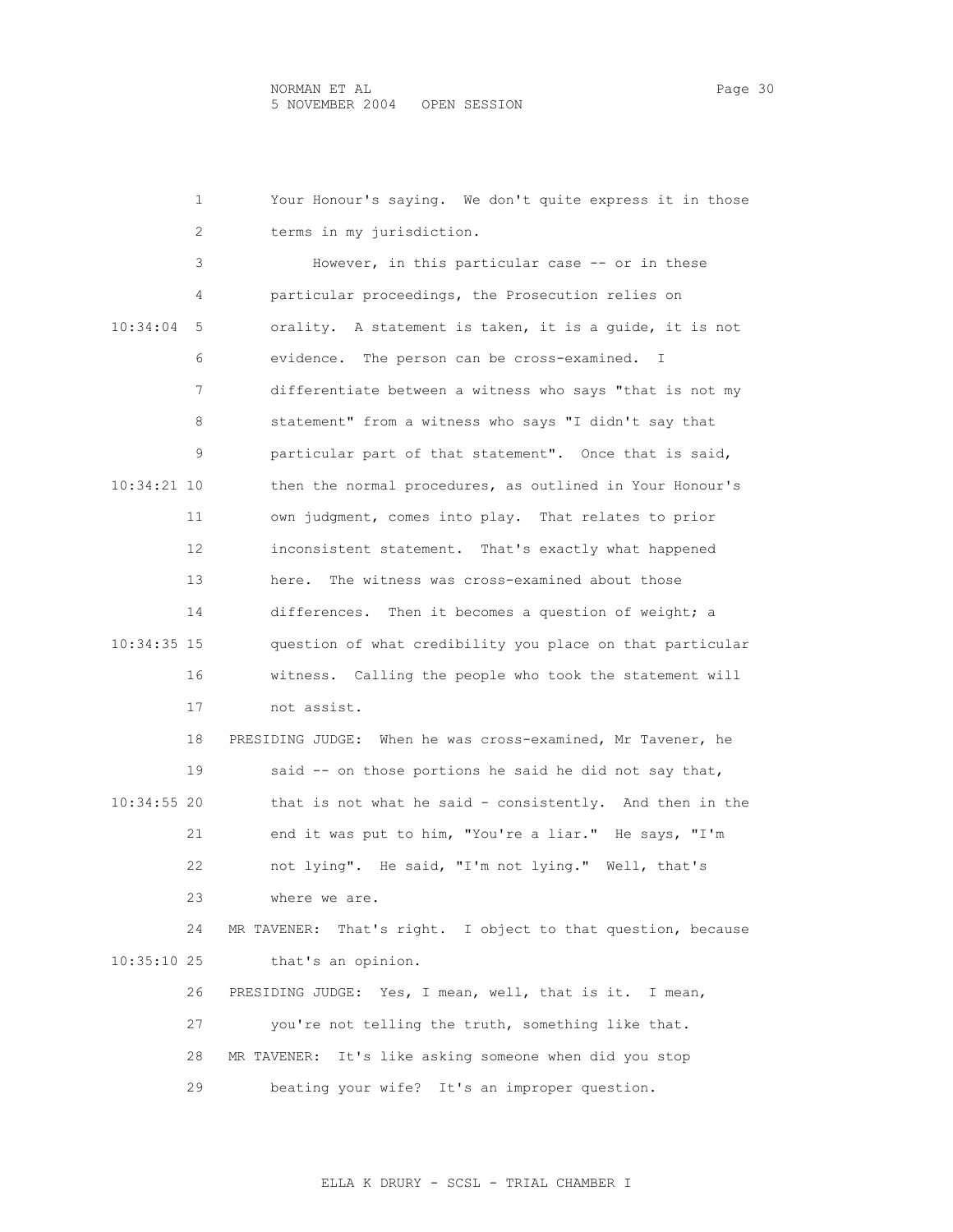|               | 1  | Your Honour's saying. We don't quite express it in those        |
|---------------|----|-----------------------------------------------------------------|
|               | 2  | terms in my jurisdiction.                                       |
|               | 3  | However, in this particular case -- or in these                 |
|               | 4  | particular proceedings, the Prosecution relies on               |
| 10:34:04      | 5  | orality. A statement is taken, it is a quide, it is not         |
|               | 6  | evidence. The person can be cross-examined. I                   |
|               | 7  | differentiate between a witness who says "that is not my        |
|               | 8  | statement" from a witness who says "I didn't say that           |
|               | 9  | particular part of that statement". Once that is said,          |
| 10:34:21 10   |    | then the normal procedures, as outlined in Your Honour's        |
|               | 11 | own judgment, comes into play. That relates to prior            |
|               | 12 | inconsistent statement. That's exactly what happened            |
|               | 13 | The witness was cross-examined about those<br>here.             |
|               | 14 | differences. Then it becomes a question of weight; a            |
| 10:34:35 15   |    | question of what credibility you place on that particular       |
|               | 16 | witness. Calling the people who took the statement will         |
|               | 17 | not assist.                                                     |
|               | 18 | PRESIDING JUDGE: When he was cross-examined, Mr Tavener, he     |
|               | 19 | said -- on those portions he said he did not say that,          |
| 10:34:55 20   |    | that is not what he said - consistently. And then in the        |
|               | 21 | end it was put to him, "You're a liar." He says, "I'm           |
|               | 22 | not lying". He said, "I'm not lying." Well, that's              |
|               | 23 | where we are.                                                   |
|               | 24 | That's right. I object to that question, because<br>MR TAVENER: |
| $10:35:10$ 25 |    | that's an opinion.                                              |
|               | 26 | PRESIDING JUDGE: Yes, I mean, well, that is it. I mean,         |
|               | 27 | you're not telling the truth, something like that.              |
|               | 28 | MR TAVENER: It's like asking someone when did you stop          |
|               | 29 | beating your wife? It's an improper question.                   |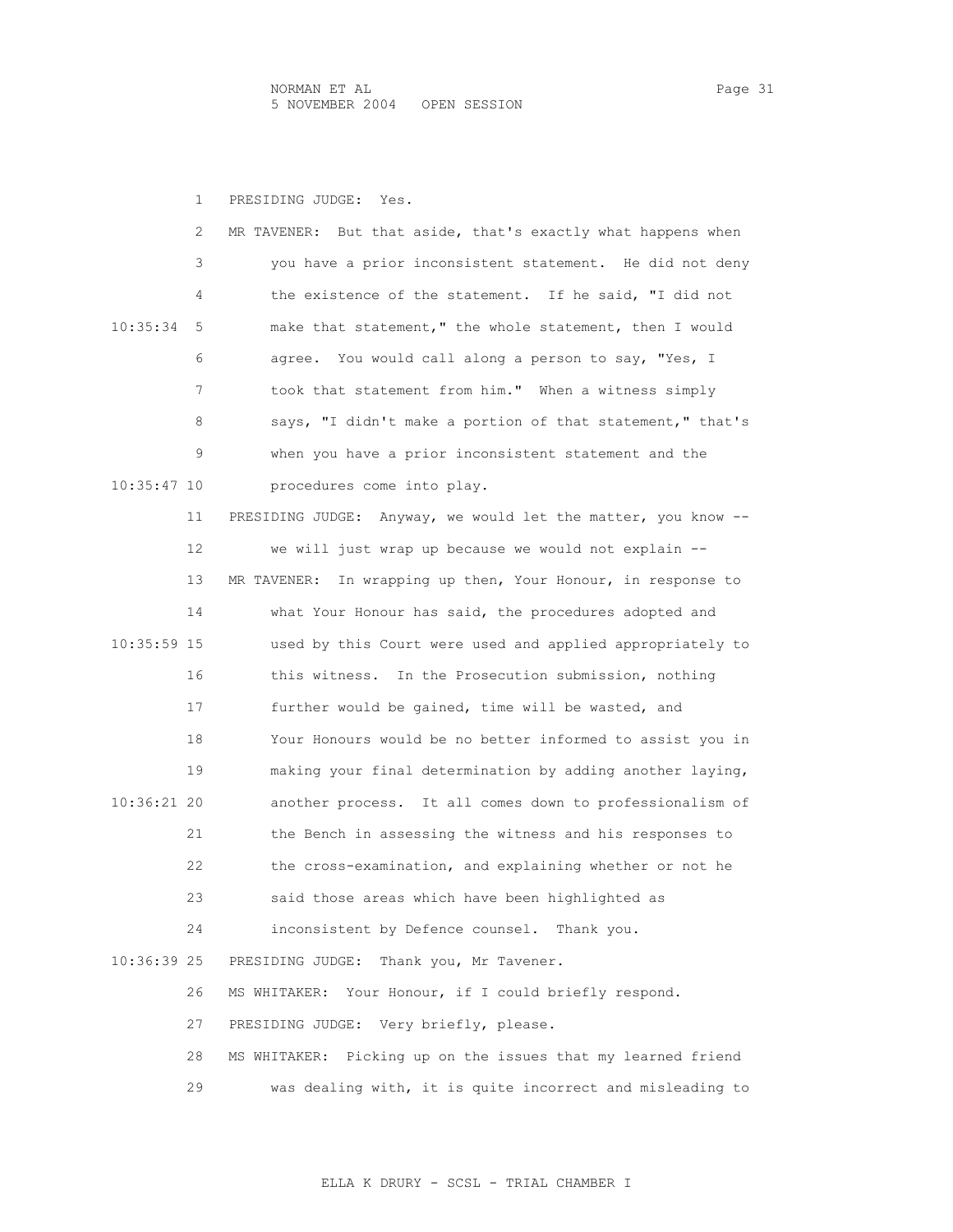1 PRESIDING JUDGE: Yes.

|             | 2  | But that aside, that's exactly what happens when<br>MR TAVENER: |
|-------------|----|-----------------------------------------------------------------|
|             | 3  | you have a prior inconsistent statement. He did not deny        |
|             | 4  | the existence of the statement. If he said, "I did not          |
| 10:35:34    | 5  | make that statement," the whole statement, then I would         |
|             | 6  | agree. You would call along a person to say, "Yes, I            |
|             | 7  | took that statement from him." When a witness simply            |
|             | 8  | says, "I didn't make a portion of that statement," that's       |
|             | 9  | when you have a prior inconsistent statement and the            |
| 10:35:47 10 |    | procedures come into play.                                      |
|             | 11 | PRESIDING JUDGE: Anyway, we would let the matter, you know --   |
|             | 12 | we will just wrap up because we would not explain --            |
|             | 13 | In wrapping up then, Your Honour, in response to<br>MR TAVENER: |
|             | 14 | what Your Honour has said, the procedures adopted and           |
| 10:35:59 15 |    | used by this Court were used and applied appropriately to       |
|             | 16 | this witness. In the Prosecution submission, nothing            |
|             | 17 | further would be gained, time will be wasted, and               |
|             | 18 | Your Honours would be no better informed to assist you in       |
|             | 19 | making your final determination by adding another laying,       |
| 10:36:21 20 |    | another process. It all comes down to professionalism of        |
|             | 21 | the Bench in assessing the witness and his responses to         |
|             | 22 | the cross-examination, and explaining whether or not he         |
|             | 23 | said those areas which have been highlighted as                 |
|             | 24 | inconsistent by Defence counsel. Thank you.                     |
| 10:36:39 25 |    | Thank you, Mr Tavener.<br>PRESIDING JUDGE:                      |
|             | 26 | Your Honour, if I could briefly respond.<br>MS WHITAKER:        |
|             | 27 | PRESIDING JUDGE: Very briefly, please.                          |
|             | 28 | MS WHITAKER: Picking up on the issues that my learned friend    |
|             | 29 | was dealing with, it is quite incorrect and misleading to       |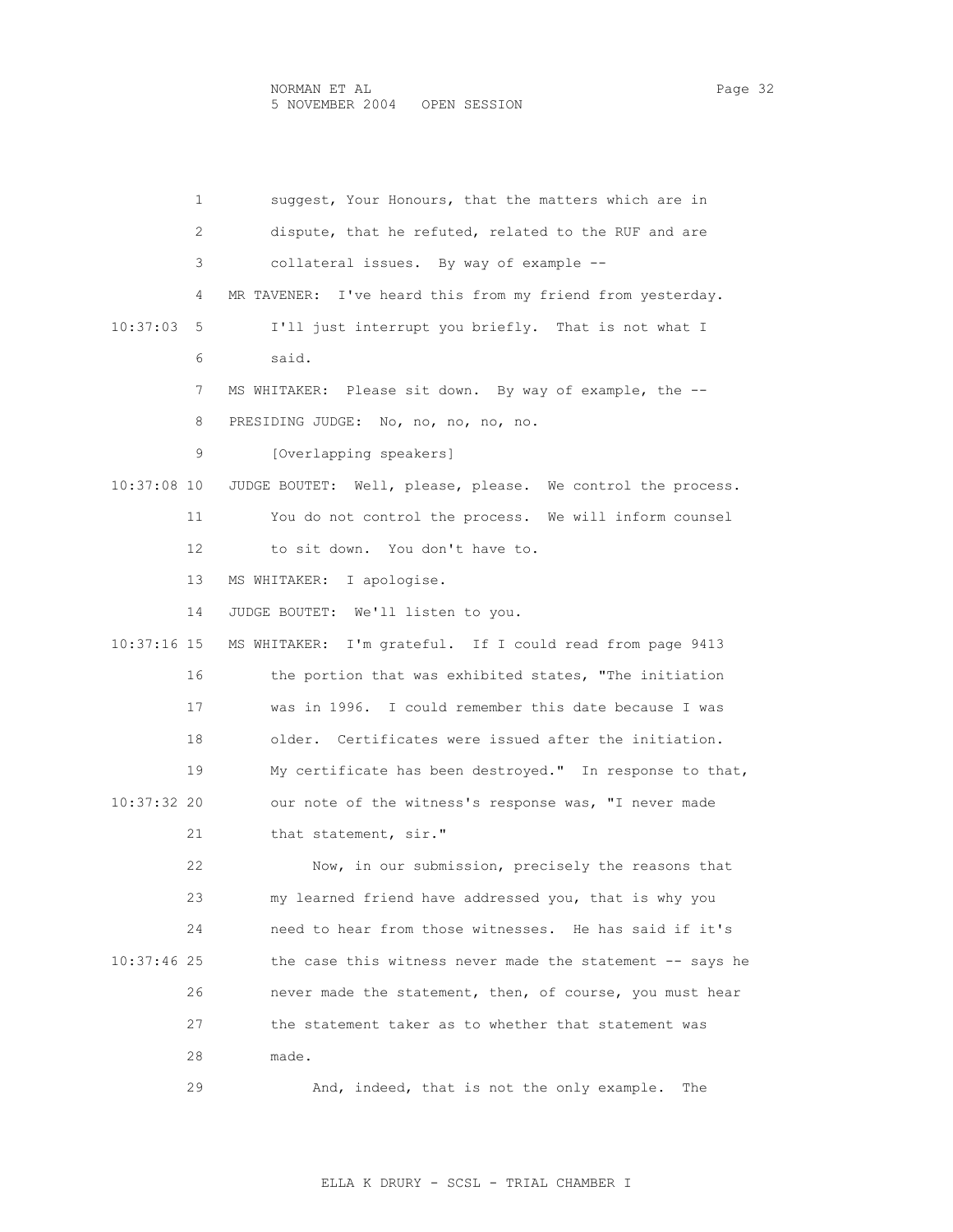| 1             | suggest, Your Honours, that the matters which are in        |
|---------------|-------------------------------------------------------------|
| 2             | dispute, that he refuted, related to the RUF and are        |
| 3             | collateral issues. By way of example --                     |
| 4             | MR TAVENER: I've heard this from my friend from yesterday.  |
| 10:37:03<br>5 | I'll just interrupt you briefly. That is not what I         |
| 6             | said.                                                       |
| 7             | MS WHITAKER: Please sit down. By way of example, the --     |
| 8             | PRESIDING JUDGE: No, no, no, no, no.                        |
| 9             | [Overlapping speakers]                                      |
| 10:37:08 10   | JUDGE BOUTET: Well, please, please. We control the process. |
| 11            | You do not control the process. We will inform counsel      |
| 12            | to sit down. You don't have to.                             |
| 13            | MS WHITAKER: I apologise.                                   |
| 14            | JUDGE BOUTET: We'll listen to you.                          |
| 10:37:16 15   | MS WHITAKER: I'm grateful. If I could read from page 9413   |
| 16            | the portion that was exhibited states, "The initiation      |
| 17            | was in 1996. I could remember this date because I was       |
| 18            | older. Certificates were issued after the initiation.       |
| 19            | My certificate has been destroyed." In response to that,    |
| 10:37:32 20   | our note of the witness's response was, "I never made       |
| 21            | that statement, sir."                                       |
| 22            | Now, in our submission, precisely the reasons that          |
| 23            | my learned friend have addressed you, that is why you       |
| 24            | need to hear from those witnesses. He has said if it's      |
| 10:37:46 25   | the case this witness never made the statement -- says he   |
| 26            | never made the statement, then, of course, you must hear    |
| 27            | the statement taker as to whether that statement was        |
| 28            | made.                                                       |
| 29            | And, indeed, that is not the only example.<br>The           |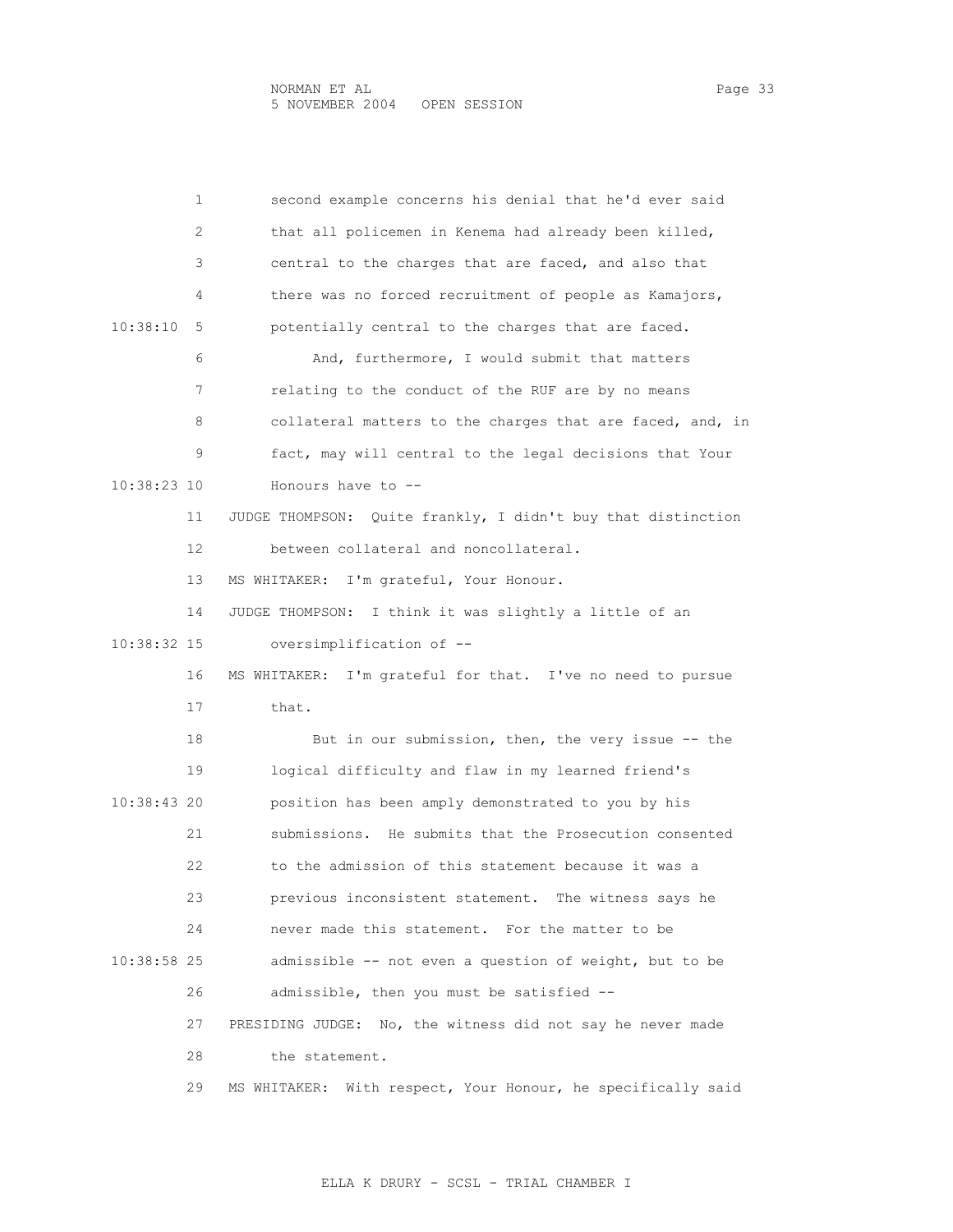|             | 1  | second example concerns his denial that he'd ever said          |
|-------------|----|-----------------------------------------------------------------|
|             | 2  | that all policemen in Kenema had already been killed,           |
|             | 3  | central to the charges that are faced, and also that            |
|             | 4  | there was no forced recruitment of people as Kamajors,          |
| 10:38:10    | 5  | potentially central to the charges that are faced.              |
|             | 6  | And, furthermore, I would submit that matters                   |
|             | 7  | relating to the conduct of the RUF are by no means              |
|             | 8  | collateral matters to the charges that are faced, and, in       |
|             | 9  | fact, may will central to the legal decisions that Your         |
| 10:38:23 10 |    | Honours have to $-$ -                                           |
|             | 11 | Quite frankly, I didn't buy that distinction<br>JUDGE THOMPSON: |
|             | 12 | between collateral and noncollateral.                           |
|             | 13 | I'm grateful, Your Honour.<br>MS WHITAKER:                      |
|             | 14 | I think it was slightly a little of an<br>JUDGE THOMPSON:       |
| 10:38:32 15 |    | oversimplification of --                                        |
|             | 16 | MS WHITAKER: I'm grateful for that. I've no need to pursue      |
|             | 17 | that.                                                           |
|             | 18 | But in our submission, then, the very issue -- the              |
|             | 19 | logical difficulty and flaw in my learned friend's              |
| 10:38:43 20 |    | position has been amply demonstrated to you by his              |
|             | 21 | submissions. He submits that the Prosecution consented          |
|             | 22 | to the admission of this statement because it was a             |
|             | 23 | previous inconsistent statement. The witness says he            |
|             | 24 | never made this statement. For the matter to be                 |
| 10:38:58 25 |    | admissible -- not even a question of weight, but to be          |
|             | 26 | admissible, then you must be satisfied --                       |
|             | 27 | PRESIDING JUDGE: No, the witness did not say he never made      |
|             | 28 | the statement.                                                  |
|             | 29 | With respect, Your Honour, he specifically said<br>MS WHITAKER: |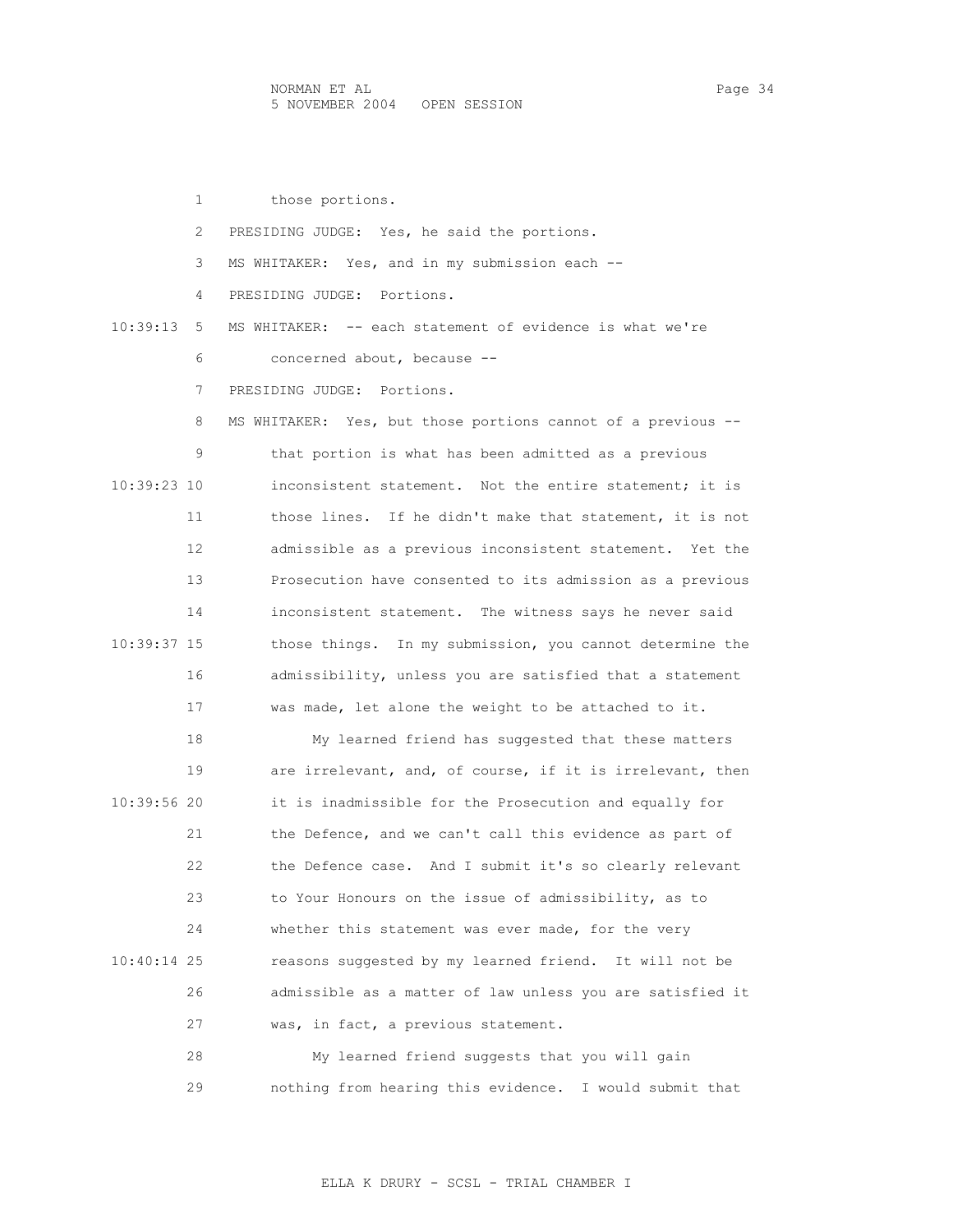1 those portions. 2 PRESIDING JUDGE: Yes, he said the portions. 3 MS WHITAKER: Yes, and in my submission each -- 4 PRESIDING JUDGE: Portions. 10:39:13 5 MS WHITAKER: -- each statement of evidence is what we're 6 concerned about, because -- 7 PRESIDING JUDGE: Portions. 8 MS WHITAKER: Yes, but those portions cannot of a previous -- 9 that portion is what has been admitted as a previous 10:39:23 10 inconsistent statement. Not the entire statement; it is 11 those lines. If he didn't make that statement, it is not 12 admissible as a previous inconsistent statement. Yet the 13 Prosecution have consented to its admission as a previous 14 inconsistent statement. The witness says he never said 10:39:37 15 those things. In my submission, you cannot determine the 16 admissibility, unless you are satisfied that a statement 17 was made, let alone the weight to be attached to it. 18 My learned friend has suggested that these matters 19 are irrelevant, and, of course, if it is irrelevant, then 10:39:56 20 it is inadmissible for the Prosecution and equally for 21 the Defence, and we can't call this evidence as part of 22 the Defence case. And I submit it's so clearly relevant 23 to Your Honours on the issue of admissibility, as to 24 whether this statement was ever made, for the very 10:40:14 25 reasons suggested by my learned friend. It will not be 26 admissible as a matter of law unless you are satisfied it 27 was, in fact, a previous statement. 28 My learned friend suggests that you will gain 29 nothing from hearing this evidence. I would submit that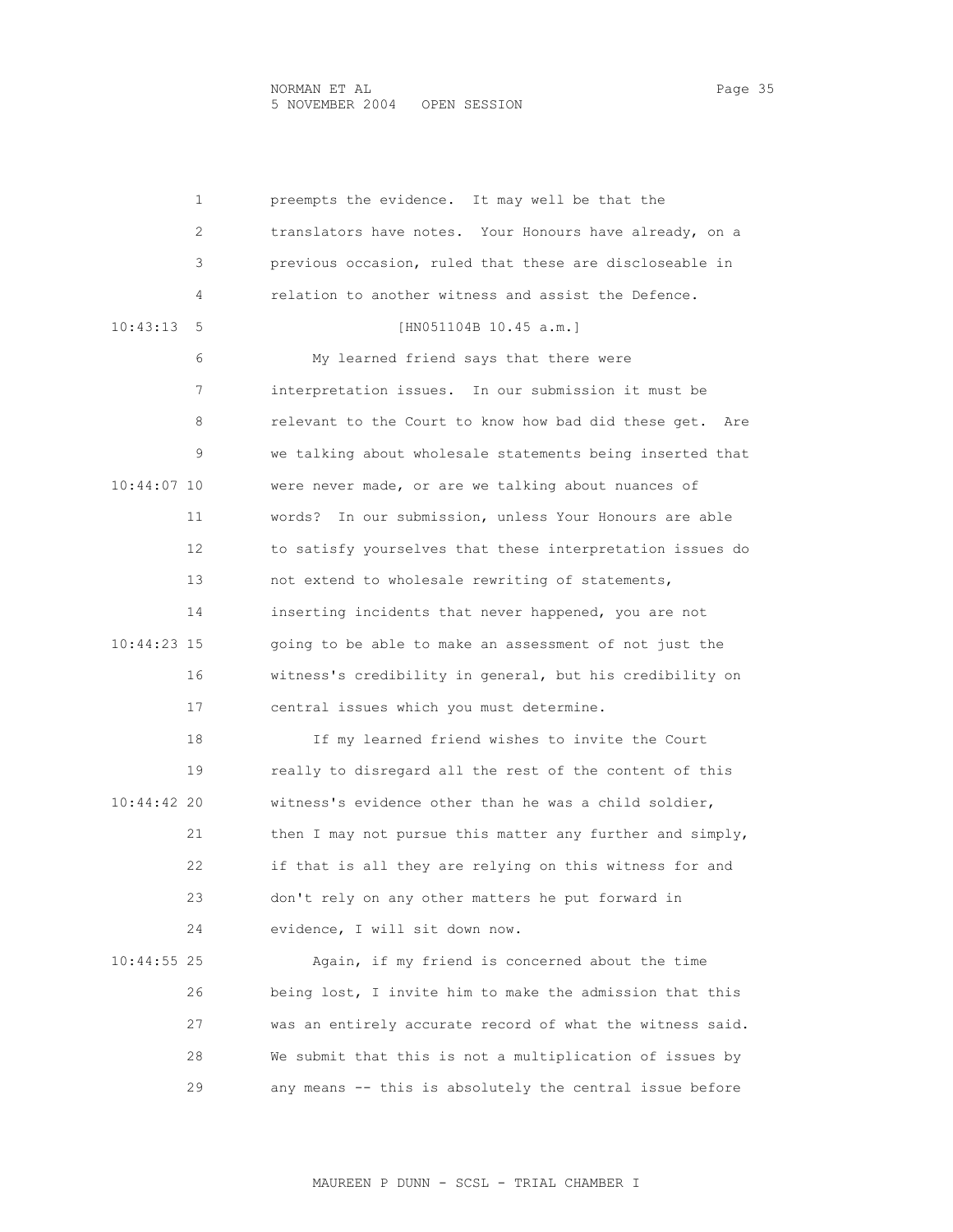NORMAN ET AL<br>5 NOVEMBER 2004 OPEN SESSION 5 NOVEMBER 2004 OPEN SESSION

| 1             | preempts the evidence. It may well be that the            |
|---------------|-----------------------------------------------------------|
| 2             | translators have notes. Your Honours have already, on a   |
| 3             | previous occasion, ruled that these are discloseable in   |
| 4             | relation to another witness and assist the Defence.       |
| 10:43:13<br>5 | [HN051104B 10.45 a.m.]                                    |
| 6             | My learned friend says that there were                    |
| 7             | interpretation issues.<br>In our submission it must be    |
| 8             | relevant to the Court to know how bad did these get. Are  |
| 9             | we talking about wholesale statements being inserted that |
| 10:44:07 10   | were never made, or are we talking about nuances of       |
| 11            | In our submission, unless Your Honours are able<br>words? |
| 12            | to satisfy yourselves that these interpretation issues do |
| 13            | not extend to wholesale rewriting of statements,          |
| 14            | inserting incidents that never happened, you are not      |
| 10:44:23 15   | going to be able to make an assessment of not just the    |
| 16            | witness's credibility in general, but his credibility on  |
| 17            | central issues which you must determine.                  |
| 18            | If my learned friend wishes to invite the Court           |
| 19            | really to disregard all the rest of the content of this   |
| 10:44:42 20   | witness's evidence other than he was a child soldier,     |
| 21            | then I may not pursue this matter any further and simply, |
| 22            | if that is all they are relying on this witness for and   |
| 23            | don't rely on any other matters he put forward in         |
| 24            | evidence, I will sit down now.                            |
| $10:44:55$ 25 | Again, if my friend is concerned about the time           |
| 26            | being lost, I invite him to make the admission that this  |
| 27            | was an entirely accurate record of what the witness said. |
| 28            | We submit that this is not a multiplication of issues by  |
| 29            | any means -- this is absolutely the central issue before  |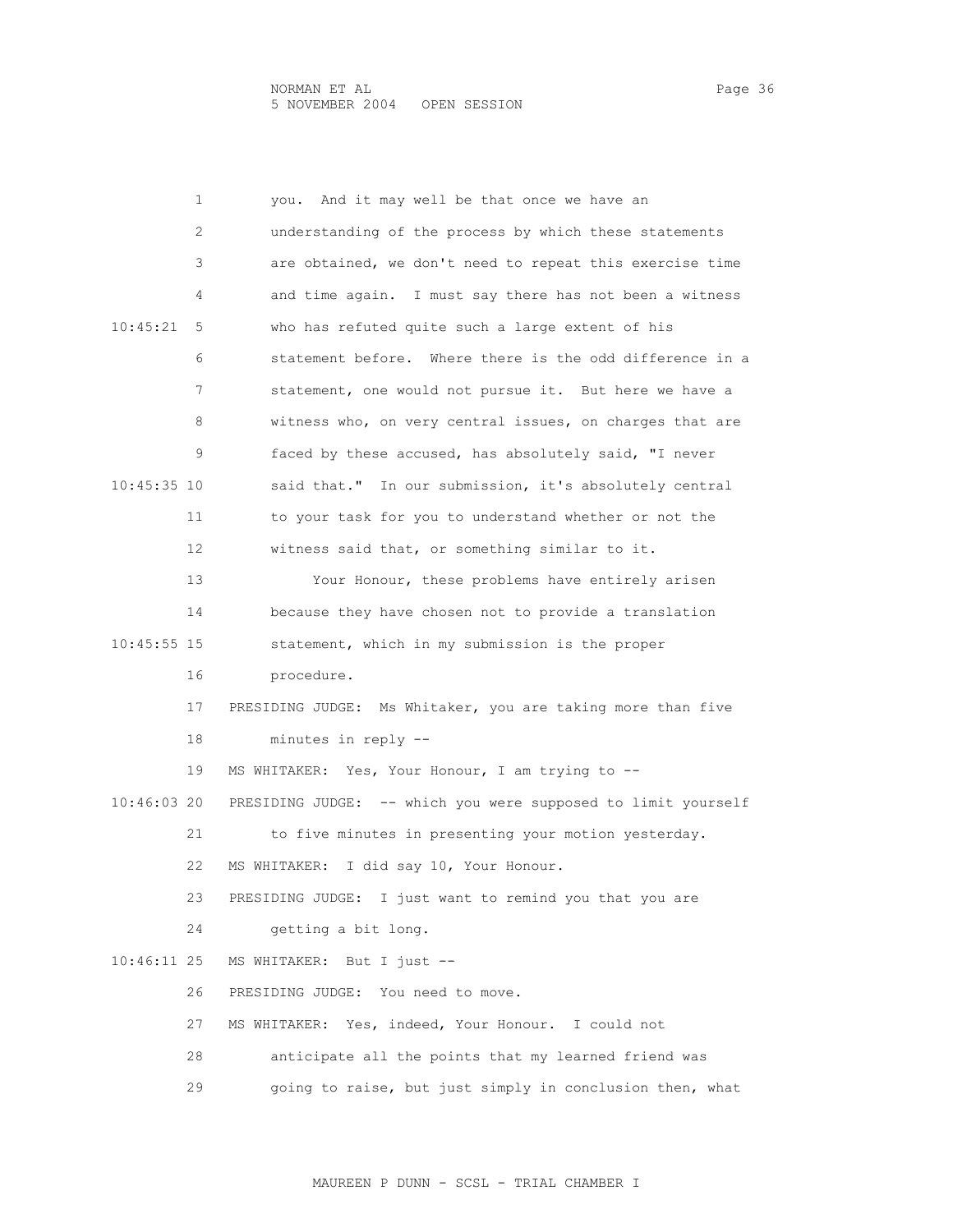|             | 1  | And it may well be that once we have an<br>you.               |
|-------------|----|---------------------------------------------------------------|
|             | 2  | understanding of the process by which these statements        |
|             | 3  | are obtained, we don't need to repeat this exercise time      |
|             | 4  | and time again. I must say there has not been a witness       |
| 10:45:21    | 5  | who has refuted quite such a large extent of his              |
|             | 6  | statement before. Where there is the odd difference in a      |
|             | 7  | statement, one would not pursue it. But here we have a        |
|             | 8  | witness who, on very central issues, on charges that are      |
|             | 9  | faced by these accused, has absolutely said, "I never         |
| 10:45:35 10 |    | said that." In our submission, it's absolutely central        |
|             | 11 | to your task for you to understand whether or not the         |
|             | 12 | witness said that, or something similar to it.                |
|             | 13 | Your Honour, these problems have entirely arisen              |
|             | 14 | because they have chosen not to provide a translation         |
| 10:45:55 15 |    | statement, which in my submission is the proper               |
|             | 16 | procedure.                                                    |
|             | 17 | PRESIDING JUDGE: Ms Whitaker, you are taking more than five   |
|             | 18 | minutes in reply --                                           |
|             | 19 | MS WHITAKER: Yes, Your Honour, I am trying to --              |
| 10:46:03 20 |    | PRESIDING JUDGE: -- which you were supposed to limit yourself |
|             | 21 | to five minutes in presenting your motion yesterday.          |
|             | 22 | I did say 10, Your Honour.<br>MS WHITAKER:                    |
|             | 23 | PRESIDING JUDGE: I just want to remind you that you are       |
|             | 24 | getting a bit long.                                           |
| 10:46:11 25 |    | MS WHITAKER:<br>But I just $-$                                |
|             | 26 | PRESIDING JUDGE: You need to move.                            |
|             | 27 | Yes, indeed, Your Honour.<br>MS WHITAKER:<br>I could not      |
|             | 28 | anticipate all the points that my learned friend was          |
|             | 29 | going to raise, but just simply in conclusion then, what      |
|             |    |                                                               |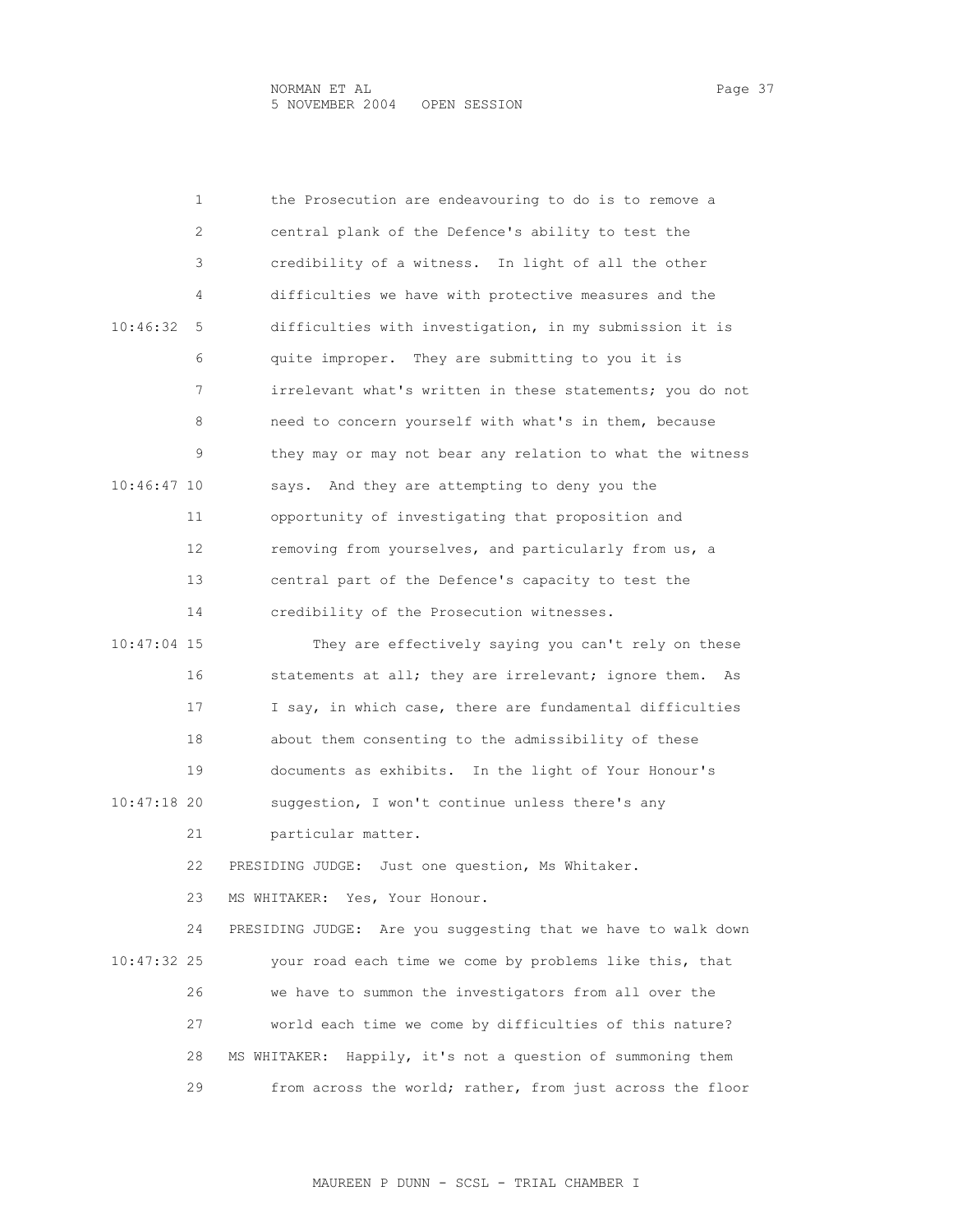|             | 1  | the Prosecution are endeavouring to do is to remove a          |
|-------------|----|----------------------------------------------------------------|
|             | 2  | central plank of the Defence's ability to test the             |
|             | 3  | credibility of a witness. In light of all the other            |
|             | 4  | difficulties we have with protective measures and the          |
| 10:46:32    | 5  | difficulties with investigation, in my submission it is        |
|             | 6  | quite improper. They are submitting to you it is               |
|             | 7  | irrelevant what's written in these statements; you do not      |
|             | 8  | need to concern yourself with what's in them, because          |
|             | 9  | they may or may not bear any relation to what the witness      |
| 10:46:47 10 |    | says. And they are attempting to deny you the                  |
|             | 11 | opportunity of investigating that proposition and              |
|             | 12 | removing from yourselves, and particularly from us, a          |
|             | 13 | central part of the Defence's capacity to test the             |
|             | 14 | credibility of the Prosecution witnesses.                      |
| 10:47:04 15 |    | They are effectively saying you can't rely on these            |
|             | 16 | statements at all; they are irrelevant; ignore them.<br>As     |
|             | 17 | I say, in which case, there are fundamental difficulties       |
|             | 18 | about them consenting to the admissibility of these            |
|             | 19 | documents as exhibits. In the light of Your Honour's           |
| 10:47:18 20 |    | suggestion, I won't continue unless there's any                |
|             | 21 | particular matter.                                             |
|             | 22 | PRESIDING JUDGE: Just one question, Ms Whitaker.               |
|             | 23 | MS WHITAKER:<br>Yes, Your Honour.                              |
|             | 24 | PRESIDING JUDGE: Are you suggesting that we have to walk down  |
| 10:47:32 25 |    | your road each time we come by problems like this, that        |
|             | 26 | we have to summon the investigators from all over the          |
|             | 27 | world each time we come by difficulties of this nature?        |
|             | 28 | Happily, it's not a question of summoning them<br>MS WHITAKER: |
|             | 29 | from across the world; rather, from just across the floor      |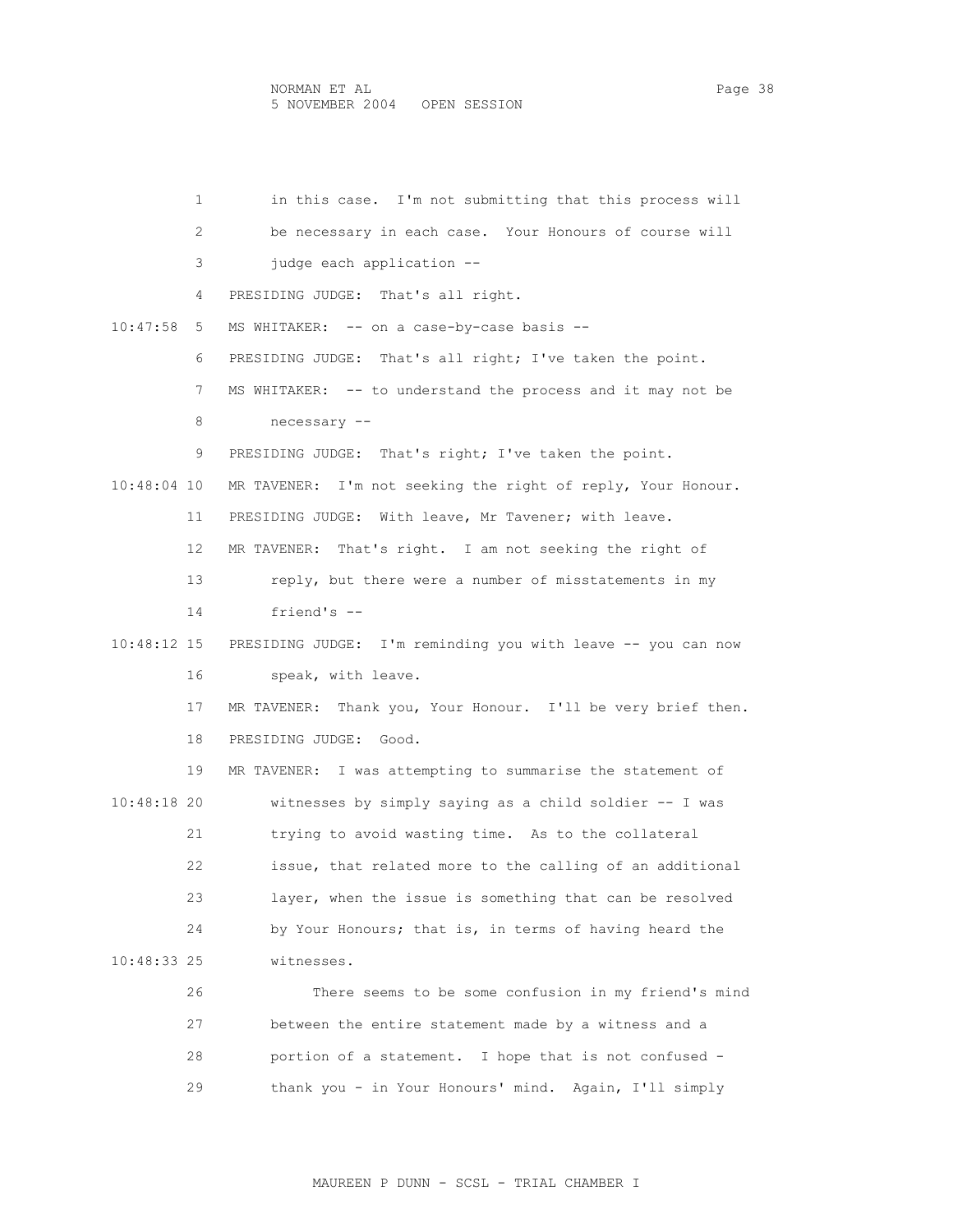|               | $\mathbf{1}$ | in this case. I'm not submitting that this process will      |
|---------------|--------------|--------------------------------------------------------------|
|               | 2            | be necessary in each case. Your Honours of course will       |
|               | 3            | judge each application --                                    |
|               | 4            | PRESIDING JUDGE: That's all right.                           |
| 10:47:58      | 5            | MS WHITAKER: -- on a case-by-case basis --                   |
|               | 6            | PRESIDING JUDGE: That's all right; I've taken the point.     |
|               | 7            | MS WHITAKER: -- to understand the process and it may not be  |
|               | 8            | necessary --                                                 |
|               | 9.           | PRESIDING JUDGE: That's right; I've taken the point.         |
| $10:48:04$ 10 |              | MR TAVENER: I'm not seeking the right of reply, Your Honour. |
|               | 11           | PRESIDING JUDGE: With leave, Mr Tavener; with leave.         |
|               | 12           | MR TAVENER: That's right. I am not seeking the right of      |
|               | 13           | reply, but there were a number of misstatements in my        |
|               | 14           | friend's $-$                                                 |
| 10:48:12 15   |              | PRESIDING JUDGE: I'm reminding you with leave -- you can now |
|               | 16           | speak, with leave.                                           |
|               | 17           | MR TAVENER: Thank you, Your Honour. I'll be very brief then. |
|               | 18           | PRESIDING JUDGE: Good.                                       |
|               | 19           | MR TAVENER: I was attempting to summarise the statement of   |
| 10:48:18 20   |              | witnesses by simply saying as a child soldier -- I was       |
|               | 21           | trying to avoid wasting time. As to the collateral           |
|               | 22           | issue, that related more to the calling of an additional     |
|               | 23           | layer, when the issue is something that can be resolved      |
|               | 24           | by Your Honours; that is, in terms of having heard the       |
| 10:48:33 25   |              | witnesses.                                                   |
|               | 26           | There seems to be some confusion in my friend's mind         |
|               | 27           | between the entire statement made by a witness and a         |
|               | 28           | portion of a statement. I hope that is not confused -        |
|               | 29           | thank you - in Your Honours' mind. Again, I'll simply        |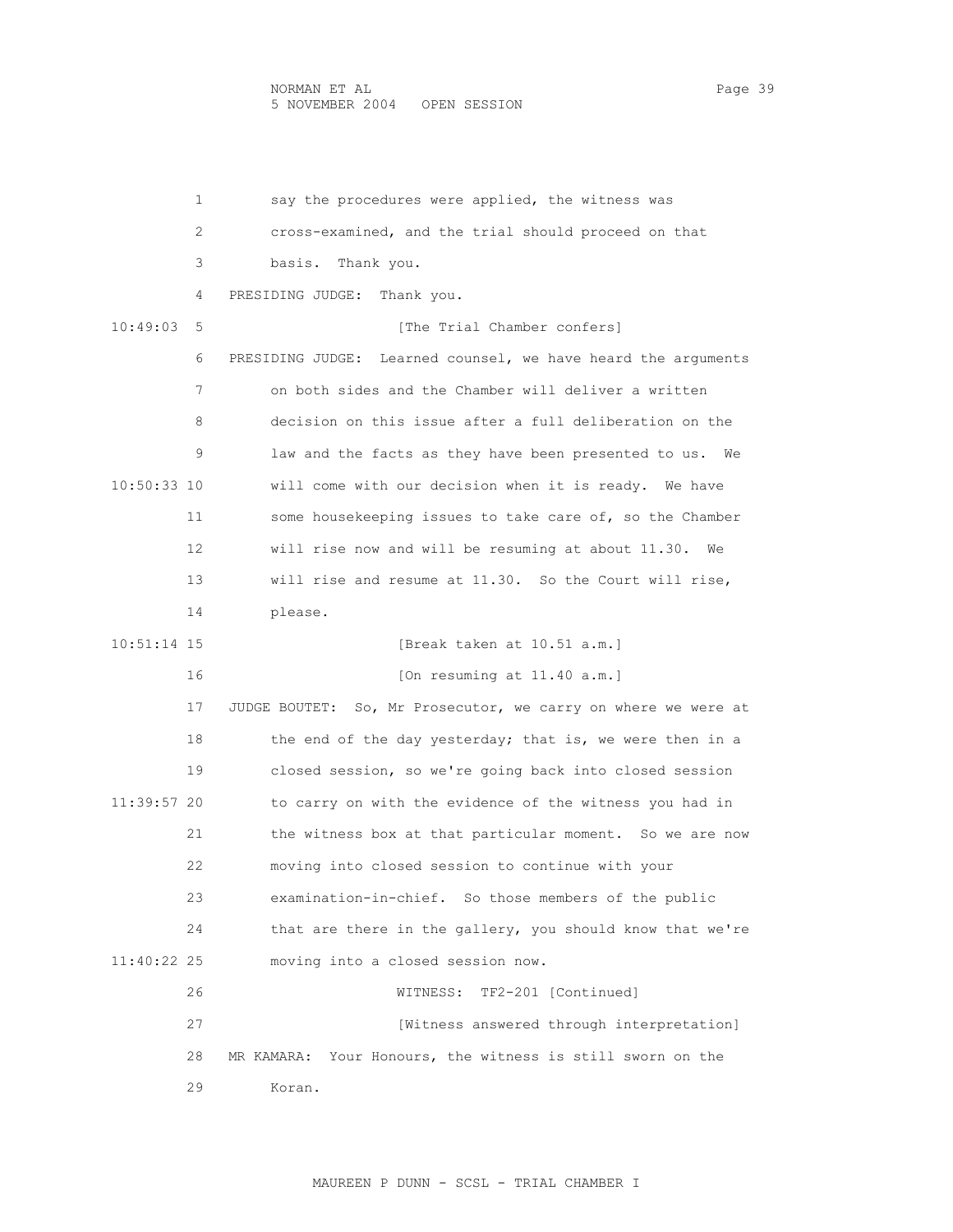## NORMAN ET AL Page 39 5 NOVEMBER 2004 OPEN SESSION

 1 say the procedures were applied, the witness was 2 cross-examined, and the trial should proceed on that 3 basis. Thank you. 4 PRESIDING JUDGE: Thank you. 10:49:03 5 [The Trial Chamber confers] 6 PRESIDING JUDGE: Learned counsel, we have heard the arguments 7 on both sides and the Chamber will deliver a written 8 decision on this issue after a full deliberation on the 9 law and the facts as they have been presented to us. We 10:50:33 10 will come with our decision when it is ready. We have 11 some housekeeping issues to take care of, so the Chamber 12 will rise now and will be resuming at about 11.30. We 13 will rise and resume at 11.30. So the Court will rise, 14 please. 10:51:14 15 [Break taken at 10.51 a.m.] 16 [On resuming at 11.40 a.m.] 17 JUDGE BOUTET: So, Mr Prosecutor, we carry on where we were at 18 the end of the day yesterday; that is, we were then in a 19 closed session, so we're going back into closed session 11:39:57 20 to carry on with the evidence of the witness you had in 21 the witness box at that particular moment. So we are now 22 moving into closed session to continue with your 23 examination-in-chief. So those members of the public 24 that are there in the gallery, you should know that we're 11:40:22 25 moving into a closed session now. 26 WITNESS: TF2-201 [Continued] 27 [Witness answered through interpretation] 28 MR KAMARA: Your Honours, the witness is still sworn on the 29 Koran.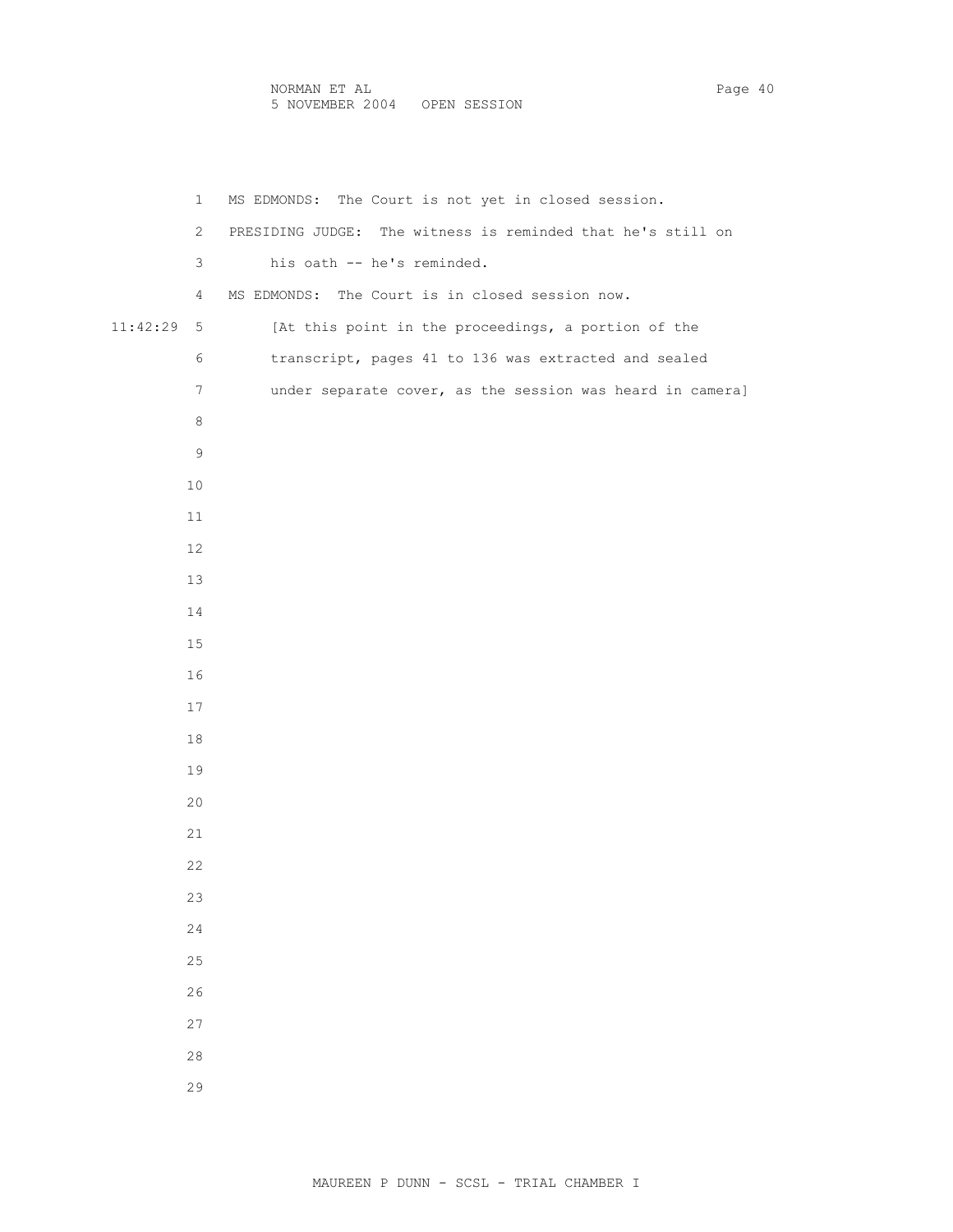```
 1 MS EDMONDS: The Court is not yet in closed session. 
          2 PRESIDING JUDGE: The witness is reminded that he's still on 
          3 his oath -- he's reminded. 
          4 MS EDMONDS: The Court is in closed session now. 
11:42:29 5 [At this point in the proceedings, a portion of the 
          6 transcript, pages 41 to 136 was extracted and sealed 
          7 under separate cover, as the session was heard in camera] 
          8 
9 
         10 
         11 
         12 
         13 
         14 
         15 
         16 
         17 
         18 
         19 
         20 
         21 
         22 
         23 
         24 
         25 
         26 
         27 
         28 
         29
```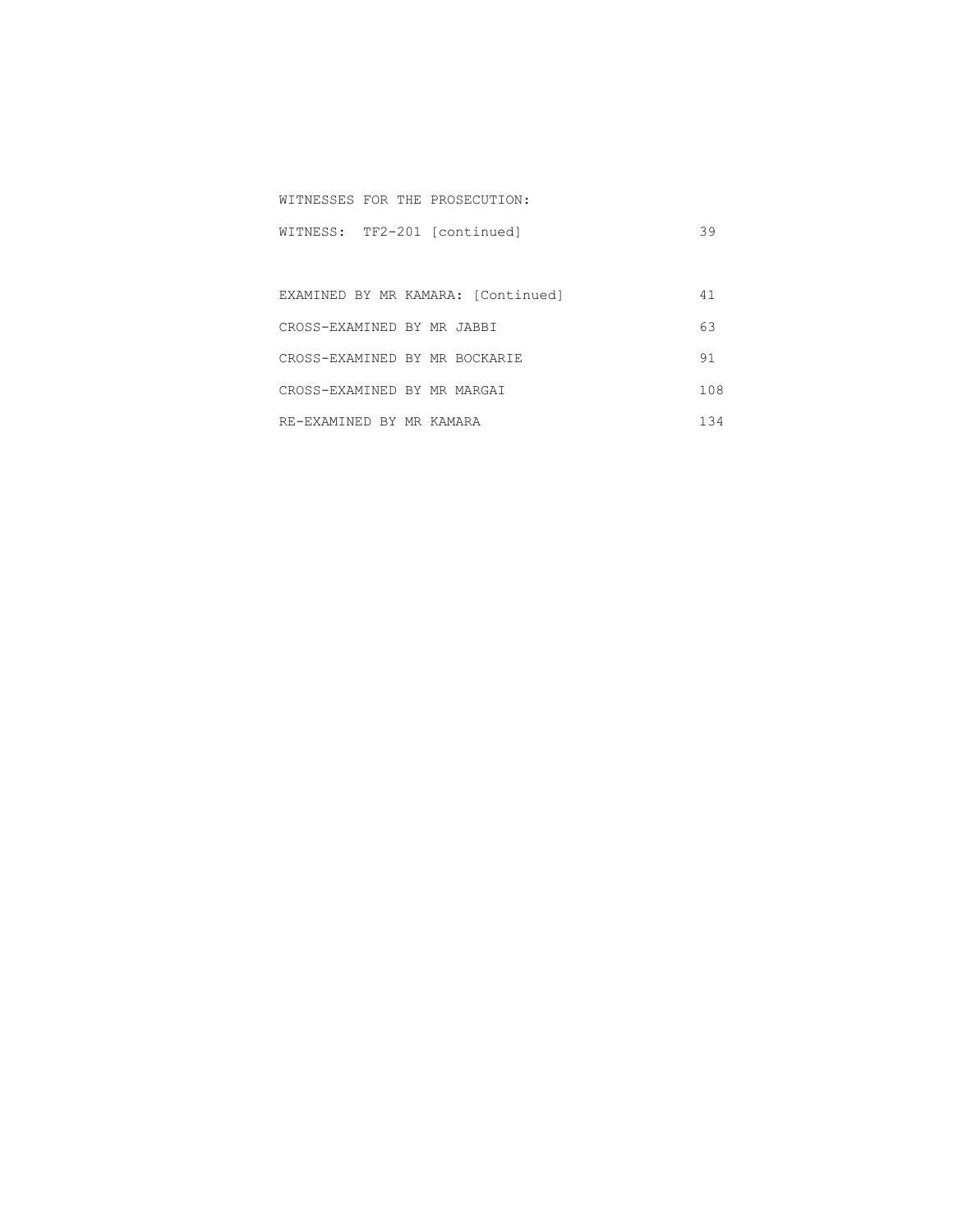|  | WITNESS: TF2-201 [continued] | 39 |
|--|------------------------------|----|
|  |                              |    |

WITNESSES FOR THE PROSECUTION:

|                               | EXAMINED BY MR KAMARA: [Continued] |     |
|-------------------------------|------------------------------------|-----|
| CROSS-EXAMINED BY MR JABBI    |                                    | 63  |
| CROSS-EXAMINED BY MR BOCKARIE |                                    | 91  |
| CROSS-EXAMINED BY MR MARGAI   |                                    | 108 |
| RE-EXAMINED BY MR KAMARA      |                                    | 134 |